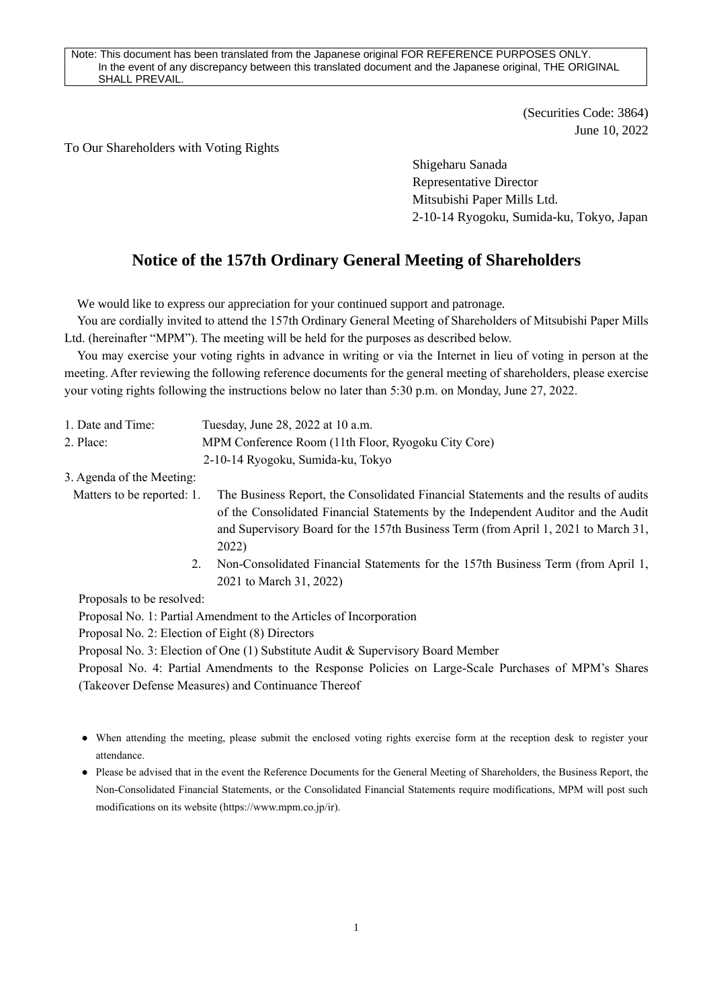(Securities Code: 3864) June 10, 2022

To Our Shareholders with Voting Rights

Shigeharu Sanada Representative Director Mitsubishi Paper Mills Ltd. 2-10-14 Ryogoku, Sumida-ku, Tokyo, Japan

# **Notice of the 157th Ordinary General Meeting of Shareholders**

We would like to express our appreciation for your continued support and patronage.

You are cordially invited to attend the 157th Ordinary General Meeting of Shareholders of Mitsubishi Paper Mills Ltd. (hereinafter "MPM"). The meeting will be held for the purposes as described below.

You may exercise your voting rights in advance in writing or via the Internet in lieu of voting in person at the meeting. After reviewing the following reference documents for the general meeting of shareholders, please exercise your voting rights following the instructions below no later than 5:30 p.m. on Monday, June 27, 2022.

| 1. Date and Time:          | Tuesday, June 28, 2022 at 10 a.m.                                                    |  |  |
|----------------------------|--------------------------------------------------------------------------------------|--|--|
| 2. Place:                  | MPM Conference Room (11th Floor, Ryogoku City Core)                                  |  |  |
|                            | 2-10-14 Ryogoku, Sumida-ku, Tokyo                                                    |  |  |
| 3. Agenda of the Meeting:  |                                                                                      |  |  |
| Matters to be reported: 1. | The Business Report, the Consolidated Financial Statements and the results of audits |  |  |
|                            | of the Consolidated Financial Statements by the Independent Auditor and the Audit    |  |  |
|                            | and Supervisory Board for the 157th Business Term (from April 1, 2021 to March 31,   |  |  |
|                            | 2022)                                                                                |  |  |
| 2.                         | Non-Consolidated Financial Statements for the 157th Business Term (from April 1,     |  |  |
|                            | 2021 to March 31, 2022)                                                              |  |  |
| Proposals to be resolved:  |                                                                                      |  |  |

Proposal No. 1: Partial Amendment to the Articles of Incorporation

Proposal No. 2: Election of Eight (8) Directors

Proposal No. 3: Election of One (1) Substitute Audit & Supervisory Board Member

Proposal No. 4: Partial Amendments to the Response Policies on Large-Scale Purchases of MPM's Shares (Takeover Defense Measures) and Continuance Thereof

- When attending the meeting, please submit the enclosed voting rights exercise form at the reception desk to register your attendance.
- Please be advised that in the event the Reference Documents for the General Meeting of Shareholders, the Business Report, the Non-Consolidated Financial Statements, or the Consolidated Financial Statements require modifications, MPM will post such modifications on its website (https://www.mpm.co.jp/ir).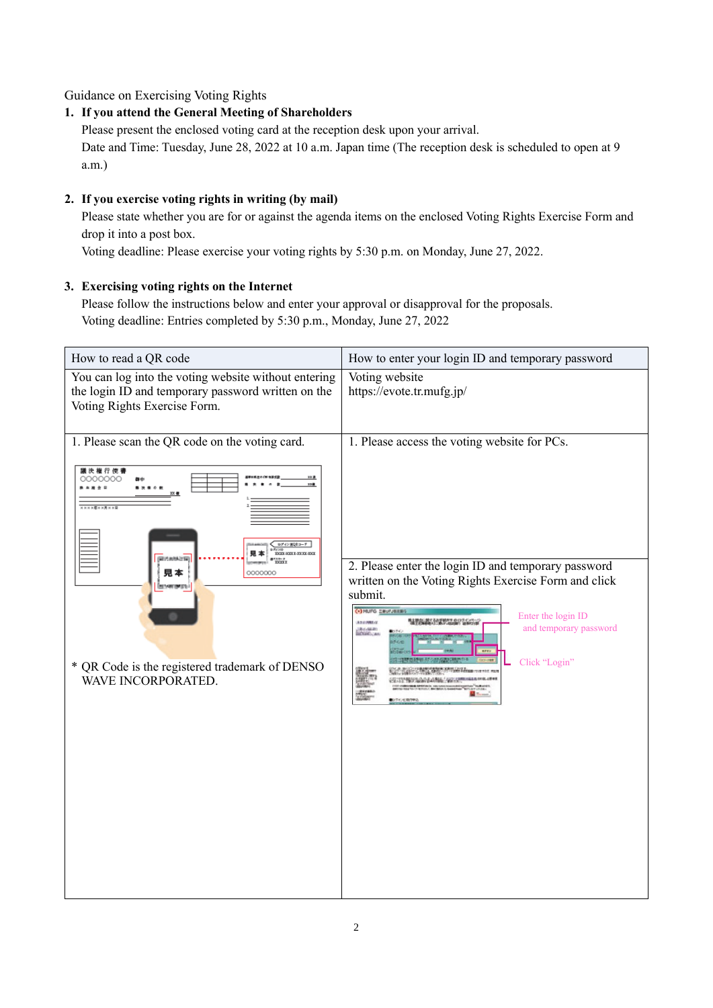Guidance on Exercising Voting Rights

# **1. If you attend the General Meeting of Shareholders**

Please present the enclosed voting card at the reception desk upon your arrival. Date and Time: Tuesday, June 28, 2022 at 10 a.m. Japan time (The reception desk is scheduled to open at 9 a.m.)

# **2. If you exercise voting rights in writing (by mail)**

Please state whether you are for or against the agenda items on the enclosed Voting Rights Exercise Form and drop it into a post box.

Voting deadline: Please exercise your voting rights by 5:30 p.m. on Monday, June 27, 2022.

# **3. Exercising voting rights on the Internet**

Please follow the instructions below and enter your approval or disapproval for the proposals. Voting deadline: Entries completed by 5:30 p.m., Monday, June 27, 2022

| How to read a QR code                                                                                                                                                                                                                                      | How to enter your login ID and temporary password                                                                                                                                                                                                                                                     |  |
|------------------------------------------------------------------------------------------------------------------------------------------------------------------------------------------------------------------------------------------------------------|-------------------------------------------------------------------------------------------------------------------------------------------------------------------------------------------------------------------------------------------------------------------------------------------------------|--|
| You can log into the voting website without entering<br>the login ID and temporary password written on the<br>Voting Rights Exercise Form.                                                                                                                 | Voting website<br>https://evote.tr.mufg.jp/                                                                                                                                                                                                                                                           |  |
| 1. Please scan the QR code on the voting card.<br>議決権行使書<br><b>CICK X ICK K X</b><br><b>KX電米X周 KX国</b><br>ログイン用口Rコード<br>見 本<br>RICANATE<br>xxx<br>見本<br>0000000<br><b>MINNESON</b><br>* QR Code is the registered trademark of DENSO<br>WAVE INCORPORATED. | 1. Please access the voting website for PCs.<br>2. Please enter the login ID and temporary password<br>written on the Voting Rights Exercise Form and click<br>submit.<br>O HUFG SAUFURERY<br>Enter the login ID<br>ATEMING<br>and temporary password<br>Liberature<br><b>B</b> othe<br>Click "Login" |  |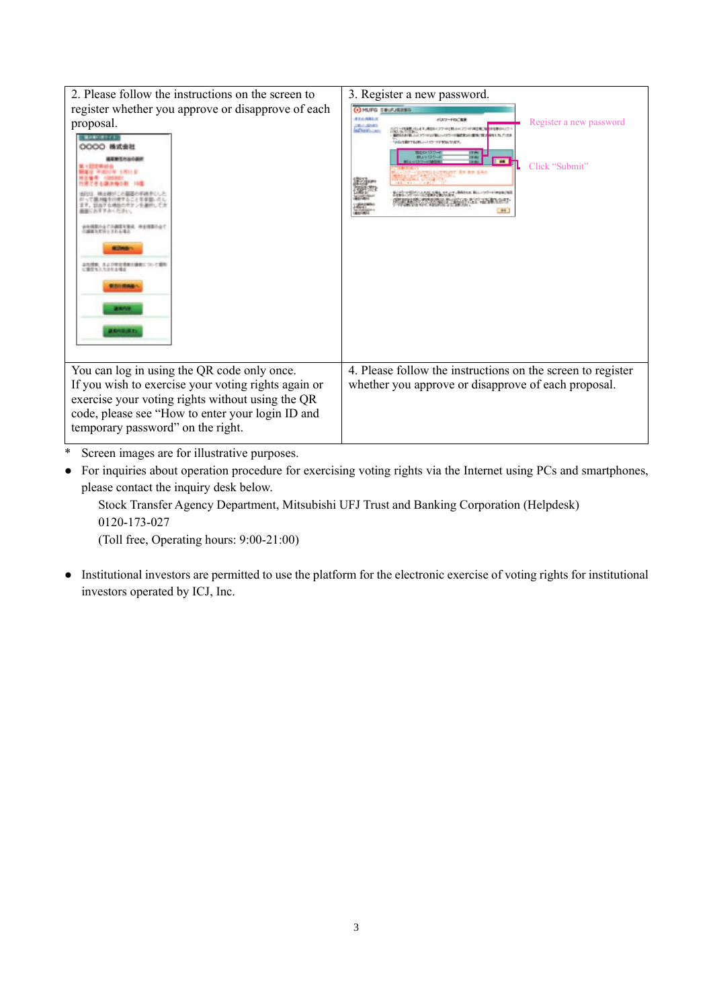| 2. Please follow the instructions on the screen to<br>register whether you approve or disapprove of each<br>proposal.<br>OOOO 株式会社<br>新潮におきすみくかき。<br>神话機器の山で<br>※今回影小山で小御草を登る。<br>解解科問語システム場合<br>品所得業、またび宿主情報の議義について書<br>に関節なえた日本は場面<br>1. G. T. L. | 3. Register a new password.<br>(*) MUFG T&UFJERES<br><b>AVAILABLIX</b><br><b>HAVE-FINCIDE</b><br>Register a new password<br>共和に関係性<br>AND LETTERS AND REMOVED FOR A CONTINUES.<br>(中性糖(2013)三)<br><b>Ballyster County</b><br>LESTELEL ANTEST FEMALE VA<br>詳細<br>$\blacksquare$<br>Click "Submit"<br><b>Committee Ry By Beo</b> |
|-----------------------------------------------------------------------------------------------------------------------------------------------------------------------------------------------------------------------------------------------------|--------------------------------------------------------------------------------------------------------------------------------------------------------------------------------------------------------------------------------------------------------------------------------------------------------------------------------|
| You can log in using the QR code only once.<br>If you wish to exercise your voting rights again or<br>exercise your voting rights without using the QR<br>code, please see "How to enter your login ID and<br>temporary password" on the right.     | 4. Please follow the instructions on the screen to register<br>whether you approve or disapprove of each proposal.                                                                                                                                                                                                             |

- \* Screen images are for illustrative purposes.
- For inquiries about operation procedure for exercising voting rights via the Internet using PCs and smartphones, please contact the inquiry desk below.

Stock Transfer Agency Department, Mitsubishi UFJ Trust and Banking Corporation (Helpdesk) 0120-173-027

(Toll free, Operating hours: 9:00-21:00)

● Institutional investors are permitted to use the platform for the electronic exercise of voting rights for institutional investors operated by ICJ, Inc.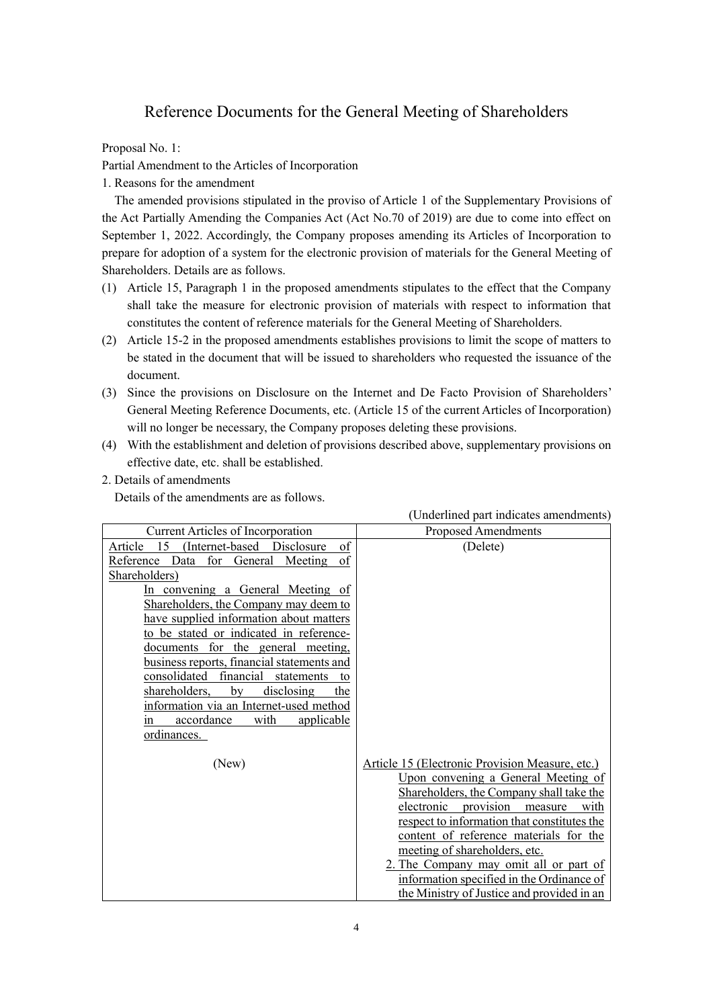# Reference Documents for the General Meeting of Shareholders

Proposal No. 1:

Partial Amendment to the Articles of Incorporation

1. Reasons for the amendment

The amended provisions stipulated in the proviso of Article 1 of the Supplementary Provisions of the Act Partially Amending the Companies Act (Act No.70 of 2019) are due to come into effect on September 1, 2022. Accordingly, the Company proposes amending its Articles of Incorporation to prepare for adoption of a system for the electronic provision of materials for the General Meeting of Shareholders. Details are as follows.

- (1) Article 15, Paragraph 1 in the proposed amendments stipulates to the effect that the Company shall take the measure for electronic provision of materials with respect to information that constitutes the content of reference materials for the General Meeting of Shareholders.
- (2) Article 15-2 in the proposed amendments establishes provisions to limit the scope of matters to be stated in the document that will be issued to shareholders who requested the issuance of the document.
- (3) Since the provisions on Disclosure on the Internet and De Facto Provision of Shareholders' General Meeting Reference Documents, etc. (Article 15 of the current Articles of Incorporation) will no longer be necessary, the Company proposes deleting these provisions.
- (4) With the establishment and deletion of provisions described above, supplementary provisions on effective date, etc. shall be established.
- 2. Details of amendments

Details of the amendments are as follows.

|                                                                                                                                                                                                                                                                                                                                                                                                                                                 | (Underlined part indicates amendments)                                                                                                                                                                                                                                                                                                                                                                                                          |
|-------------------------------------------------------------------------------------------------------------------------------------------------------------------------------------------------------------------------------------------------------------------------------------------------------------------------------------------------------------------------------------------------------------------------------------------------|-------------------------------------------------------------------------------------------------------------------------------------------------------------------------------------------------------------------------------------------------------------------------------------------------------------------------------------------------------------------------------------------------------------------------------------------------|
| <b>Current Articles of Incorporation</b>                                                                                                                                                                                                                                                                                                                                                                                                        | Proposed Amendments                                                                                                                                                                                                                                                                                                                                                                                                                             |
| of<br>(Internet-based Disclosure<br>Article<br>15<br>General<br>Meeting<br>of<br>Reference<br>Data<br>for<br>Shareholders)                                                                                                                                                                                                                                                                                                                      | (Delete)                                                                                                                                                                                                                                                                                                                                                                                                                                        |
| In convening a General Meeting of<br>Shareholders, the Company may deem to<br>have supplied information about matters<br>to be stated or indicated in reference-<br>documents for the general meeting,<br>business reports, financial statements and<br>consolidated financial statements<br>to<br>the<br>shareholders,<br>by<br>disclosing<br>information via an Internet-used method<br>with<br>applicable<br>accordance<br>1n<br>ordinances. |                                                                                                                                                                                                                                                                                                                                                                                                                                                 |
| (New)                                                                                                                                                                                                                                                                                                                                                                                                                                           | Article 15 (Electronic Provision Measure, etc.)<br>Upon convening a General Meeting of<br>Shareholders, the Company shall take the<br>electronic<br>provision<br>measure<br>with<br>respect to information that constitutes the<br>content of reference materials for the<br>meeting of shareholders, etc.<br>2. The Company may omit all or part of<br>information specified in the Ordinance of<br>the Ministry of Justice and provided in an |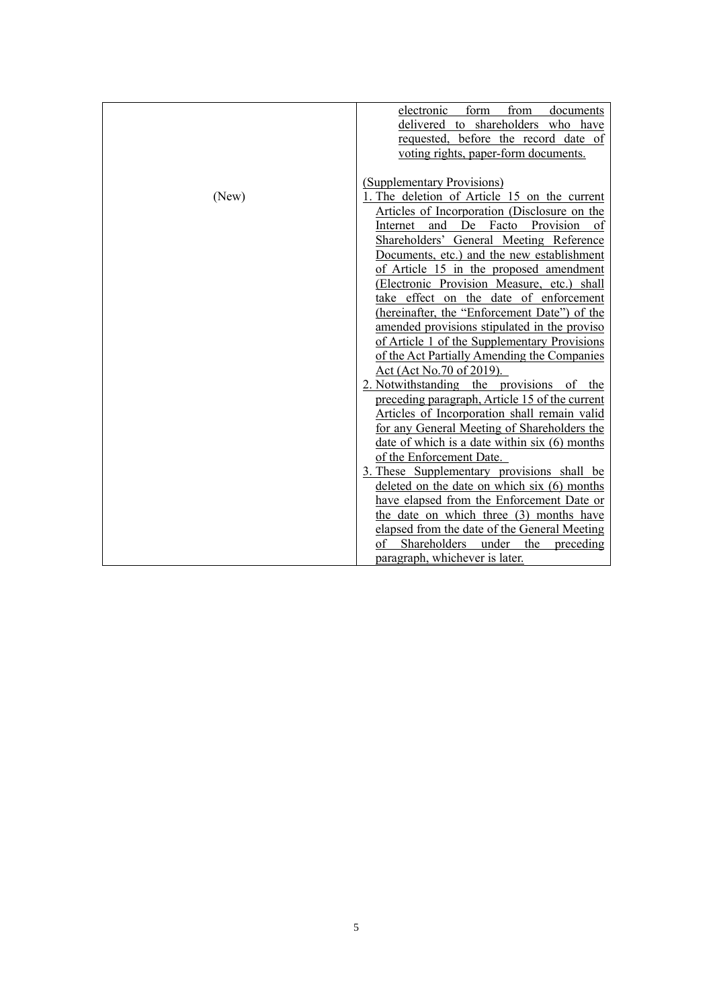|       | electronic form<br>from<br>documents              |
|-------|---------------------------------------------------|
|       | delivered to shareholders who have                |
|       | requested, before the record date of              |
|       |                                                   |
|       | voting rights, paper-form documents.              |
|       |                                                   |
|       | (Supplementary Provisions)                        |
| (New) | The deletion of Article 15 on the current         |
|       | Articles of Incorporation (Disclosure on the      |
|       | and<br>De<br>Facto<br>Provision<br>Internet<br>of |
|       | Shareholders' General Meeting Reference           |
|       | Documents, etc.) and the new establishment        |
|       | of Article 15 in the proposed amendment           |
|       | (Electronic Provision Measure, etc.) shall        |
|       | take effect on the date of enforcement            |
|       | (hereinafter, the "Enforcement Date") of the      |
|       | amended provisions stipulated in the proviso      |
|       | of Article 1 of the Supplementary Provisions      |
|       | of the Act Partially Amending the Companies       |
|       | Act (Act No.70 of 2019).                          |
|       | 2. Notwithstanding the provisions of the          |
|       | preceding paragraph, Article 15 of the current    |
|       | Articles of Incorporation shall remain valid      |
|       | for any General Meeting of Shareholders the       |
|       | date of which is a date within $six(6)$ months    |
|       | of the Enforcement Date.                          |
|       | 3. These Supplementary provisions shall be        |
|       | deleted on the date on which six (6) months       |
|       | have elapsed from the Enforcement Date or         |
|       | the date on which three (3) months have           |
|       | elapsed from the date of the General Meeting      |
|       | of Shareholders under the<br>preceding            |
|       | paragraph, whichever is later.                    |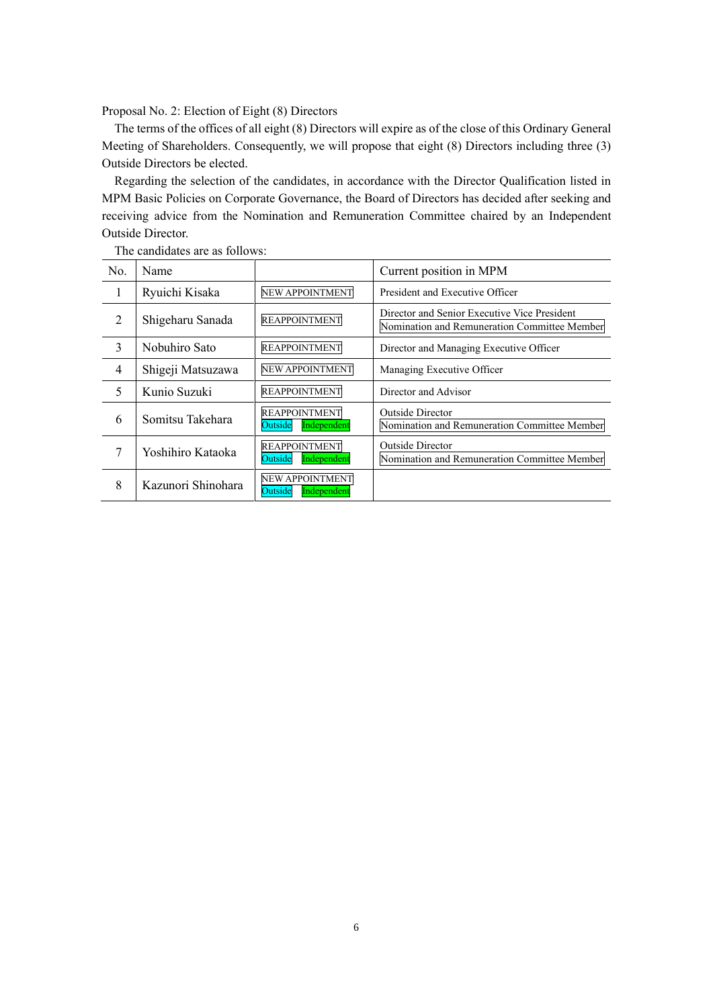Proposal No. 2: Election of Eight (8) Directors

The terms of the offices of all eight (8) Directors will expire as of the close of this Ordinary General Meeting of Shareholders. Consequently, we will propose that eight (8) Directors including three (3) Outside Directors be elected.

Regarding the selection of the candidates, in accordance with the Director Qualification listed in MPM Basic Policies on Corporate Governance, the Board of Directors has decided after seeking and receiving advice from the Nomination and Remuneration Committee chaired by an Independent Outside Director.

| No.            | Name               |                                                  | Current position in MPM                                                                      |
|----------------|--------------------|--------------------------------------------------|----------------------------------------------------------------------------------------------|
| 1              | Ryuichi Kisaka     | <b>NEW APPOINTMENT</b>                           | President and Executive Officer                                                              |
| 2              | Shigeharu Sanada   | <b>REAPPOINTMENT</b>                             | Director and Senior Executive Vice President<br>Nomination and Remuneration Committee Member |
| 3              | Nobuhiro Sato      | <b>REAPPOINTMENT</b>                             | Director and Managing Executive Officer                                                      |
| $\overline{4}$ | Shigeji Matsuzawa  | <b>NEW APPOINTMENT</b>                           | Managing Executive Officer                                                                   |
| 5              | Kunio Suzuki       | <b>REAPPOINTMENT</b>                             | Director and Advisor                                                                         |
| 6              | Somitsu Takehara   | <b>REAPPOINTMENT</b><br>Independent<br>Outside   | Outside Director<br>Nomination and Remuneration Committee Member                             |
| 7              | Yoshihiro Kataoka  | <b>REAPPOINTMENT</b><br>Outside<br>Independent   | Outside Director<br>Nomination and Remuneration Committee Member                             |
| 8              | Kazunori Shinohara | <b>NEW APPOINTMENT</b><br>Outside<br>Independent |                                                                                              |

The candidates are as follows: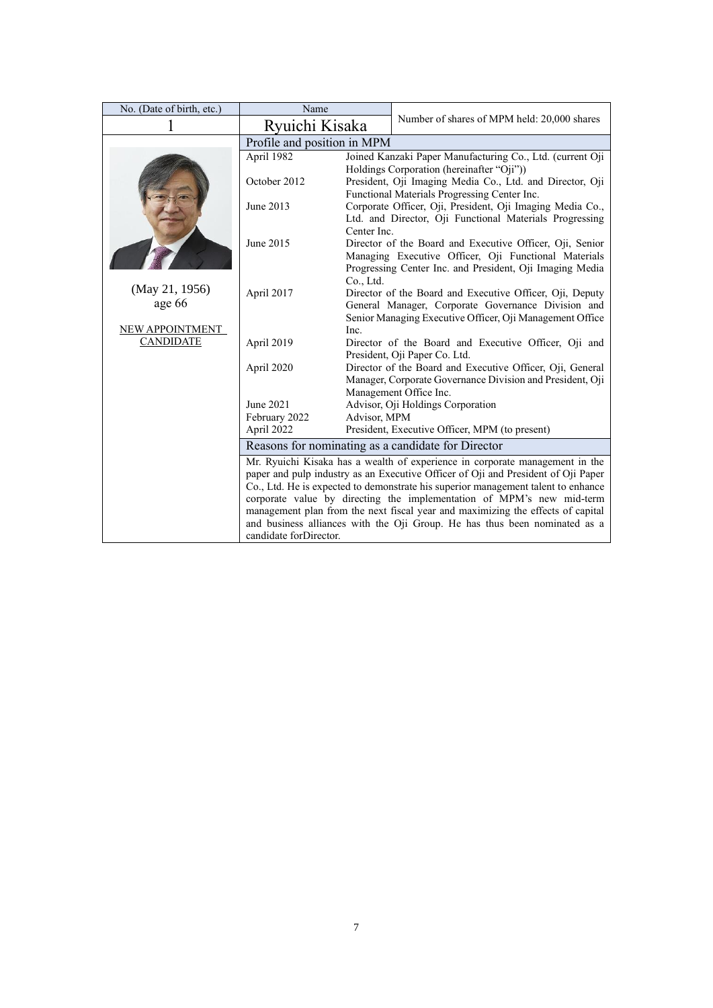| No. (Date of birth, etc.) | Name                                                                                                                                                                                                                                                                                                                        |              |                                                                                                                                                                              |  |
|---------------------------|-----------------------------------------------------------------------------------------------------------------------------------------------------------------------------------------------------------------------------------------------------------------------------------------------------------------------------|--------------|------------------------------------------------------------------------------------------------------------------------------------------------------------------------------|--|
|                           | Ryuichi Kisaka                                                                                                                                                                                                                                                                                                              |              | Number of shares of MPM held: 20,000 shares                                                                                                                                  |  |
|                           | Profile and position in MPM                                                                                                                                                                                                                                                                                                 |              |                                                                                                                                                                              |  |
|                           | April 1982                                                                                                                                                                                                                                                                                                                  |              | Joined Kanzaki Paper Manufacturing Co., Ltd. (current Oji<br>Holdings Corporation (hereinafter "Oji"))                                                                       |  |
|                           | October 2012                                                                                                                                                                                                                                                                                                                |              | President, Oji Imaging Media Co., Ltd. and Director, Oji<br>Functional Materials Progressing Center Inc.                                                                     |  |
|                           | June 2013                                                                                                                                                                                                                                                                                                                   | Center Inc.  | Corporate Officer, Oji, President, Oji Imaging Media Co.,<br>Ltd. and Director, Oji Functional Materials Progressing                                                         |  |
|                           | June 2015                                                                                                                                                                                                                                                                                                                   | Co., Ltd.    | Director of the Board and Executive Officer, Oji, Senior<br>Managing Executive Officer, Oji Functional Materials<br>Progressing Center Inc. and President, Oji Imaging Media |  |
| (May 21, 1956)<br>age 66  | April 2017                                                                                                                                                                                                                                                                                                                  |              | Director of the Board and Executive Officer, Oji, Deputy<br>General Manager, Corporate Governance Division and<br>Senior Managing Executive Officer, Oji Management Office   |  |
| NEW APPOINTMENT           |                                                                                                                                                                                                                                                                                                                             | Inc.         |                                                                                                                                                                              |  |
| <b>CANDIDATE</b>          | April 2019                                                                                                                                                                                                                                                                                                                  |              | Director of the Board and Executive Officer, Oji and<br>President, Oji Paper Co. Ltd.                                                                                        |  |
|                           | April 2020                                                                                                                                                                                                                                                                                                                  |              | Director of the Board and Executive Officer, Oji, General<br>Manager, Corporate Governance Division and President, Oji<br>Management Office Inc.                             |  |
|                           | June 2021                                                                                                                                                                                                                                                                                                                   |              | Advisor, Oji Holdings Corporation                                                                                                                                            |  |
|                           | February 2022                                                                                                                                                                                                                                                                                                               | Advisor, MPM |                                                                                                                                                                              |  |
|                           | April 2022                                                                                                                                                                                                                                                                                                                  |              | President, Executive Officer, MPM (to present)                                                                                                                               |  |
|                           | Reasons for nominating as a candidate for Director<br>Mr. Ryuichi Kisaka has a wealth of experience in corporate management in the                                                                                                                                                                                          |              |                                                                                                                                                                              |  |
|                           |                                                                                                                                                                                                                                                                                                                             |              |                                                                                                                                                                              |  |
|                           |                                                                                                                                                                                                                                                                                                                             |              | paper and pulp industry as an Executive Officer of Oji and President of Oji Paper                                                                                            |  |
|                           | Co., Ltd. He is expected to demonstrate his superior management talent to enhance<br>corporate value by directing the implementation of MPM's new mid-term<br>management plan from the next fiscal year and maximizing the effects of capital<br>and business alliances with the Oji Group. He has thus been nominated as a |              |                                                                                                                                                                              |  |
|                           |                                                                                                                                                                                                                                                                                                                             |              |                                                                                                                                                                              |  |
|                           |                                                                                                                                                                                                                                                                                                                             |              |                                                                                                                                                                              |  |
|                           | candidate forDirector.                                                                                                                                                                                                                                                                                                      |              |                                                                                                                                                                              |  |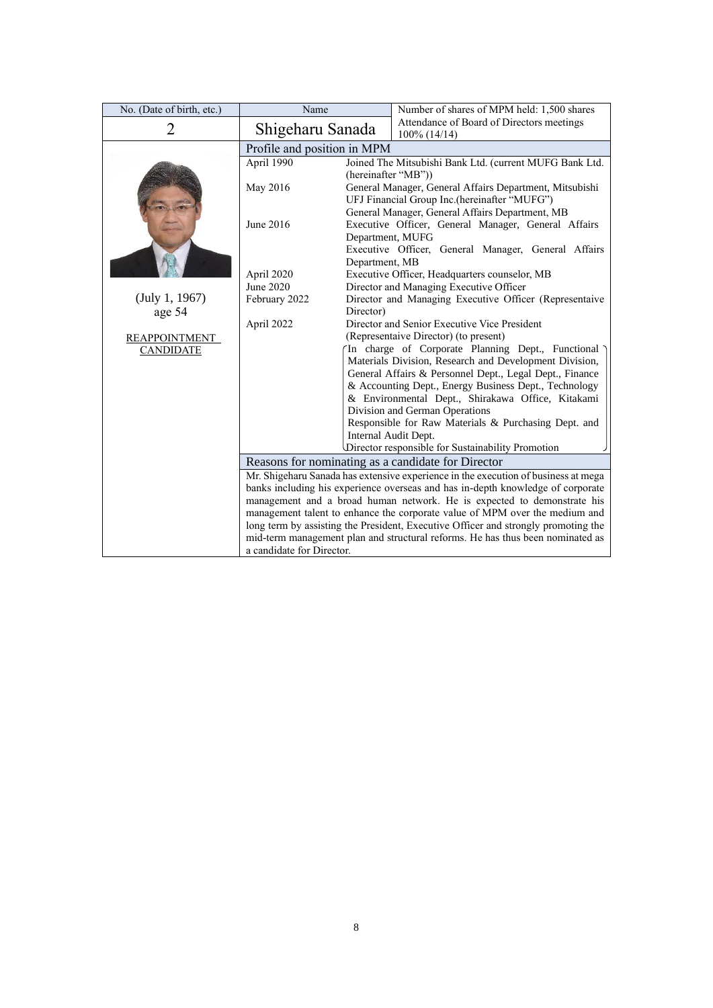| No. (Date of birth, etc.)                          | Name                        |                                   | Number of shares of MPM held: 1,500 shares                                                                                                                                                                                                                                                                                                                                                                                                                                                                                                                    |
|----------------------------------------------------|-----------------------------|-----------------------------------|---------------------------------------------------------------------------------------------------------------------------------------------------------------------------------------------------------------------------------------------------------------------------------------------------------------------------------------------------------------------------------------------------------------------------------------------------------------------------------------------------------------------------------------------------------------|
| $\overline{2}$                                     | Shigeharu Sanada            |                                   | Attendance of Board of Directors meetings<br>$100\%$ (14/14)                                                                                                                                                                                                                                                                                                                                                                                                                                                                                                  |
|                                                    | Profile and position in MPM |                                   |                                                                                                                                                                                                                                                                                                                                                                                                                                                                                                                                                               |
|                                                    | April 1990<br>May 2016      | (hereinafter "MB"))               | Joined The Mitsubishi Bank Ltd. (current MUFG Bank Ltd.<br>General Manager, General Affairs Department, Mitsubishi<br>UFJ Financial Group Inc.(hereinafter "MUFG")                                                                                                                                                                                                                                                                                                                                                                                            |
|                                                    | June 2016                   | Department, MUFG                  | General Manager, General Affairs Department, MB<br>Executive Officer, General Manager, General Affairs<br>Executive Officer, General Manager, General Affairs                                                                                                                                                                                                                                                                                                                                                                                                 |
|                                                    | April 2020<br>June 2020     | Department, MB                    | Executive Officer, Headquarters counselor, MB<br>Director and Managing Executive Officer                                                                                                                                                                                                                                                                                                                                                                                                                                                                      |
| (July 1, 1967)                                     | February 2022               |                                   | Director and Managing Executive Officer (Representaive                                                                                                                                                                                                                                                                                                                                                                                                                                                                                                        |
| age 54<br><b>REAPPOINTMENT</b><br><b>CANDIDATE</b> | April 2022                  | Director)<br>Internal Audit Dept. | Director and Senior Executive Vice President<br>(Representaive Director) (to present)<br>In charge of Corporate Planning Dept., Functional<br>Materials Division, Research and Development Division,<br>General Affairs & Personnel Dept., Legal Dept., Finance<br>& Accounting Dept., Energy Business Dept., Technology<br>& Environmental Dept., Shirakawa Office, Kitakami<br>Division and German Operations<br>Responsible for Raw Materials & Purchasing Dept. and<br>Director responsible for Sustainability Promotion                                  |
| a candidate for Director.                          |                             |                                   | Reasons for nominating as a candidate for Director<br>Mr. Shigeharu Sanada has extensive experience in the execution of business at mega<br>banks including his experience overseas and has in-depth knowledge of corporate<br>management and a broad human network. He is expected to demonstrate his<br>management talent to enhance the corporate value of MPM over the medium and<br>long term by assisting the President, Executive Officer and strongly promoting the<br>mid-term management plan and structural reforms. He has thus been nominated as |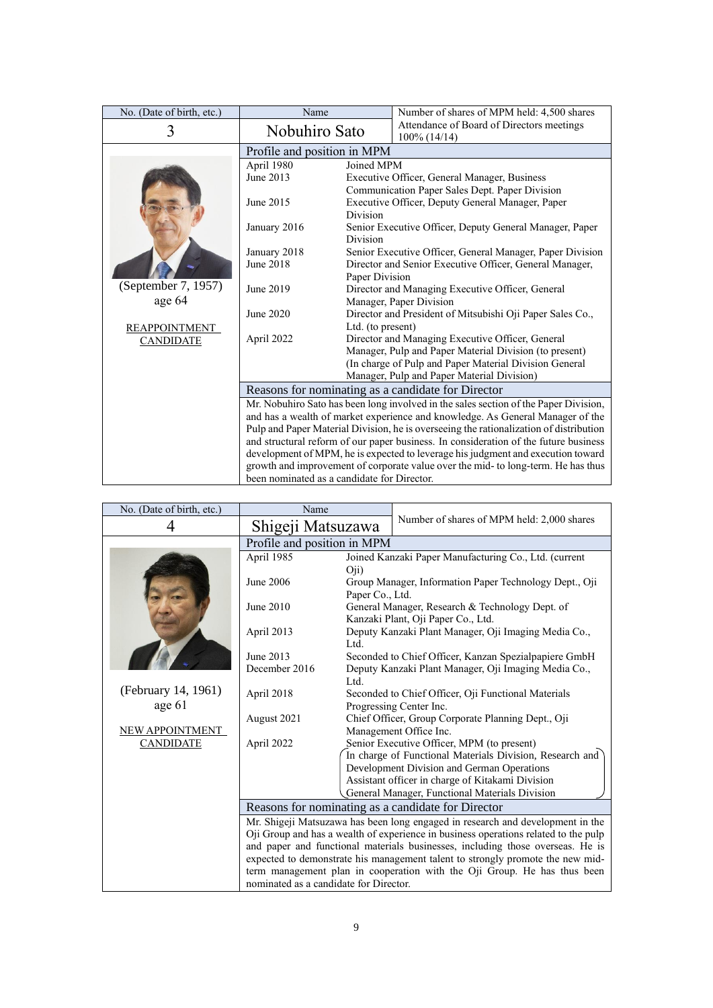| No. (Date of birth, etc.) | Name                                                                                                                                                                                                                                                                                                                                                                                                                                      |                   | Number of shares of MPM held: 4,500 shares                                           |
|---------------------------|-------------------------------------------------------------------------------------------------------------------------------------------------------------------------------------------------------------------------------------------------------------------------------------------------------------------------------------------------------------------------------------------------------------------------------------------|-------------------|--------------------------------------------------------------------------------------|
| 3                         | Nobuhiro Sato                                                                                                                                                                                                                                                                                                                                                                                                                             |                   | Attendance of Board of Directors meetings<br>100% (14/14)                            |
|                           | Profile and position in MPM                                                                                                                                                                                                                                                                                                                                                                                                               |                   |                                                                                      |
|                           | April 1980                                                                                                                                                                                                                                                                                                                                                                                                                                | Joined MPM        |                                                                                      |
|                           | June 2013                                                                                                                                                                                                                                                                                                                                                                                                                                 |                   | Executive Officer, General Manager, Business                                         |
|                           |                                                                                                                                                                                                                                                                                                                                                                                                                                           |                   | Communication Paper Sales Dept. Paper Division                                       |
|                           | June 2015                                                                                                                                                                                                                                                                                                                                                                                                                                 |                   | Executive Officer, Deputy General Manager, Paper                                     |
|                           |                                                                                                                                                                                                                                                                                                                                                                                                                                           | Division          |                                                                                      |
|                           | January 2016                                                                                                                                                                                                                                                                                                                                                                                                                              |                   | Senior Executive Officer, Deputy General Manager, Paper                              |
|                           |                                                                                                                                                                                                                                                                                                                                                                                                                                           | Division          |                                                                                      |
|                           | January 2018<br>June 2018                                                                                                                                                                                                                                                                                                                                                                                                                 |                   | Senior Executive Officer, General Manager, Paper Division                            |
|                           |                                                                                                                                                                                                                                                                                                                                                                                                                                           | Paper Division    | Director and Senior Executive Officer, General Manager,                              |
| (September 7, 1957)       | June 2019                                                                                                                                                                                                                                                                                                                                                                                                                                 |                   | Director and Managing Executive Officer, General                                     |
| age 64                    |                                                                                                                                                                                                                                                                                                                                                                                                                                           |                   | Manager, Paper Division                                                              |
|                           | June 2020                                                                                                                                                                                                                                                                                                                                                                                                                                 |                   | Director and President of Mitsubishi Oji Paper Sales Co.,                            |
| <b>REAPPOINTMENT</b>      |                                                                                                                                                                                                                                                                                                                                                                                                                                           | Ltd. (to present) |                                                                                      |
| <b>CANDIDATE</b>          | April 2022                                                                                                                                                                                                                                                                                                                                                                                                                                |                   | Director and Managing Executive Officer, General                                     |
|                           |                                                                                                                                                                                                                                                                                                                                                                                                                                           |                   | Manager, Pulp and Paper Material Division (to present)                               |
|                           |                                                                                                                                                                                                                                                                                                                                                                                                                                           |                   | (In charge of Pulp and Paper Material Division General                               |
|                           |                                                                                                                                                                                                                                                                                                                                                                                                                                           |                   | Manager, Pulp and Paper Material Division)                                           |
|                           |                                                                                                                                                                                                                                                                                                                                                                                                                                           |                   | Reasons for nominating as a candidate for Director                                   |
|                           |                                                                                                                                                                                                                                                                                                                                                                                                                                           |                   | Mr. Nobuhiro Sato has been long involved in the sales section of the Paper Division, |
|                           | and has a wealth of market experience and knowledge. As General Manager of the<br>Pulp and Paper Material Division, he is overseeing the rationalization of distribution<br>and structural reform of our paper business. In consideration of the future business<br>development of MPM, he is expected to leverage his judgment and execution toward<br>growth and improvement of corporate value over the mid- to long-term. He has thus |                   |                                                                                      |
|                           |                                                                                                                                                                                                                                                                                                                                                                                                                                           |                   |                                                                                      |
|                           |                                                                                                                                                                                                                                                                                                                                                                                                                                           |                   |                                                                                      |
|                           |                                                                                                                                                                                                                                                                                                                                                                                                                                           |                   |                                                                                      |
|                           |                                                                                                                                                                                                                                                                                                                                                                                                                                           |                   |                                                                                      |
|                           | been nominated as a candidate for Director.                                                                                                                                                                                                                                                                                                                                                                                               |                   |                                                                                      |

| No. (Date of birth, etc.)                                                                                                                                                                                                                                                              |                                                    | Name |                 |                                                                                                |
|----------------------------------------------------------------------------------------------------------------------------------------------------------------------------------------------------------------------------------------------------------------------------------------|----------------------------------------------------|------|-----------------|------------------------------------------------------------------------------------------------|
| 4                                                                                                                                                                                                                                                                                      | Shigeji Matsuzawa                                  |      |                 | Number of shares of MPM held: 2,000 shares                                                     |
|                                                                                                                                                                                                                                                                                        | Profile and position in MPM                        |      |                 |                                                                                                |
|                                                                                                                                                                                                                                                                                        | April 1985                                         |      |                 | Joined Kanzaki Paper Manufacturing Co., Ltd. (current                                          |
|                                                                                                                                                                                                                                                                                        |                                                    |      | $O_{11}$        |                                                                                                |
|                                                                                                                                                                                                                                                                                        | June 2006                                          |      |                 | Group Manager, Information Paper Technology Dept., Oji                                         |
|                                                                                                                                                                                                                                                                                        | June 2010                                          |      | Paper Co., Ltd. | General Manager, Research & Technology Dept. of                                                |
|                                                                                                                                                                                                                                                                                        |                                                    |      |                 | Kanzaki Plant, Oji Paper Co., Ltd.                                                             |
|                                                                                                                                                                                                                                                                                        | April 2013                                         |      |                 | Deputy Kanzaki Plant Manager, Oji Imaging Media Co.,                                           |
|                                                                                                                                                                                                                                                                                        |                                                    |      | Ltd.            |                                                                                                |
|                                                                                                                                                                                                                                                                                        | June 2013                                          |      |                 | Seconded to Chief Officer, Kanzan Spezialpapiere GmbH                                          |
|                                                                                                                                                                                                                                                                                        | December 2016                                      |      |                 | Deputy Kanzaki Plant Manager, Oji Imaging Media Co.,                                           |
| (February 14, 1961)                                                                                                                                                                                                                                                                    | April 2018                                         |      | Ltd.            | Seconded to Chief Officer, Oji Functional Materials                                            |
| age 61                                                                                                                                                                                                                                                                                 |                                                    |      |                 | Progressing Center Inc.                                                                        |
|                                                                                                                                                                                                                                                                                        | August 2021                                        |      |                 | Chief Officer, Group Corporate Planning Dept., Oji                                             |
| NEW APPOINTMENT                                                                                                                                                                                                                                                                        |                                                    |      |                 | Management Office Inc.                                                                         |
| <b>CANDIDATE</b>                                                                                                                                                                                                                                                                       | April 2022                                         |      |                 | Senior Executive Officer, MPM (to present)                                                     |
|                                                                                                                                                                                                                                                                                        |                                                    |      |                 | In charge of Functional Materials Division, Research and                                       |
|                                                                                                                                                                                                                                                                                        |                                                    |      |                 | Development Division and German Operations<br>Assistant officer in charge of Kitakami Division |
|                                                                                                                                                                                                                                                                                        |                                                    |      |                 | General Manager, Functional Materials Division                                                 |
|                                                                                                                                                                                                                                                                                        | Reasons for nominating as a candidate for Director |      |                 |                                                                                                |
|                                                                                                                                                                                                                                                                                        |                                                    |      |                 | Mr. Shigeji Matsuzawa has been long engaged in research and development in the                 |
|                                                                                                                                                                                                                                                                                        |                                                    |      |                 | Oji Group and has a wealth of experience in business operations related to the pulp            |
| and paper and functional materials businesses, including those overseas. He is<br>expected to demonstrate his management talent to strongly promote the new mid-<br>term management plan in cooperation with the Oji Group. He has thus been<br>nominated as a candidate for Director. |                                                    |      |                 |                                                                                                |
|                                                                                                                                                                                                                                                                                        |                                                    |      |                 |                                                                                                |
|                                                                                                                                                                                                                                                                                        |                                                    |      |                 |                                                                                                |
|                                                                                                                                                                                                                                                                                        |                                                    |      |                 |                                                                                                |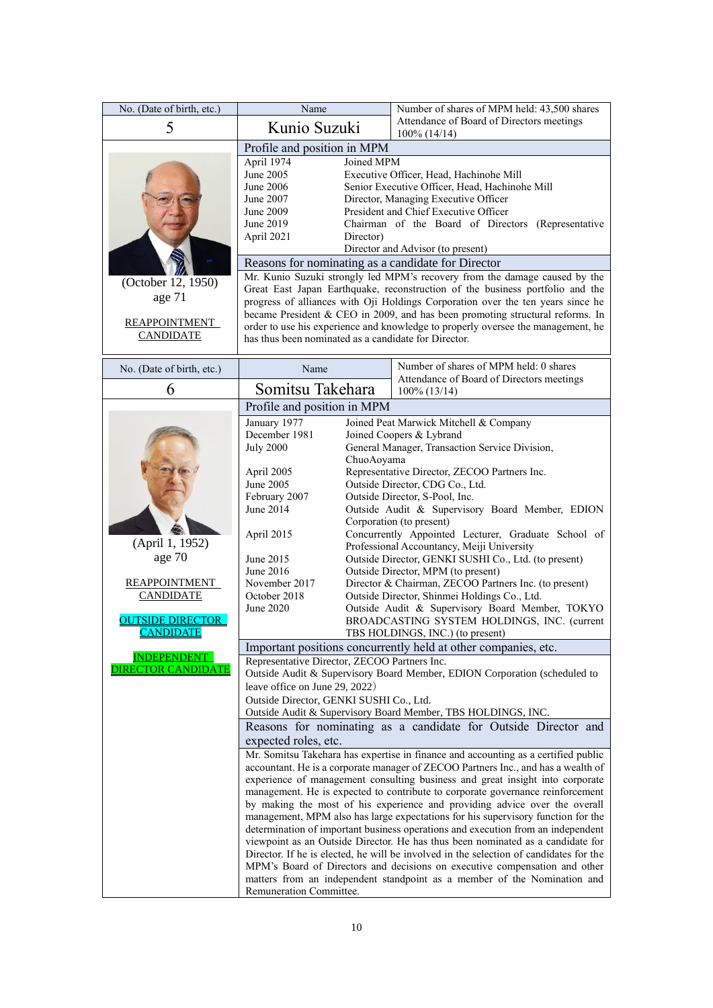| No. (Date of birth, etc.)                                                                                   | Name                                                                                                                                                                                                                                                                     | Number of shares of MPM held: 43,500 shares                                                                                                                                                                                                                                                                                                                                                                                                                                                                                                                                                                                                                                                                                                                                                                                                                                                                                             |  |  |
|-------------------------------------------------------------------------------------------------------------|--------------------------------------------------------------------------------------------------------------------------------------------------------------------------------------------------------------------------------------------------------------------------|-----------------------------------------------------------------------------------------------------------------------------------------------------------------------------------------------------------------------------------------------------------------------------------------------------------------------------------------------------------------------------------------------------------------------------------------------------------------------------------------------------------------------------------------------------------------------------------------------------------------------------------------------------------------------------------------------------------------------------------------------------------------------------------------------------------------------------------------------------------------------------------------------------------------------------------------|--|--|
| 5                                                                                                           | Kunio Suzuki                                                                                                                                                                                                                                                             | Attendance of Board of Directors meetings<br>$100\%$ (14/14)                                                                                                                                                                                                                                                                                                                                                                                                                                                                                                                                                                                                                                                                                                                                                                                                                                                                            |  |  |
|                                                                                                             | Profile and position in MPM                                                                                                                                                                                                                                              |                                                                                                                                                                                                                                                                                                                                                                                                                                                                                                                                                                                                                                                                                                                                                                                                                                                                                                                                         |  |  |
| (October 12, 1950)<br>age 71<br><b>REAPPOINTMENT</b><br><b>CANDIDATE</b>                                    | April 1974<br>Joined MPM<br>June 2005<br>June 2006<br>June 2007<br>June 2009<br>June 2019<br>April 2021<br>Director)<br>Reasons for nominating as a candidate for Director<br>has thus been nominated as a candidate for Director.                                       | Executive Officer, Head, Hachinohe Mill<br>Senior Executive Officer, Head, Hachinohe Mill<br>Director, Managing Executive Officer<br>President and Chief Executive Officer<br>Chairman of the Board of Directors (Representative<br>Director and Advisor (to present)<br>Mr. Kunio Suzuki strongly led MPM's recovery from the damage caused by the<br>Great East Japan Earthquake, reconstruction of the business portfolio and the<br>progress of alliances with Oji Holdings Corporation over the ten years since he<br>became President & CEO in 2009, and has been promoting structural reforms. In<br>order to use his experience and knowledge to properly oversee the management, he                                                                                                                                                                                                                                            |  |  |
| No. (Date of birth, etc.)                                                                                   | Name                                                                                                                                                                                                                                                                     | Number of shares of MPM held: 0 shares                                                                                                                                                                                                                                                                                                                                                                                                                                                                                                                                                                                                                                                                                                                                                                                                                                                                                                  |  |  |
| 6                                                                                                           | Somitsu Takehara                                                                                                                                                                                                                                                         | Attendance of Board of Directors meetings<br>$100\%$ (13/14)                                                                                                                                                                                                                                                                                                                                                                                                                                                                                                                                                                                                                                                                                                                                                                                                                                                                            |  |  |
|                                                                                                             | Profile and position in MPM                                                                                                                                                                                                                                              |                                                                                                                                                                                                                                                                                                                                                                                                                                                                                                                                                                                                                                                                                                                                                                                                                                                                                                                                         |  |  |
| (April 1, 1952)<br>age 70<br>REAPPOINTMENT<br><b>CANDIDATE</b><br><u>TSIDE DIRECTOR</u><br><b>CANDIDATE</b> | January 1977<br>December 1981<br><b>July 2000</b><br>ChuoAoyama<br>April 2005<br>June 2005<br>February 2007<br>June 2014<br>April 2015<br>June 2015<br>June 2016<br>November 2017<br>October 2018<br>June 2020                                                           | Joined Peat Marwick Mitchell & Company<br>Joined Coopers & Lybrand<br>General Manager, Transaction Service Division,<br>Representative Director, ZECOO Partners Inc.<br>Outside Director, CDG Co., Ltd.<br>Outside Director, S-Pool, Inc.<br>Outside Audit & Supervisory Board Member, EDION<br>Corporation (to present)<br>Concurrently Appointed Lecturer, Graduate School of<br>Professional Accountancy, Meiji University<br>Outside Director, GENKI SUSHI Co., Ltd. (to present)<br>Outside Director, MPM (to present)<br>Director & Chairman, ZECOO Partners Inc. (to present)<br>Outside Director, Shinmei Holdings Co., Ltd.<br>Outside Audit & Supervisory Board Member, TOKYO<br>BROADCASTING SYSTEM HOLDINGS, INC. (current<br>TBS HOLDINGS, INC.) (to present)                                                                                                                                                              |  |  |
| <b>INDEPENDENT</b><br><b>DIRECTOR CANDIDATE</b>                                                             | Important positions concurrently held at other companies, etc.<br>Representative Director, ZECOO Partners Inc.<br>Outside Audit & Supervisory Board Member, EDION Corporation (scheduled to<br>leave office on June 29, 2022)<br>Outside Director, GENKI SUSHI Co., Ltd. |                                                                                                                                                                                                                                                                                                                                                                                                                                                                                                                                                                                                                                                                                                                                                                                                                                                                                                                                         |  |  |
|                                                                                                             | expected roles, etc.                                                                                                                                                                                                                                                     | Outside Audit & Supervisory Board Member, TBS HOLDINGS, INC.<br>Reasons for nominating as a candidate for Outside Director and                                                                                                                                                                                                                                                                                                                                                                                                                                                                                                                                                                                                                                                                                                                                                                                                          |  |  |
|                                                                                                             | Remuneration Committee.                                                                                                                                                                                                                                                  | Mr. Somitsu Takehara has expertise in finance and accounting as a certified public<br>accountant. He is a corporate manager of ZECOO Partners Inc., and has a wealth of<br>experience of management consulting business and great insight into corporate<br>management. He is expected to contribute to corporate governance reinforcement<br>by making the most of his experience and providing advice over the overall<br>management, MPM also has large expectations for his supervisory function for the<br>determination of important business operations and execution from an independent<br>viewpoint as an Outside Director. He has thus been nominated as a candidate for<br>Director. If he is elected, he will be involved in the selection of candidates for the<br>MPM's Board of Directors and decisions on executive compensation and other<br>matters from an independent standpoint as a member of the Nomination and |  |  |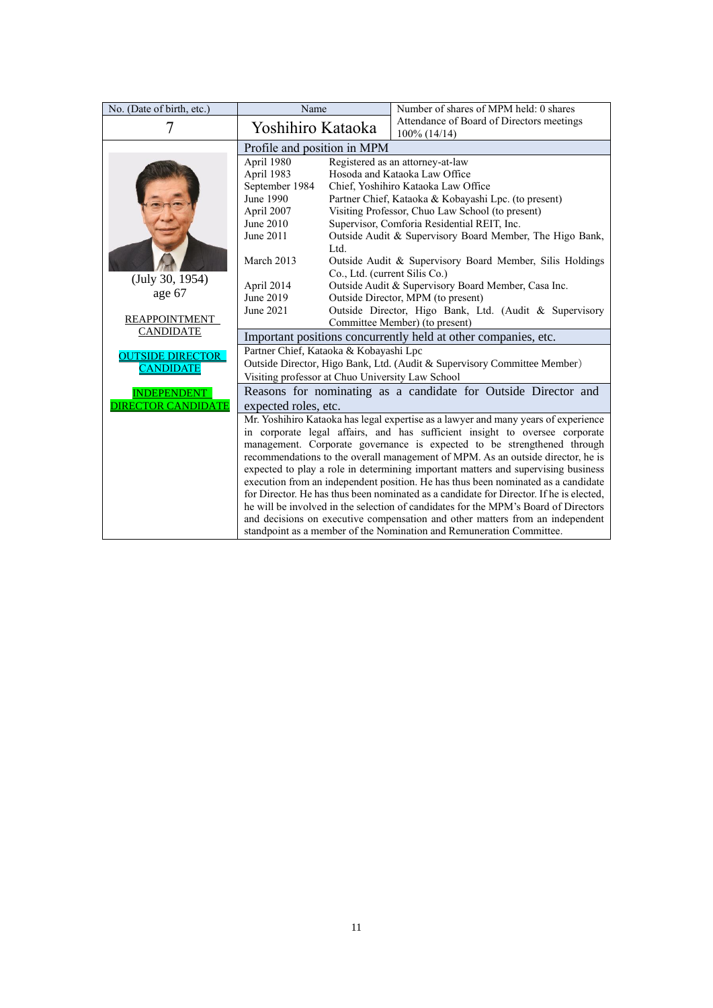| No. (Date of birth, etc.) | Name                                                                                                               |                               | Number of shares of MPM held: 0 shares                                      |  |  |
|---------------------------|--------------------------------------------------------------------------------------------------------------------|-------------------------------|-----------------------------------------------------------------------------|--|--|
|                           | Yoshihiro Kataoka                                                                                                  |                               | Attendance of Board of Directors meetings<br>$100\%$ (14/14)                |  |  |
|                           | Profile and position in MPM                                                                                        |                               |                                                                             |  |  |
|                           | April 1980                                                                                                         |                               | Registered as an attorney-at-law                                            |  |  |
|                           | April 1983                                                                                                         |                               | Hosoda and Kataoka Law Office                                               |  |  |
|                           | September 1984                                                                                                     |                               | Chief, Yoshihiro Kataoka Law Office                                         |  |  |
|                           | June 1990                                                                                                          |                               | Partner Chief, Kataoka & Kobayashi Lpc. (to present)                        |  |  |
|                           | April 2007                                                                                                         |                               | Visiting Professor, Chuo Law School (to present)                            |  |  |
|                           | June 2010                                                                                                          |                               | Supervisor, Comforia Residential REIT, Inc.                                 |  |  |
|                           | June 2011                                                                                                          |                               | Outside Audit & Supervisory Board Member, The Higo Bank,                    |  |  |
|                           |                                                                                                                    | Ltd.                          |                                                                             |  |  |
|                           | March 2013                                                                                                         |                               | Outside Audit & Supervisory Board Member, Silis Holdings                    |  |  |
| (July 30, 1954)           |                                                                                                                    | Co., Ltd. (current Silis Co.) |                                                                             |  |  |
| age 67                    | April 2014                                                                                                         |                               | Outside Audit & Supervisory Board Member, Casa Inc.                         |  |  |
|                           | June 2019                                                                                                          |                               | Outside Director, MPM (to present)                                          |  |  |
| <b>REAPPOINTMENT</b>      | June 2021                                                                                                          |                               | Outside Director, Higo Bank, Ltd. (Audit & Supervisory                      |  |  |
| <b>CANDIDATE</b>          |                                                                                                                    |                               | Committee Member) (to present)                                              |  |  |
|                           | Important positions concurrently held at other companies, etc.                                                     |                               |                                                                             |  |  |
| <b>JTSIDE DIRECTOR</b>    | Partner Chief, Kataoka & Kobayashi Lpc<br>Outside Director, Higo Bank, Ltd. (Audit & Supervisory Committee Member) |                               |                                                                             |  |  |
| <b>CANDIDATE</b>          |                                                                                                                    |                               |                                                                             |  |  |
|                           | Visiting professor at Chuo University Law School                                                                   |                               |                                                                             |  |  |
| <b>INDEPENDENT</b>        |                                                                                                                    |                               | Reasons for nominating as a candidate for Outside Director and              |  |  |
| <b>DIRECTOR CANDIDATE</b> | expected roles, etc.                                                                                               |                               |                                                                             |  |  |
|                           | Mr. Yoshihiro Kataoka has legal expertise as a lawyer and many years of experience                                 |                               |                                                                             |  |  |
|                           |                                                                                                                    |                               | in corporate legal affairs, and has sufficient insight to oversee corporate |  |  |
|                           |                                                                                                                    |                               | management. Corporate governance is expected to be strengthened through     |  |  |
|                           | recommendations to the overall management of MPM. As an outside director, he is                                    |                               |                                                                             |  |  |
|                           | expected to play a role in determining important matters and supervising business                                  |                               |                                                                             |  |  |
|                           | execution from an independent position. He has thus been nominated as a candidate                                  |                               |                                                                             |  |  |
|                           | for Director. He has thus been nominated as a candidate for Director. If he is elected,                            |                               |                                                                             |  |  |
|                           | he will be involved in the selection of candidates for the MPM's Board of Directors                                |                               |                                                                             |  |  |
|                           | and decisions on executive compensation and other matters from an independent                                      |                               |                                                                             |  |  |
|                           | standpoint as a member of the Nomination and Remuneration Committee.                                               |                               |                                                                             |  |  |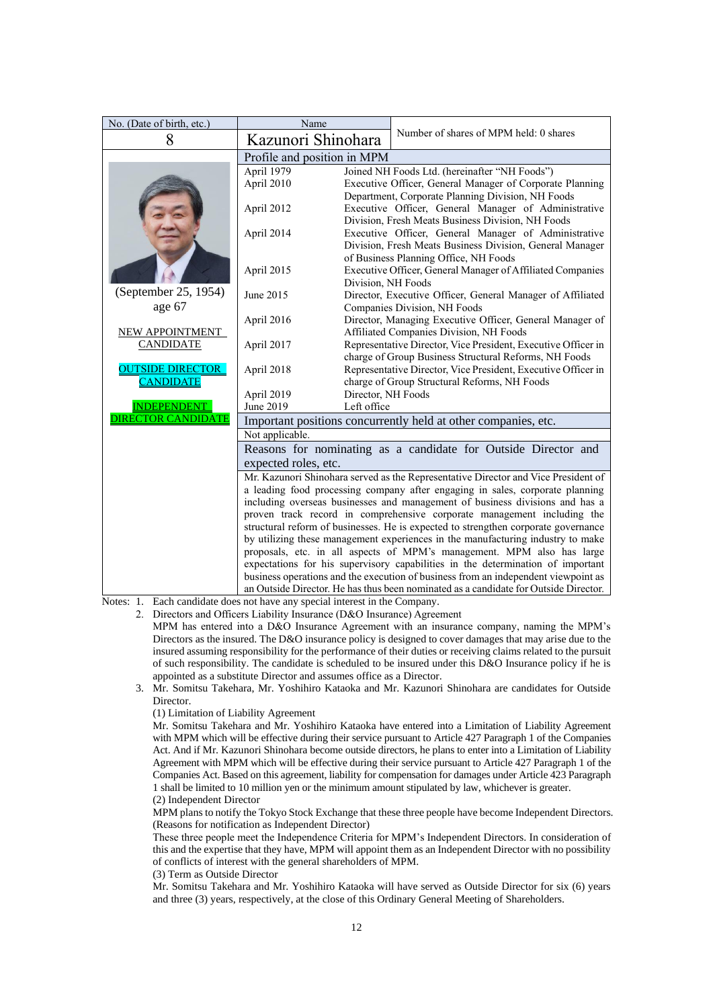| No. (Date of birth, etc.) | Name                                                                                 |                                   |                                                                                                   |  |  |  |
|---------------------------|--------------------------------------------------------------------------------------|-----------------------------------|---------------------------------------------------------------------------------------------------|--|--|--|
| 8                         | Kazunori Shinohara                                                                   |                                   | Number of shares of MPM held: 0 shares                                                            |  |  |  |
|                           | Profile and position in MPM                                                          |                                   |                                                                                                   |  |  |  |
|                           | April 1979                                                                           |                                   | Joined NH Foods Ltd. (hereinafter "NH Foods")                                                     |  |  |  |
|                           | April 2010                                                                           |                                   | Executive Officer, General Manager of Corporate Planning                                          |  |  |  |
|                           |                                                                                      |                                   | Department, Corporate Planning Division, NH Foods                                                 |  |  |  |
|                           | April 2012                                                                           |                                   | Executive Officer, General Manager of Administrative                                              |  |  |  |
|                           |                                                                                      |                                   | Division, Fresh Meats Business Division, NH Foods                                                 |  |  |  |
|                           | April 2014                                                                           |                                   | Executive Officer, General Manager of Administrative                                              |  |  |  |
|                           |                                                                                      |                                   | Division, Fresh Meats Business Division, General Manager<br>of Business Planning Office, NH Foods |  |  |  |
|                           | April 2015                                                                           |                                   | Executive Officer, General Manager of Affiliated Companies                                        |  |  |  |
|                           |                                                                                      | Division, NH Foods                |                                                                                                   |  |  |  |
| (September 25, 1954)      | June 2015                                                                            |                                   | Director, Executive Officer, General Manager of Affiliated                                        |  |  |  |
| age 67                    |                                                                                      |                                   | Companies Division, NH Foods                                                                      |  |  |  |
|                           | April 2016                                                                           |                                   | Director, Managing Executive Officer, General Manager of                                          |  |  |  |
| <b>NEW APPOINTMENT</b>    |                                                                                      |                                   | Affiliated Companies Division, NH Foods                                                           |  |  |  |
| <b>CANDIDATE</b>          | April 2017                                                                           |                                   | Representative Director, Vice President, Executive Officer in                                     |  |  |  |
|                           |                                                                                      |                                   | charge of Group Business Structural Reforms, NH Foods                                             |  |  |  |
| <b>OUTSIDE DIRECTOR</b>   | April 2018                                                                           |                                   | Representative Director, Vice President, Executive Officer in                                     |  |  |  |
| <b>CANDIDATE</b>          |                                                                                      |                                   | charge of Group Structural Reforms, NH Foods                                                      |  |  |  |
| <b>INDEPENDENT</b>        | April 2019<br>June 2019                                                              | Director, NH Foods<br>Left office |                                                                                                   |  |  |  |
| <b>DIRECTOR CANDIDATE</b> |                                                                                      |                                   | Important positions concurrently held at other companies, etc.                                    |  |  |  |
|                           | Not applicable.                                                                      |                                   |                                                                                                   |  |  |  |
|                           |                                                                                      |                                   | Reasons for nominating as a candidate for Outside Director and                                    |  |  |  |
|                           |                                                                                      |                                   |                                                                                                   |  |  |  |
|                           | expected roles, etc.                                                                 |                                   | Mr. Kazunori Shinohara served as the Representative Director and Vice President of                |  |  |  |
|                           |                                                                                      |                                   | a leading food processing company after engaging in sales, corporate planning                     |  |  |  |
|                           |                                                                                      |                                   | including overseas businesses and management of business divisions and has a                      |  |  |  |
|                           |                                                                                      |                                   | proven track record in comprehensive corporate management including the                           |  |  |  |
|                           | structural reform of businesses. He is expected to strengthen corporate governance   |                                   |                                                                                                   |  |  |  |
|                           | by utilizing these management experiences in the manufacturing industry to make      |                                   |                                                                                                   |  |  |  |
|                           |                                                                                      |                                   | proposals, etc. in all aspects of MPM's management. MPM also has large                            |  |  |  |
|                           |                                                                                      |                                   | expectations for his supervisory capabilities in the determination of important                   |  |  |  |
|                           |                                                                                      |                                   | business operations and the execution of business from an independent viewpoint as                |  |  |  |
|                           | an Outside Director. He has thus been nominated as a candidate for Outside Director. |                                   |                                                                                                   |  |  |  |

Notes: 1. Each candidate does not have any special interest in the Company.

2. Directors and Officers Liability Insurance (D&O Insurance) Agreement

MPM has entered into a D&O Insurance Agreement with an insurance company, naming the MPM's Directors as the insured. The D&O insurance policy is designed to cover damages that may arise due to the insured assuming responsibility for the performance of their duties or receiving claims related to the pursuit of such responsibility. The candidate is scheduled to be insured under this D&O Insurance policy if he is appointed as a substitute Director and assumes office as a Director.

3. Mr. Somitsu Takehara, Mr. Yoshihiro Kataoka and Mr. Kazunori Shinohara are candidates for Outside Director.

(1) Limitation of Liability Agreement

Mr. Somitsu Takehara and Mr. Yoshihiro Kataoka have entered into a Limitation of Liability Agreement with MPM which will be effective during their service pursuant to Article 427 Paragraph 1 of the Companies Act. And if Mr. Kazunori Shinohara become outside directors, he plans to enter into a Limitation of Liability Agreement with MPM which will be effective during their service pursuant to Article 427 Paragraph 1 of the Companies Act. Based on this agreement, liability for compensation for damages under Article 423 Paragraph 1 shall be limited to 10 million yen or the minimum amount stipulated by law, whichever is greater. (2) Independent Director

MPM plans to notify the Tokyo Stock Exchange that these three people have become Independent Directors. (Reasons for notification as Independent Director)

These three people meet the Independence Criteria for MPM's Independent Directors. In consideration of this and the expertise that they have, MPM will appoint them as an Independent Director with no possibility of conflicts of interest with the general shareholders of MPM.

(3) Term as Outside Director

Mr. Somitsu Takehara and Mr. Yoshihiro Kataoka will have served as Outside Director for six (6) years and three (3) years, respectively, at the close of this Ordinary General Meeting of Shareholders.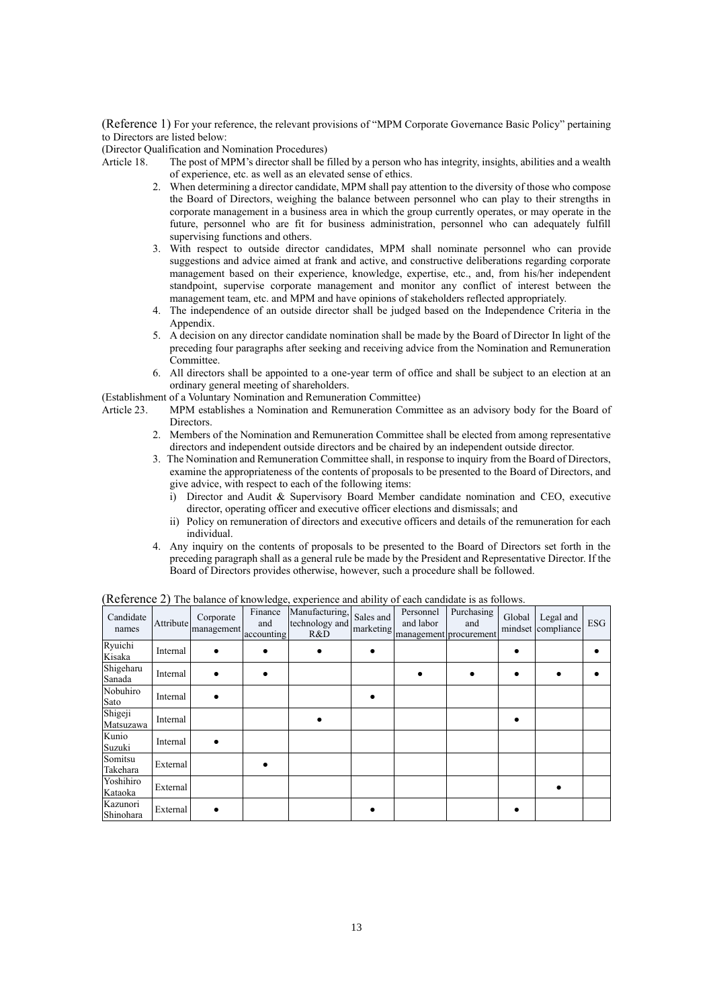(Reference 1) For your reference, the relevant provisions of "MPM Corporate Governance Basic Policy" pertaining to Directors are listed below:

(Director Qualification and Nomination Procedures)

- Article 18. The post of MPM's director shall be filled by a person who has integrity, insights, abilities and a wealth of experience, etc. as well as an elevated sense of ethics.
	- 2. When determining a director candidate, MPM shall pay attention to the diversity of those who compose the Board of Directors, weighing the balance between personnel who can play to their strengths in corporate management in a business area in which the group currently operates, or may operate in the future, personnel who are fit for business administration, personnel who can adequately fulfill supervising functions and others.
	- 3. With respect to outside director candidates, MPM shall nominate personnel who can provide suggestions and advice aimed at frank and active, and constructive deliberations regarding corporate management based on their experience, knowledge, expertise, etc., and, from his/her independent standpoint, supervise corporate management and monitor any conflict of interest between the management team, etc. and MPM and have opinions of stakeholders reflected appropriately.
	- 4. The independence of an outside director shall be judged based on the Independence Criteria in the Appendix.
	- 5. A decision on any director candidate nomination shall be made by the Board of Director In light of the preceding four paragraphs after seeking and receiving advice from the Nomination and Remuneration Committee.
	- 6. All directors shall be appointed to a one-year term of office and shall be subject to an election at an ordinary general meeting of shareholders.

(Establishment of a Voluntary Nomination and Remuneration Committee)

- Article 23. MPM establishes a Nomination and Remuneration Committee as an advisory body for the Board of **Directors** 
	- 2. Members of the Nomination and Remuneration Committee shall be elected from among representative directors and independent outside directors and be chaired by an independent outside director.
	- 3. The Nomination and Remuneration Committee shall, in response to inquiry from the Board of Directors, examine the appropriateness of the contents of proposals to be presented to the Board of Directors, and give advice, with respect to each of the following items:
		- i) Director and Audit & Supervisory Board Member candidate nomination and CEO, executive director, operating officer and executive officer elections and dismissals; and
		- ii) Policy on remuneration of directors and executive officers and details of the remuneration for each individual.
	- 4. Any inquiry on the contents of proposals to be presented to the Board of Directors set forth in the preceding paragraph shall as a general rule be made by the President and Representative Director. If the Board of Directors provides otherwise, however, such a procedure shall be followed.

| Candidate<br>names    | Attribute | Corporate<br>management | Finance<br>and<br>accounting | Manufacturing,<br>technology and<br>R&D | Sales and | Personnel<br>and labor<br>marketing management procurement | Purchasing<br>and | Global | Legal and<br>mindset compliance | <b>ESG</b> |
|-----------------------|-----------|-------------------------|------------------------------|-----------------------------------------|-----------|------------------------------------------------------------|-------------------|--------|---------------------------------|------------|
| Ryuichi<br>Kisaka     | Internal  |                         |                              |                                         |           |                                                            |                   |        |                                 |            |
| Shigeharu<br>Sanada   | Internal  |                         |                              |                                         |           |                                                            |                   |        |                                 |            |
| Nobuhiro<br>Sato      | Internal  |                         |                              |                                         |           |                                                            |                   |        |                                 |            |
| Shigeji<br>Matsuzawa  | Internal  |                         |                              |                                         |           |                                                            |                   |        |                                 |            |
| Kunio<br>Suzuki       | Internal  |                         |                              |                                         |           |                                                            |                   |        |                                 |            |
| Somitsu<br>Takehara   | External  |                         |                              |                                         |           |                                                            |                   |        |                                 |            |
| Yoshihiro<br>Kataoka  | External  |                         |                              |                                         |           |                                                            |                   |        |                                 |            |
| Kazunori<br>Shinohara | External  |                         |                              |                                         |           |                                                            |                   |        |                                 |            |

(Reference 2) The balance of knowledge, experience and ability of each candidate is as follows.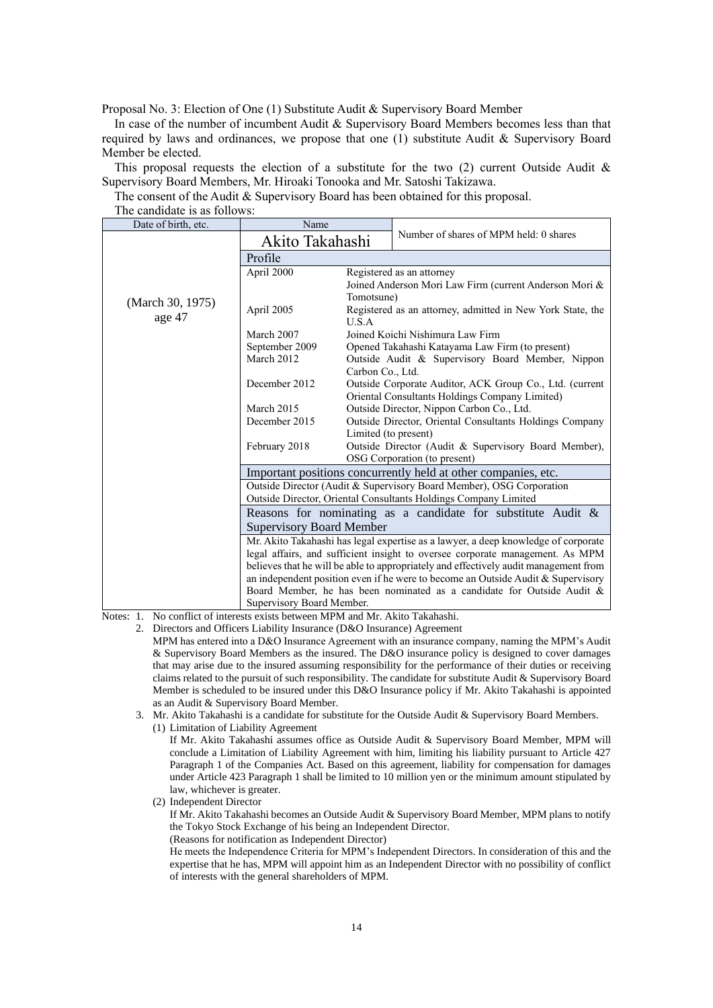Proposal No. 3: Election of One (1) Substitute Audit & Supervisory Board Member

In case of the number of incumbent Audit & Supervisory Board Members becomes less than that required by laws and ordinances, we propose that one (1) substitute Audit & Supervisory Board Member be elected.

This proposal requests the election of a substitute for the two  $(2)$  current Outside Audit & Supervisory Board Members, Mr. Hiroaki Tonooka and Mr. Satoshi Takizawa.

The consent of the Audit & Supervisory Board has been obtained for this proposal.

| The candidate is as follows:                                  |                                                                                                                                                                                                                                                                                                                   |                      |                                                                                                                                                            |  |
|---------------------------------------------------------------|-------------------------------------------------------------------------------------------------------------------------------------------------------------------------------------------------------------------------------------------------------------------------------------------------------------------|----------------------|------------------------------------------------------------------------------------------------------------------------------------------------------------|--|
| Date of birth, etc.                                           | Name                                                                                                                                                                                                                                                                                                              |                      |                                                                                                                                                            |  |
|                                                               | Akito Takahashi                                                                                                                                                                                                                                                                                                   |                      | Number of shares of MPM held: 0 shares                                                                                                                     |  |
|                                                               | Profile                                                                                                                                                                                                                                                                                                           |                      |                                                                                                                                                            |  |
|                                                               | April 2000                                                                                                                                                                                                                                                                                                        |                      | Registered as an attorney                                                                                                                                  |  |
|                                                               |                                                                                                                                                                                                                                                                                                                   |                      | Joined Anderson Mori Law Firm (current Anderson Mori &                                                                                                     |  |
| (March 30, 1975)                                              |                                                                                                                                                                                                                                                                                                                   | Tomotsune)           |                                                                                                                                                            |  |
| age 47                                                        | April 2005                                                                                                                                                                                                                                                                                                        | U.S.A                | Registered as an attorney, admitted in New York State, the                                                                                                 |  |
|                                                               | March 2007                                                                                                                                                                                                                                                                                                        |                      | Joined Koichi Nishimura Law Firm                                                                                                                           |  |
|                                                               | September 2009                                                                                                                                                                                                                                                                                                    |                      | Opened Takahashi Katayama Law Firm (to present)                                                                                                            |  |
|                                                               | March 2012                                                                                                                                                                                                                                                                                                        |                      | Outside Audit & Supervisory Board Member, Nippon                                                                                                           |  |
|                                                               |                                                                                                                                                                                                                                                                                                                   | Carbon Co., Ltd.     |                                                                                                                                                            |  |
|                                                               | December 2012                                                                                                                                                                                                                                                                                                     |                      | Outside Corporate Auditor, ACK Group Co., Ltd. (current                                                                                                    |  |
|                                                               | March 2015                                                                                                                                                                                                                                                                                                        |                      | Oriental Consultants Holdings Company Limited)<br>Outside Director, Nippon Carbon Co., Ltd.                                                                |  |
|                                                               | December 2015                                                                                                                                                                                                                                                                                                     |                      | Outside Director, Oriental Consultants Holdings Company                                                                                                    |  |
|                                                               |                                                                                                                                                                                                                                                                                                                   | Limited (to present) |                                                                                                                                                            |  |
|                                                               | February 2018                                                                                                                                                                                                                                                                                                     |                      | Outside Director (Audit & Supervisory Board Member),                                                                                                       |  |
|                                                               |                                                                                                                                                                                                                                                                                                                   |                      | OSG Corporation (to present)                                                                                                                               |  |
|                                                               |                                                                                                                                                                                                                                                                                                                   |                      | Important positions concurrently held at other companies, etc.                                                                                             |  |
|                                                               |                                                                                                                                                                                                                                                                                                                   |                      | Outside Director (Audit & Supervisory Board Member), OSG Corporation                                                                                       |  |
|                                                               |                                                                                                                                                                                                                                                                                                                   |                      | Outside Director, Oriental Consultants Holdings Company Limited                                                                                            |  |
|                                                               |                                                                                                                                                                                                                                                                                                                   |                      | Reasons for nominating as a candidate for substitute Audit &                                                                                               |  |
|                                                               | <b>Supervisory Board Member</b>                                                                                                                                                                                                                                                                                   |                      |                                                                                                                                                            |  |
|                                                               |                                                                                                                                                                                                                                                                                                                   |                      | Mr. Akito Takahashi has legal expertise as a lawyer, a deep knowledge of corporate                                                                         |  |
|                                                               |                                                                                                                                                                                                                                                                                                                   |                      | legal affairs, and sufficient insight to oversee corporate management. As MPM                                                                              |  |
|                                                               |                                                                                                                                                                                                                                                                                                                   |                      | believes that he will be able to appropriately and effectively audit management from                                                                       |  |
|                                                               |                                                                                                                                                                                                                                                                                                                   |                      | an independent position even if he were to become an Outside Audit & Supervisory<br>Board Member, he has been nominated as a candidate for Outside Audit & |  |
|                                                               | Supervisory Board Member.                                                                                                                                                                                                                                                                                         |                      |                                                                                                                                                            |  |
| $\mathbf{c}$ .<br>$\mathbf{C}$<br>$\blacksquare$<br><b>NT</b> | $\mathcal{L}$ and $\mathcal{L}$ and $\mathcal{L}$ and $\mathcal{L}$ and $\mathcal{L}$ and $\mathcal{L}$ and $\mathcal{L}$ and $\mathcal{L}$ and $\mathcal{L}$ and $\mathcal{L}$ and $\mathcal{L}$ and $\mathcal{L}$ and $\mathcal{L}$ and $\mathcal{L}$ and $\mathcal{L}$ and $\mathcal{L}$ and $\mathcal{L}$ and |                      |                                                                                                                                                            |  |

Notes: 1. No conflict of interests exists between MPM and Mr. Akito Takahashi.

2. Directors and Officers Liability Insurance (D&O Insurance) Agreement

MPM has entered into a D&O Insurance Agreement with an insurance company, naming the MPM's Audit & Supervisory Board Members as the insured. The D&O insurance policy is designed to cover damages that may arise due to the insured assuming responsibility for the performance of their duties or receiving claims related to the pursuit of such responsibility. The candidate for substitute Audit & Supervisory Board Member is scheduled to be insured under this D&O Insurance policy if Mr. Akito Takahashi is appointed as an Audit & Supervisory Board Member.

3. Mr. Akito Takahashi is a candidate for substitute for the Outside Audit & Supervisory Board Members.

(1) Limitation of Liability Agreement

If Mr. Akito Takahashi assumes office as Outside Audit & Supervisory Board Member, MPM will conclude a Limitation of Liability Agreement with him, limiting his liability pursuant to Article 427 Paragraph 1 of the Companies Act. Based on this agreement, liability for compensation for damages under Article 423 Paragraph 1 shall be limited to 10 million yen or the minimum amount stipulated by law, whichever is greater.

(2) Independent Director

If Mr. Akito Takahashi becomes an Outside Audit & Supervisory Board Member, MPM plans to notify the Tokyo Stock Exchange of his being an Independent Director.

(Reasons for notification as Independent Director)

He meets the Independence Criteria for MPM's Independent Directors. In consideration of this and the expertise that he has, MPM will appoint him as an Independent Director with no possibility of conflict of interests with the general shareholders of MPM.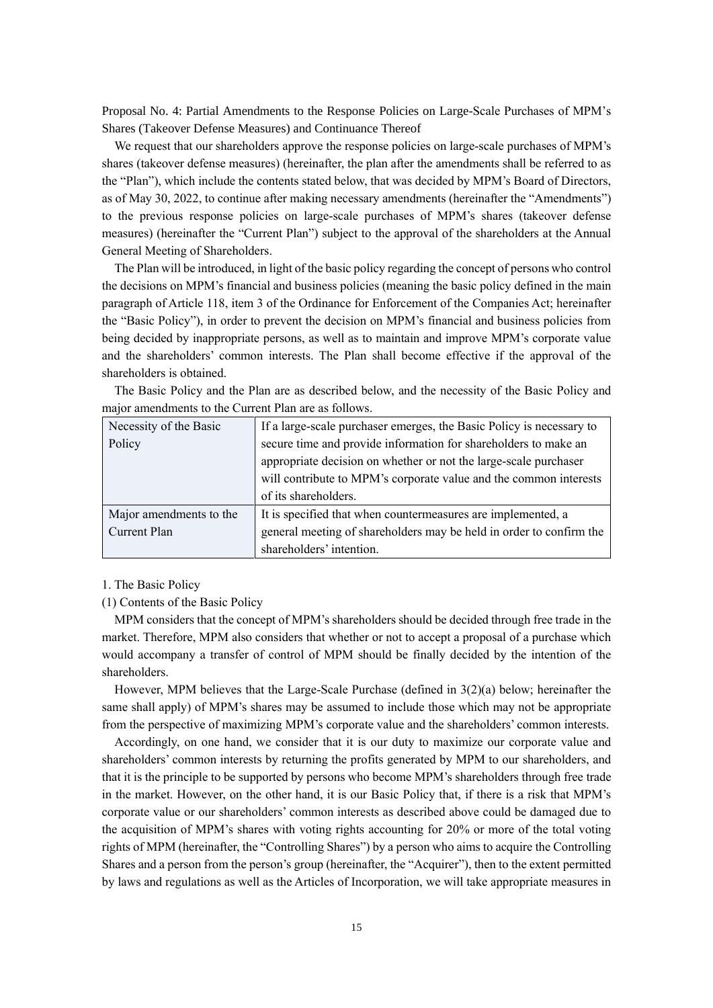Proposal No. 4: Partial Amendments to the Response Policies on Large-Scale Purchases of MPM's Shares (Takeover Defense Measures) and Continuance Thereof

We request that our shareholders approve the response policies on large-scale purchases of MPM's shares (takeover defense measures) (hereinafter, the plan after the amendments shall be referred to as the "Plan"), which include the contents stated below, that was decided by MPM's Board of Directors, as of May 30, 2022, to continue after making necessary amendments (hereinafter the "Amendments") to the previous response policies on large-scale purchases of MPM's shares (takeover defense measures) (hereinafter the "Current Plan") subject to the approval of the shareholders at the Annual General Meeting of Shareholders.

The Plan will be introduced, in light of the basic policy regarding the concept of persons who control the decisions on MPM's financial and business policies (meaning the basic policy defined in the main paragraph of Article 118, item 3 of the Ordinance for Enforcement of the Companies Act; hereinafter the "Basic Policy"), in order to prevent the decision on MPM's financial and business policies from being decided by inappropriate persons, as well as to maintain and improve MPM's corporate value and the shareholders' common interests. The Plan shall become effective if the approval of the shareholders is obtained.

The Basic Policy and the Plan are as described below, and the necessity of the Basic Policy and major amendments to the Current Plan are as follows.

| Necessity of the Basic  | If a large-scale purchaser emerges, the Basic Policy is necessary to |
|-------------------------|----------------------------------------------------------------------|
| Policy                  | secure time and provide information for shareholders to make an      |
|                         | appropriate decision on whether or not the large-scale purchaser     |
|                         | will contribute to MPM's corporate value and the common interests    |
|                         | of its shareholders.                                                 |
| Major amendments to the | It is specified that when countermeasures are implemented, a         |
| <b>Current Plan</b>     | general meeting of shareholders may be held in order to confirm the  |
|                         | shareholders' intention.                                             |

#### 1. The Basic Policy

#### (1) Contents of the Basic Policy

MPM considers that the concept of MPM's shareholders should be decided through free trade in the market. Therefore, MPM also considers that whether or not to accept a proposal of a purchase which would accompany a transfer of control of MPM should be finally decided by the intention of the shareholders.

However, MPM believes that the Large-Scale Purchase (defined in 3(2)(a) below; hereinafter the same shall apply) of MPM's shares may be assumed to include those which may not be appropriate from the perspective of maximizing MPM's corporate value and the shareholders' common interests.

Accordingly, on one hand, we consider that it is our duty to maximize our corporate value and shareholders' common interests by returning the profits generated by MPM to our shareholders, and that it is the principle to be supported by persons who become MPM's shareholders through free trade in the market. However, on the other hand, it is our Basic Policy that, if there is a risk that MPM's corporate value or our shareholders' common interests as described above could be damaged due to the acquisition of MPM's shares with voting rights accounting for 20% or more of the total voting rights of MPM (hereinafter, the "Controlling Shares") by a person who aims to acquire the Controlling Shares and a person from the person's group (hereinafter, the "Acquirer"), then to the extent permitted by laws and regulations as well as the Articles of Incorporation, we will take appropriate measures in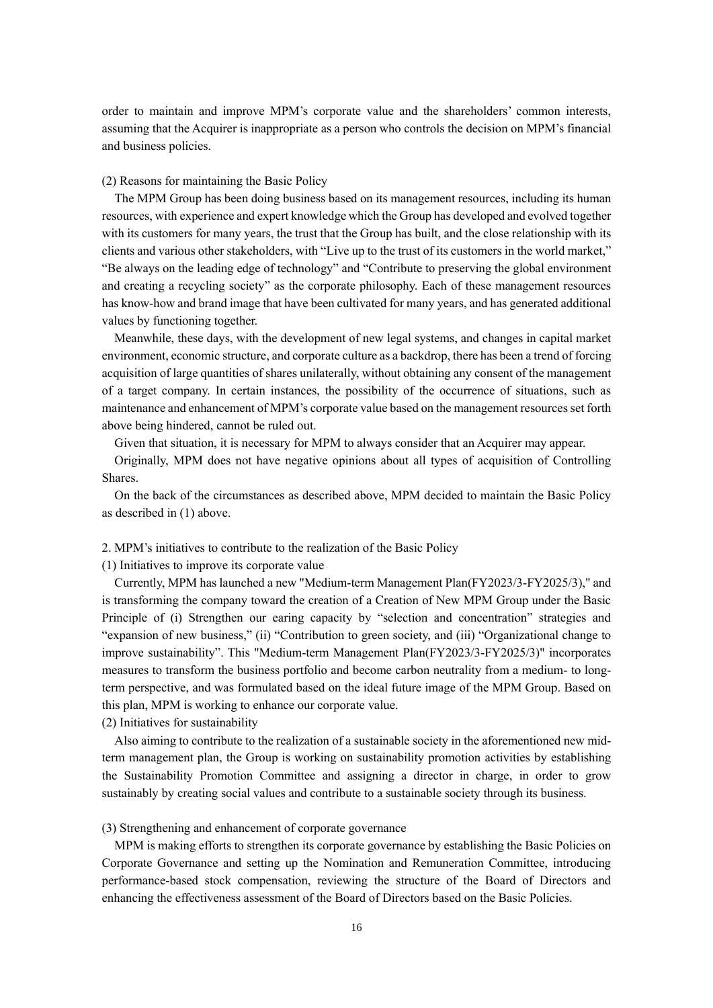order to maintain and improve MPM's corporate value and the shareholders' common interests, assuming that the Acquirer is inappropriate as a person who controls the decision on MPM's financial and business policies.

#### (2) Reasons for maintaining the Basic Policy

The MPM Group has been doing business based on its management resources, including its human resources, with experience and expert knowledge which the Group has developed and evolved together with its customers for many years, the trust that the Group has built, and the close relationship with its clients and various other stakeholders, with "Live up to the trust of its customers in the world market," "Be always on the leading edge of technology" and "Contribute to preserving the global environment and creating a recycling society" as the corporate philosophy. Each of these management resources has know-how and brand image that have been cultivated for many years, and has generated additional values by functioning together.

Meanwhile, these days, with the development of new legal systems, and changes in capital market environment, economic structure, and corporate culture as a backdrop, there has been a trend of forcing acquisition of large quantities of shares unilaterally, without obtaining any consent of the management of a target company. In certain instances, the possibility of the occurrence of situations, such as maintenance and enhancement of MPM's corporate value based on the management resources set forth above being hindered, cannot be ruled out.

Given that situation, it is necessary for MPM to always consider that an Acquirer may appear.

Originally, MPM does not have negative opinions about all types of acquisition of Controlling Shares.

On the back of the circumstances as described above, MPM decided to maintain the Basic Policy as described in (1) above.

#### 2. MPM's initiatives to contribute to the realization of the Basic Policy

(1) Initiatives to improve its corporate value

Currently, MPM has launched a new "Medium-term Management Plan(FY2023/3-FY2025/3)," and is transforming the company toward the creation of a Creation of New MPM Group under the Basic Principle of (i) Strengthen our earing capacity by "selection and concentration" strategies and "expansion of new business," (ii) "Contribution to green society, and (iii) "Organizational change to improve sustainability". This "Medium-term Management Plan(FY2023/3-FY2025/3)" incorporates measures to transform the business portfolio and become carbon neutrality from a medium- to longterm perspective, and was formulated based on the ideal future image of the MPM Group. Based on this plan, MPM is working to enhance our corporate value.

(2) Initiatives for sustainability

Also aiming to contribute to the realization of a sustainable society in the aforementioned new midterm management plan, the Group is working on sustainability promotion activities by establishing the Sustainability Promotion Committee and assigning a director in charge, in order to grow sustainably by creating social values and contribute to a sustainable society through its business.

#### (3) Strengthening and enhancement of corporate governance

MPM is making efforts to strengthen its corporate governance by establishing the Basic Policies on Corporate Governance and setting up the Nomination and Remuneration Committee, introducing performance-based stock compensation, reviewing the structure of the Board of Directors and enhancing the effectiveness assessment of the Board of Directors based on the Basic Policies.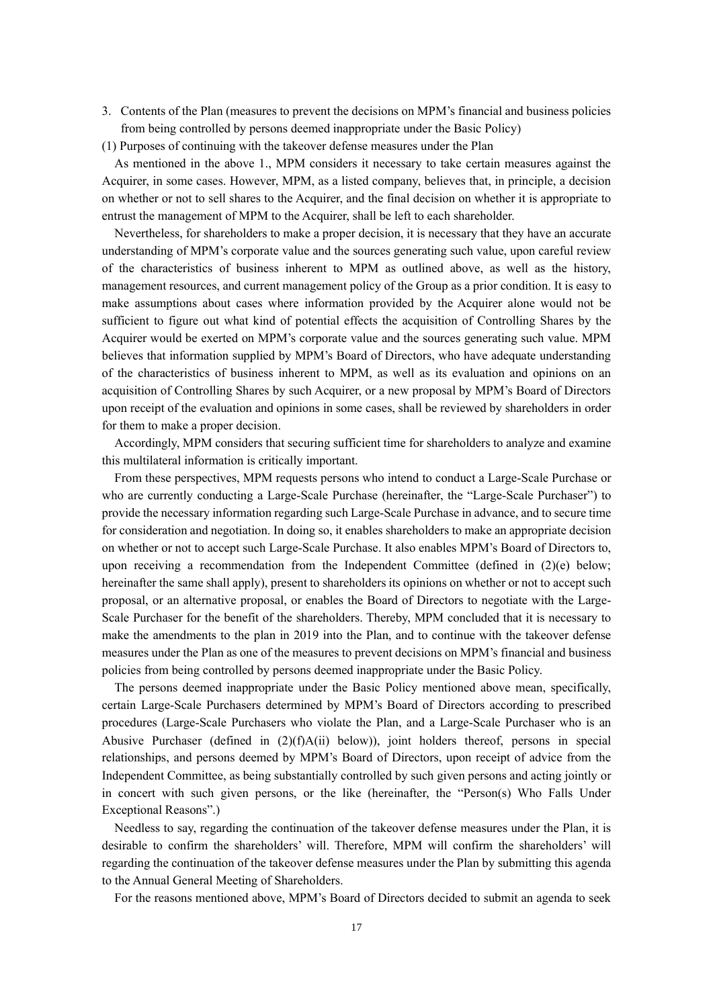3. Contents of the Plan (measures to prevent the decisions on MPM's financial and business policies from being controlled by persons deemed inappropriate under the Basic Policy)

(1) Purposes of continuing with the takeover defense measures under the Plan

As mentioned in the above 1., MPM considers it necessary to take certain measures against the Acquirer, in some cases. However, MPM, as a listed company, believes that, in principle, a decision on whether or not to sell shares to the Acquirer, and the final decision on whether it is appropriate to entrust the management of MPM to the Acquirer, shall be left to each shareholder.

Nevertheless, for shareholders to make a proper decision, it is necessary that they have an accurate understanding of MPM's corporate value and the sources generating such value, upon careful review of the characteristics of business inherent to MPM as outlined above, as well as the history, management resources, and current management policy of the Group as a prior condition. It is easy to make assumptions about cases where information provided by the Acquirer alone would not be sufficient to figure out what kind of potential effects the acquisition of Controlling Shares by the Acquirer would be exerted on MPM's corporate value and the sources generating such value. MPM believes that information supplied by MPM's Board of Directors, who have adequate understanding of the characteristics of business inherent to MPM, as well as its evaluation and opinions on an acquisition of Controlling Shares by such Acquirer, or a new proposal by MPM's Board of Directors upon receipt of the evaluation and opinions in some cases, shall be reviewed by shareholders in order for them to make a proper decision.

Accordingly, MPM considers that securing sufficient time for shareholders to analyze and examine this multilateral information is critically important.

From these perspectives, MPM requests persons who intend to conduct a Large-Scale Purchase or who are currently conducting a Large-Scale Purchase (hereinafter, the "Large-Scale Purchaser") to provide the necessary information regarding such Large-Scale Purchase in advance, and to secure time for consideration and negotiation. In doing so, it enables shareholders to make an appropriate decision on whether or not to accept such Large-Scale Purchase. It also enables MPM's Board of Directors to, upon receiving a recommendation from the Independent Committee (defined in (2)(e) below; hereinafter the same shall apply), present to shareholders its opinions on whether or not to accept such proposal, or an alternative proposal, or enables the Board of Directors to negotiate with the Large-Scale Purchaser for the benefit of the shareholders. Thereby, MPM concluded that it is necessary to make the amendments to the plan in 2019 into the Plan, and to continue with the takeover defense measures under the Plan as one of the measures to prevent decisions on MPM's financial and business policies from being controlled by persons deemed inappropriate under the Basic Policy.

The persons deemed inappropriate under the Basic Policy mentioned above mean, specifically, certain Large-Scale Purchasers determined by MPM's Board of Directors according to prescribed procedures (Large-Scale Purchasers who violate the Plan, and a Large-Scale Purchaser who is an Abusive Purchaser (defined in (2)(f)A(ii) below)), joint holders thereof, persons in special relationships, and persons deemed by MPM's Board of Directors, upon receipt of advice from the Independent Committee, as being substantially controlled by such given persons and acting jointly or in concert with such given persons, or the like (hereinafter, the "Person(s) Who Falls Under Exceptional Reasons".)

Needless to say, regarding the continuation of the takeover defense measures under the Plan, it is desirable to confirm the shareholders' will. Therefore, MPM will confirm the shareholders' will regarding the continuation of the takeover defense measures under the Plan by submitting this agenda to the Annual General Meeting of Shareholders.

For the reasons mentioned above, MPM's Board of Directors decided to submit an agenda to seek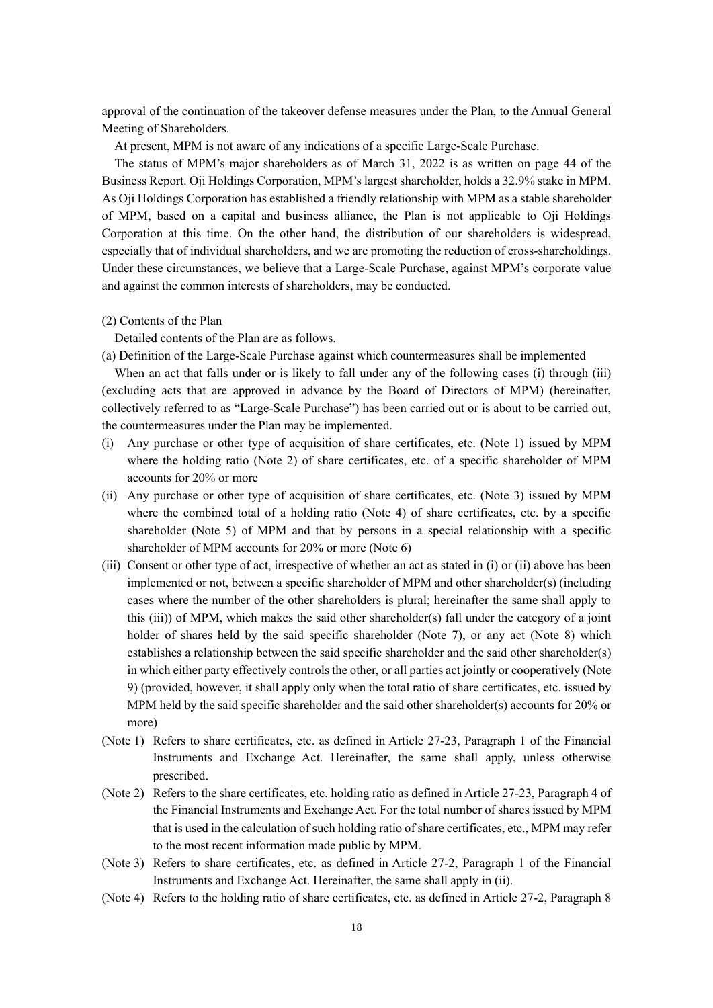approval of the continuation of the takeover defense measures under the Plan, to the Annual General Meeting of Shareholders.

At present, MPM is not aware of any indications of a specific Large-Scale Purchase.

The status of MPM's major shareholders as of March 31, 2022 is as written on page 44 of the Business Report. Oji Holdings Corporation, MPM's largest shareholder, holds a 32.9% stake in MPM. As Oji Holdings Corporation has established a friendly relationship with MPM as a stable shareholder of MPM, based on a capital and business alliance, the Plan is not applicable to Oji Holdings Corporation at this time. On the other hand, the distribution of our shareholders is widespread, especially that of individual shareholders, and we are promoting the reduction of cross-shareholdings. Under these circumstances, we believe that a Large-Scale Purchase, against MPM's corporate value and against the common interests of shareholders, may be conducted.

(2) Contents of the Plan

Detailed contents of the Plan are as follows.

(a) Definition of the Large-Scale Purchase against which countermeasures shall be implemented

When an act that falls under or is likely to fall under any of the following cases (i) through (iii) (excluding acts that are approved in advance by the Board of Directors of MPM) (hereinafter, collectively referred to as "Large-Scale Purchase") has been carried out or is about to be carried out, the countermeasures under the Plan may be implemented.

- (i) Any purchase or other type of acquisition of share certificates, etc. (Note 1) issued by MPM where the holding ratio (Note 2) of share certificates, etc. of a specific shareholder of MPM accounts for 20% or more
- (ii) Any purchase or other type of acquisition of share certificates, etc. (Note 3) issued by MPM where the combined total of a holding ratio (Note 4) of share certificates, etc. by a specific shareholder (Note 5) of MPM and that by persons in a special relationship with a specific shareholder of MPM accounts for 20% or more (Note 6)
- (iii) Consent or other type of act, irrespective of whether an act as stated in (i) or (ii) above has been implemented or not, between a specific shareholder of MPM and other shareholder(s) (including cases where the number of the other shareholders is plural; hereinafter the same shall apply to this (iii)) of MPM, which makes the said other shareholder(s) fall under the category of a joint holder of shares held by the said specific shareholder (Note 7), or any act (Note 8) which establishes a relationship between the said specific shareholder and the said other shareholder(s) in which either party effectively controls the other, or all parties act jointly or cooperatively (Note 9) (provided, however, it shall apply only when the total ratio of share certificates, etc. issued by MPM held by the said specific shareholder and the said other shareholder(s) accounts for 20% or more)
- (Note 1) Refers to share certificates, etc. as defined in Article 27-23, Paragraph 1 of the Financial Instruments and Exchange Act. Hereinafter, the same shall apply, unless otherwise prescribed.
- (Note 2) Refers to the share certificates, etc. holding ratio as defined in Article 27-23, Paragraph 4 of the Financial Instruments and Exchange Act. For the total number of shares issued by MPM that is used in the calculation of such holding ratio of share certificates, etc., MPM may refer to the most recent information made public by MPM.
- (Note 3) Refers to share certificates, etc. as defined in Article 27-2, Paragraph 1 of the Financial Instruments and Exchange Act. Hereinafter, the same shall apply in (ii).
- (Note 4) Refers to the holding ratio of share certificates, etc. as defined in Article 27-2, Paragraph 8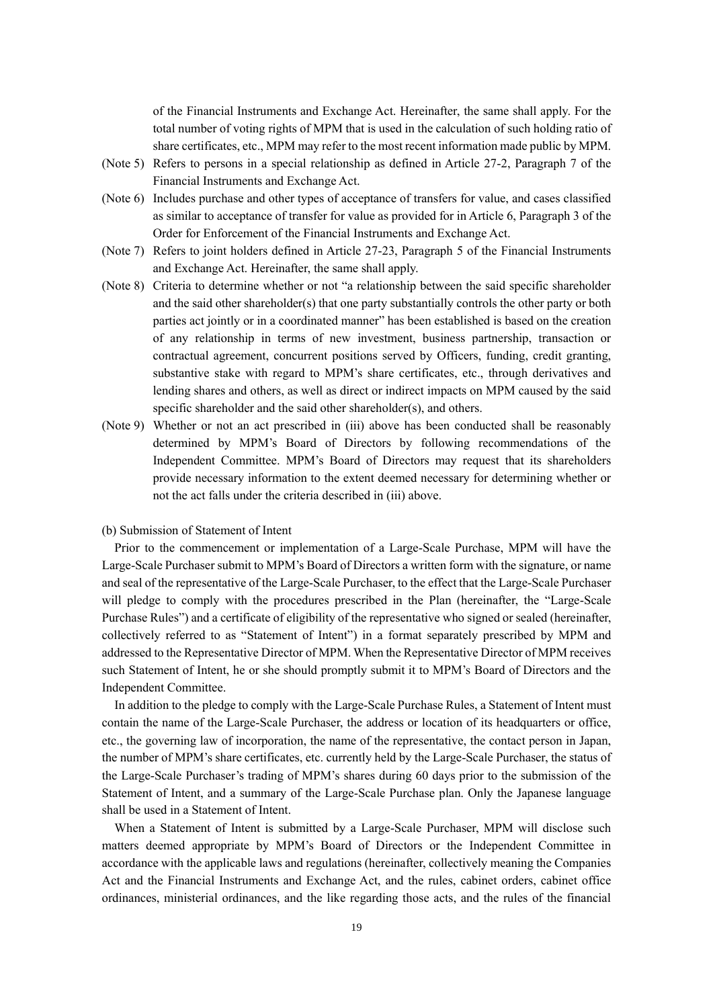of the Financial Instruments and Exchange Act. Hereinafter, the same shall apply. For the total number of voting rights of MPM that is used in the calculation of such holding ratio of share certificates, etc., MPM may refer to the most recent information made public by MPM.

- (Note 5) Refers to persons in a special relationship as defined in Article 27-2, Paragraph 7 of the Financial Instruments and Exchange Act.
- (Note 6) Includes purchase and other types of acceptance of transfers for value, and cases classified as similar to acceptance of transfer for value as provided for in Article 6, Paragraph 3 of the Order for Enforcement of the Financial Instruments and Exchange Act.
- (Note 7) Refers to joint holders defined in Article 27-23, Paragraph 5 of the Financial Instruments and Exchange Act. Hereinafter, the same shall apply.
- (Note 8) Criteria to determine whether or not "a relationship between the said specific shareholder and the said other shareholder(s) that one party substantially controls the other party or both parties act jointly or in a coordinated manner" has been established is based on the creation of any relationship in terms of new investment, business partnership, transaction or contractual agreement, concurrent positions served by Officers, funding, credit granting, substantive stake with regard to MPM's share certificates, etc., through derivatives and lending shares and others, as well as direct or indirect impacts on MPM caused by the said specific shareholder and the said other shareholder(s), and others.
- (Note 9) Whether or not an act prescribed in (iii) above has been conducted shall be reasonably determined by MPM's Board of Directors by following recommendations of the Independent Committee. MPM's Board of Directors may request that its shareholders provide necessary information to the extent deemed necessary for determining whether or not the act falls under the criteria described in (iii) above.

(b) Submission of Statement of Intent

Prior to the commencement or implementation of a Large-Scale Purchase, MPM will have the Large-Scale Purchaser submit to MPM's Board of Directors a written form with the signature, or name and seal of the representative of the Large-Scale Purchaser, to the effect that the Large-Scale Purchaser will pledge to comply with the procedures prescribed in the Plan (hereinafter, the "Large-Scale Purchase Rules") and a certificate of eligibility of the representative who signed or sealed (hereinafter, collectively referred to as "Statement of Intent") in a format separately prescribed by MPM and addressed to the Representative Director of MPM. When the Representative Director of MPM receives such Statement of Intent, he or she should promptly submit it to MPM's Board of Directors and the Independent Committee.

In addition to the pledge to comply with the Large-Scale Purchase Rules, a Statement of Intent must contain the name of the Large-Scale Purchaser, the address or location of its headquarters or office, etc., the governing law of incorporation, the name of the representative, the contact person in Japan, the number of MPM's share certificates, etc. currently held by the Large-Scale Purchaser, the status of the Large-Scale Purchaser's trading of MPM's shares during 60 days prior to the submission of the Statement of Intent, and a summary of the Large-Scale Purchase plan. Only the Japanese language shall be used in a Statement of Intent.

When a Statement of Intent is submitted by a Large-Scale Purchaser, MPM will disclose such matters deemed appropriate by MPM's Board of Directors or the Independent Committee in accordance with the applicable laws and regulations (hereinafter, collectively meaning the Companies Act and the Financial Instruments and Exchange Act, and the rules, cabinet orders, cabinet office ordinances, ministerial ordinances, and the like regarding those acts, and the rules of the financial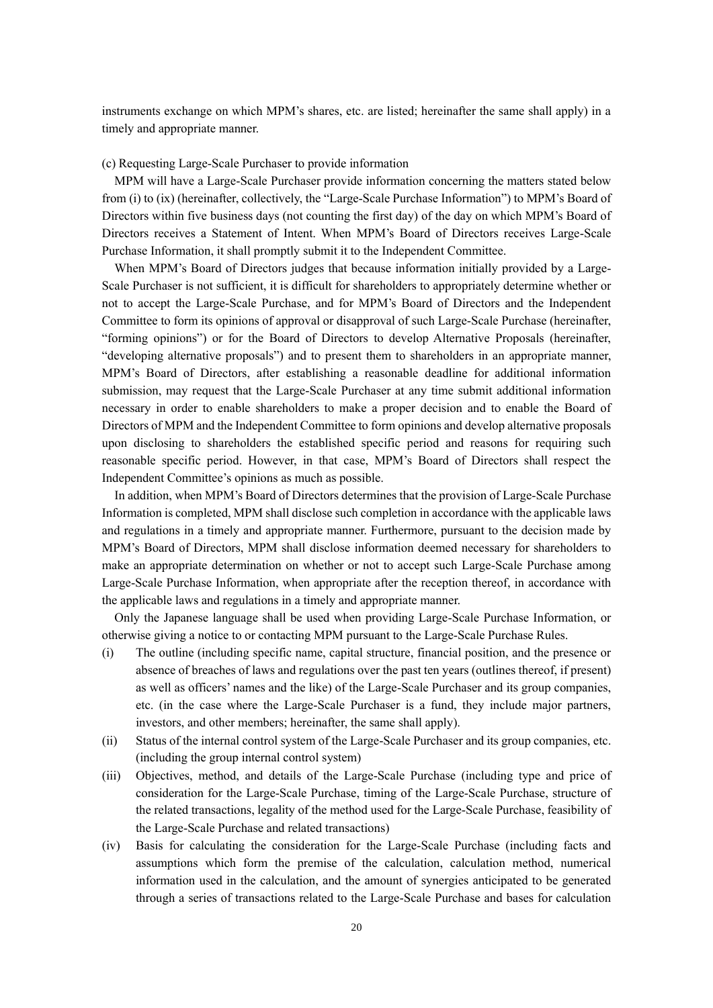instruments exchange on which MPM's shares, etc. are listed; hereinafter the same shall apply) in a timely and appropriate manner.

#### (c) Requesting Large-Scale Purchaser to provide information

MPM will have a Large-Scale Purchaser provide information concerning the matters stated below from (i) to (ix) (hereinafter, collectively, the "Large-Scale Purchase Information") to MPM's Board of Directors within five business days (not counting the first day) of the day on which MPM's Board of Directors receives a Statement of Intent. When MPM's Board of Directors receives Large-Scale Purchase Information, it shall promptly submit it to the Independent Committee.

When MPM's Board of Directors judges that because information initially provided by a Large-Scale Purchaser is not sufficient, it is difficult for shareholders to appropriately determine whether or not to accept the Large-Scale Purchase, and for MPM's Board of Directors and the Independent Committee to form its opinions of approval or disapproval of such Large-Scale Purchase (hereinafter, "forming opinions") or for the Board of Directors to develop Alternative Proposals (hereinafter, "developing alternative proposals") and to present them to shareholders in an appropriate manner, MPM's Board of Directors, after establishing a reasonable deadline for additional information submission, may request that the Large-Scale Purchaser at any time submit additional information necessary in order to enable shareholders to make a proper decision and to enable the Board of Directors of MPM and the Independent Committee to form opinions and develop alternative proposals upon disclosing to shareholders the established specific period and reasons for requiring such reasonable specific period. However, in that case, MPM's Board of Directors shall respect the Independent Committee's opinions as much as possible.

In addition, when MPM's Board of Directors determines that the provision of Large-Scale Purchase Information is completed, MPM shall disclose such completion in accordance with the applicable laws and regulations in a timely and appropriate manner. Furthermore, pursuant to the decision made by MPM's Board of Directors, MPM shall disclose information deemed necessary for shareholders to make an appropriate determination on whether or not to accept such Large-Scale Purchase among Large-Scale Purchase Information, when appropriate after the reception thereof, in accordance with the applicable laws and regulations in a timely and appropriate manner.

Only the Japanese language shall be used when providing Large-Scale Purchase Information, or otherwise giving a notice to or contacting MPM pursuant to the Large-Scale Purchase Rules.

- (i) The outline (including specific name, capital structure, financial position, and the presence or absence of breaches of laws and regulations over the past ten years (outlines thereof, if present) as well as officers' names and the like) of the Large-Scale Purchaser and its group companies, etc. (in the case where the Large-Scale Purchaser is a fund, they include major partners, investors, and other members; hereinafter, the same shall apply).
- (ii) Status of the internal control system of the Large-Scale Purchaser and its group companies, etc. (including the group internal control system)
- (iii) Objectives, method, and details of the Large-Scale Purchase (including type and price of consideration for the Large-Scale Purchase, timing of the Large-Scale Purchase, structure of the related transactions, legality of the method used for the Large-Scale Purchase, feasibility of the Large-Scale Purchase and related transactions)
- (iv) Basis for calculating the consideration for the Large-Scale Purchase (including facts and assumptions which form the premise of the calculation, calculation method, numerical information used in the calculation, and the amount of synergies anticipated to be generated through a series of transactions related to the Large-Scale Purchase and bases for calculation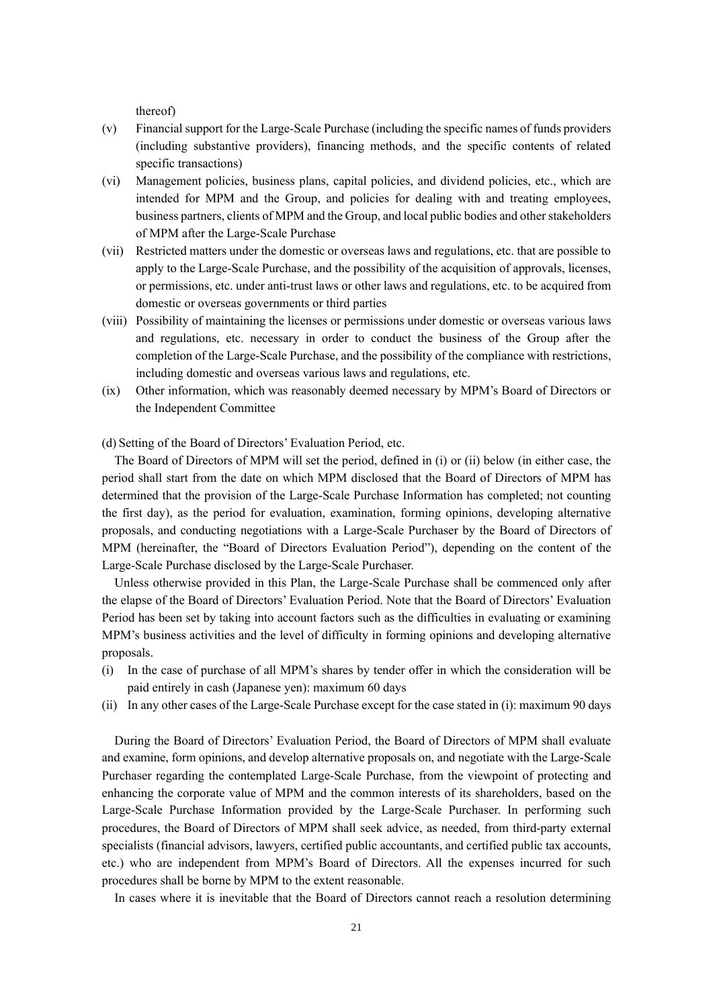thereof)

- (v) Financial support for the Large-Scale Purchase (including the specific names of funds providers (including substantive providers), financing methods, and the specific contents of related specific transactions)
- (vi) Management policies, business plans, capital policies, and dividend policies, etc., which are intended for MPM and the Group, and policies for dealing with and treating employees, business partners, clients of MPM and the Group, and local public bodies and other stakeholders of MPM after the Large-Scale Purchase
- (vii) Restricted matters under the domestic or overseas laws and regulations, etc. that are possible to apply to the Large-Scale Purchase, and the possibility of the acquisition of approvals, licenses, or permissions, etc. under anti-trust laws or other laws and regulations, etc. to be acquired from domestic or overseas governments or third parties
- (viii) Possibility of maintaining the licenses or permissions under domestic or overseas various laws and regulations, etc. necessary in order to conduct the business of the Group after the completion of the Large-Scale Purchase, and the possibility of the compliance with restrictions, including domestic and overseas various laws and regulations, etc.
- (ix) Other information, which was reasonably deemed necessary by MPM's Board of Directors or the Independent Committee

(d) Setting of the Board of Directors' Evaluation Period, etc.

The Board of Directors of MPM will set the period, defined in (i) or (ii) below (in either case, the period shall start from the date on which MPM disclosed that the Board of Directors of MPM has determined that the provision of the Large-Scale Purchase Information has completed; not counting the first day), as the period for evaluation, examination, forming opinions, developing alternative proposals, and conducting negotiations with a Large-Scale Purchaser by the Board of Directors of MPM (hereinafter, the "Board of Directors Evaluation Period"), depending on the content of the Large-Scale Purchase disclosed by the Large-Scale Purchaser.

Unless otherwise provided in this Plan, the Large-Scale Purchase shall be commenced only after the elapse of the Board of Directors' Evaluation Period. Note that the Board of Directors' Evaluation Period has been set by taking into account factors such as the difficulties in evaluating or examining MPM's business activities and the level of difficulty in forming opinions and developing alternative proposals.

- (i) In the case of purchase of all MPM's shares by tender offer in which the consideration will be paid entirely in cash (Japanese yen): maximum 60 days
- (ii) In any other cases of the Large-Scale Purchase except for the case stated in (i): maximum 90 days

During the Board of Directors' Evaluation Period, the Board of Directors of MPM shall evaluate and examine, form opinions, and develop alternative proposals on, and negotiate with the Large-Scale Purchaser regarding the contemplated Large-Scale Purchase, from the viewpoint of protecting and enhancing the corporate value of MPM and the common interests of its shareholders, based on the Large-Scale Purchase Information provided by the Large-Scale Purchaser. In performing such procedures, the Board of Directors of MPM shall seek advice, as needed, from third-party external specialists (financial advisors, lawyers, certified public accountants, and certified public tax accounts, etc.) who are independent from MPM's Board of Directors. All the expenses incurred for such procedures shall be borne by MPM to the extent reasonable.

In cases where it is inevitable that the Board of Directors cannot reach a resolution determining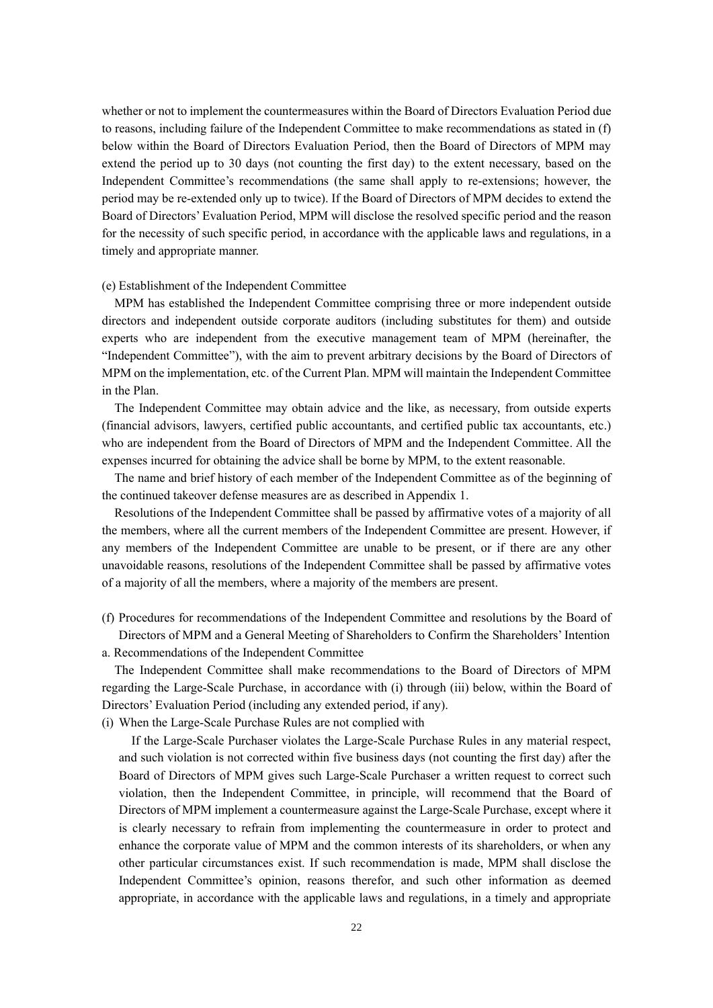whether or not to implement the countermeasures within the Board of Directors Evaluation Period due to reasons, including failure of the Independent Committee to make recommendations as stated in (f) below within the Board of Directors Evaluation Period, then the Board of Directors of MPM may extend the period up to 30 days (not counting the first day) to the extent necessary, based on the Independent Committee's recommendations (the same shall apply to re-extensions; however, the period may be re-extended only up to twice). If the Board of Directors of MPM decides to extend the Board of Directors' Evaluation Period, MPM will disclose the resolved specific period and the reason for the necessity of such specific period, in accordance with the applicable laws and regulations, in a timely and appropriate manner.

#### (e) Establishment of the Independent Committee

MPM has established the Independent Committee comprising three or more independent outside directors and independent outside corporate auditors (including substitutes for them) and outside experts who are independent from the executive management team of MPM (hereinafter, the "Independent Committee"), with the aim to prevent arbitrary decisions by the Board of Directors of MPM on the implementation, etc. of the Current Plan. MPM will maintain the Independent Committee in the Plan.

The Independent Committee may obtain advice and the like, as necessary, from outside experts (financial advisors, lawyers, certified public accountants, and certified public tax accountants, etc.) who are independent from the Board of Directors of MPM and the Independent Committee. All the expenses incurred for obtaining the advice shall be borne by MPM, to the extent reasonable.

The name and brief history of each member of the Independent Committee as of the beginning of the continued takeover defense measures are as described in Appendix 1.

Resolutions of the Independent Committee shall be passed by affirmative votes of a majority of all the members, where all the current members of the Independent Committee are present. However, if any members of the Independent Committee are unable to be present, or if there are any other unavoidable reasons, resolutions of the Independent Committee shall be passed by affirmative votes of a majority of all the members, where a majority of the members are present.

(f) Procedures for recommendations of the Independent Committee and resolutions by the Board of Directors of MPM and a General Meeting of Shareholders to Confirm the Shareholders' Intention

a. Recommendations of the Independent Committee

The Independent Committee shall make recommendations to the Board of Directors of MPM regarding the Large-Scale Purchase, in accordance with (i) through (iii) below, within the Board of Directors' Evaluation Period (including any extended period, if any).

(i) When the Large-Scale Purchase Rules are not complied with

If the Large-Scale Purchaser violates the Large-Scale Purchase Rules in any material respect, and such violation is not corrected within five business days (not counting the first day) after the Board of Directors of MPM gives such Large-Scale Purchaser a written request to correct such violation, then the Independent Committee, in principle, will recommend that the Board of Directors of MPM implement a countermeasure against the Large-Scale Purchase, except where it is clearly necessary to refrain from implementing the countermeasure in order to protect and enhance the corporate value of MPM and the common interests of its shareholders, or when any other particular circumstances exist. If such recommendation is made, MPM shall disclose the Independent Committee's opinion, reasons therefor, and such other information as deemed appropriate, in accordance with the applicable laws and regulations, in a timely and appropriate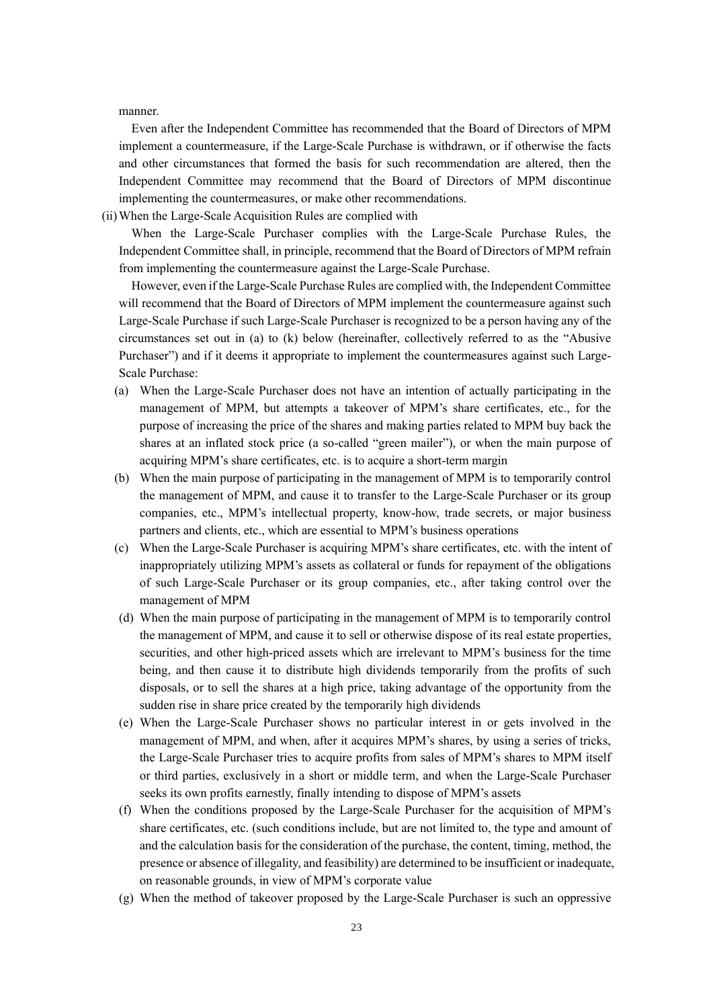manner.

Even after the Independent Committee has recommended that the Board of Directors of MPM implement a countermeasure, if the Large-Scale Purchase is withdrawn, or if otherwise the facts and other circumstances that formed the basis for such recommendation are altered, then the Independent Committee may recommend that the Board of Directors of MPM discontinue implementing the countermeasures, or make other recommendations.

(ii)When the Large-Scale Acquisition Rules are complied with

When the Large-Scale Purchaser complies with the Large-Scale Purchase Rules, the Independent Committee shall, in principle, recommend that the Board of Directors of MPM refrain from implementing the countermeasure against the Large-Scale Purchase.

However, even if the Large-Scale Purchase Rules are complied with, the Independent Committee will recommend that the Board of Directors of MPM implement the countermeasure against such Large-Scale Purchase if such Large-Scale Purchaser is recognized to be a person having any of the circumstances set out in (a) to (k) below (hereinafter, collectively referred to as the "Abusive Purchaser") and if it deems it appropriate to implement the countermeasures against such Large-Scale Purchase:

- (a) When the Large-Scale Purchaser does not have an intention of actually participating in the management of MPM, but attempts a takeover of MPM's share certificates, etc., for the purpose of increasing the price of the shares and making parties related to MPM buy back the shares at an inflated stock price (a so-called "green mailer"), or when the main purpose of acquiring MPM's share certificates, etc. is to acquire a short-term margin
- (b) When the main purpose of participating in the management of MPM is to temporarily control the management of MPM, and cause it to transfer to the Large-Scale Purchaser or its group companies, etc., MPM's intellectual property, know-how, trade secrets, or major business partners and clients, etc., which are essential to MPM's business operations
- (c) When the Large-Scale Purchaser is acquiring MPM's share certificates, etc. with the intent of inappropriately utilizing MPM's assets as collateral or funds for repayment of the obligations of such Large-Scale Purchaser or its group companies, etc., after taking control over the management of MPM
- (d) When the main purpose of participating in the management of MPM is to temporarily control the management of MPM, and cause it to sell or otherwise dispose of its real estate properties, securities, and other high-priced assets which are irrelevant to MPM's business for the time being, and then cause it to distribute high dividends temporarily from the profits of such disposals, or to sell the shares at a high price, taking advantage of the opportunity from the sudden rise in share price created by the temporarily high dividends
- (e) When the Large-Scale Purchaser shows no particular interest in or gets involved in the management of MPM, and when, after it acquires MPM's shares, by using a series of tricks, the Large-Scale Purchaser tries to acquire profits from sales of MPM's shares to MPM itself or third parties, exclusively in a short or middle term, and when the Large-Scale Purchaser seeks its own profits earnestly, finally intending to dispose of MPM's assets
- (f) When the conditions proposed by the Large-Scale Purchaser for the acquisition of MPM's share certificates, etc. (such conditions include, but are not limited to, the type and amount of and the calculation basis for the consideration of the purchase, the content, timing, method, the presence or absence of illegality, and feasibility) are determined to be insufficient or inadequate, on reasonable grounds, in view of MPM's corporate value
- (g) When the method of takeover proposed by the Large-Scale Purchaser is such an oppressive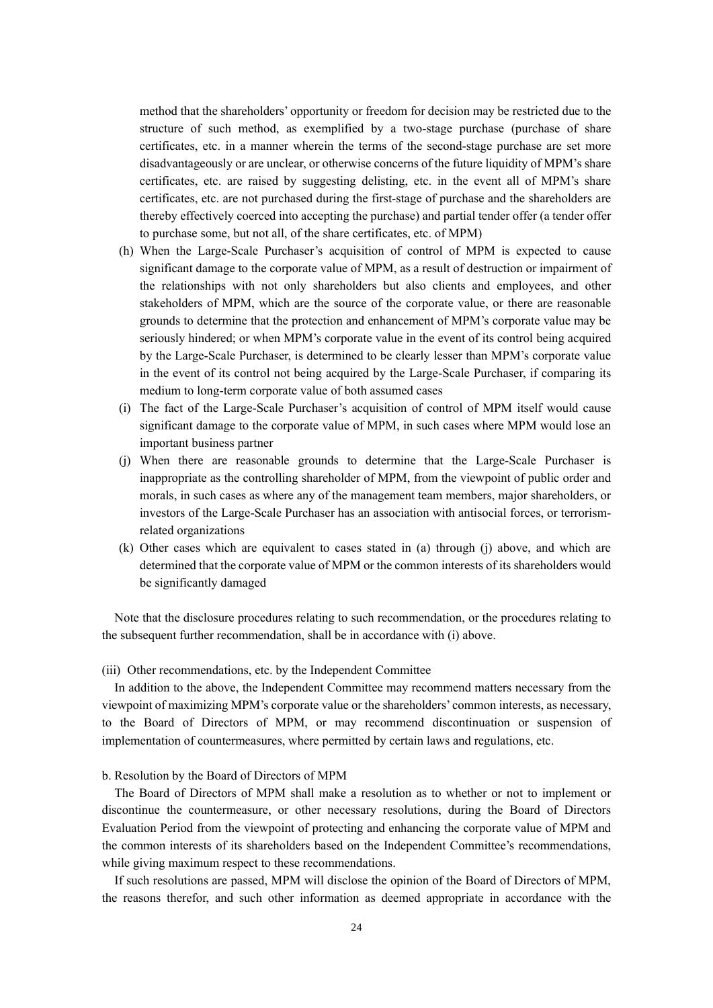method that the shareholders' opportunity or freedom for decision may be restricted due to the structure of such method, as exemplified by a two-stage purchase (purchase of share certificates, etc. in a manner wherein the terms of the second-stage purchase are set more disadvantageously or are unclear, or otherwise concerns of the future liquidity of MPM's share certificates, etc. are raised by suggesting delisting, etc. in the event all of MPM's share certificates, etc. are not purchased during the first-stage of purchase and the shareholders are thereby effectively coerced into accepting the purchase) and partial tender offer (a tender offer to purchase some, but not all, of the share certificates, etc. of MPM)

- (h) When the Large-Scale Purchaser's acquisition of control of MPM is expected to cause significant damage to the corporate value of MPM, as a result of destruction or impairment of the relationships with not only shareholders but also clients and employees, and other stakeholders of MPM, which are the source of the corporate value, or there are reasonable grounds to determine that the protection and enhancement of MPM's corporate value may be seriously hindered; or when MPM's corporate value in the event of its control being acquired by the Large-Scale Purchaser, is determined to be clearly lesser than MPM's corporate value in the event of its control not being acquired by the Large-Scale Purchaser, if comparing its medium to long-term corporate value of both assumed cases
- (i) The fact of the Large-Scale Purchaser's acquisition of control of MPM itself would cause significant damage to the corporate value of MPM, in such cases where MPM would lose an important business partner
- (j) When there are reasonable grounds to determine that the Large-Scale Purchaser is inappropriate as the controlling shareholder of MPM, from the viewpoint of public order and morals, in such cases as where any of the management team members, major shareholders, or investors of the Large-Scale Purchaser has an association with antisocial forces, or terrorismrelated organizations
- (k) Other cases which are equivalent to cases stated in (a) through (j) above, and which are determined that the corporate value of MPM or the common interests of its shareholders would be significantly damaged

Note that the disclosure procedures relating to such recommendation, or the procedures relating to the subsequent further recommendation, shall be in accordance with (i) above.

#### (iii) Other recommendations, etc. by the Independent Committee

In addition to the above, the Independent Committee may recommend matters necessary from the viewpoint of maximizing MPM's corporate value or the shareholders' common interests, as necessary, to the Board of Directors of MPM, or may recommend discontinuation or suspension of implementation of countermeasures, where permitted by certain laws and regulations, etc.

#### b. Resolution by the Board of Directors of MPM

The Board of Directors of MPM shall make a resolution as to whether or not to implement or discontinue the countermeasure, or other necessary resolutions, during the Board of Directors Evaluation Period from the viewpoint of protecting and enhancing the corporate value of MPM and the common interests of its shareholders based on the Independent Committee's recommendations, while giving maximum respect to these recommendations.

If such resolutions are passed, MPM will disclose the opinion of the Board of Directors of MPM, the reasons therefor, and such other information as deemed appropriate in accordance with the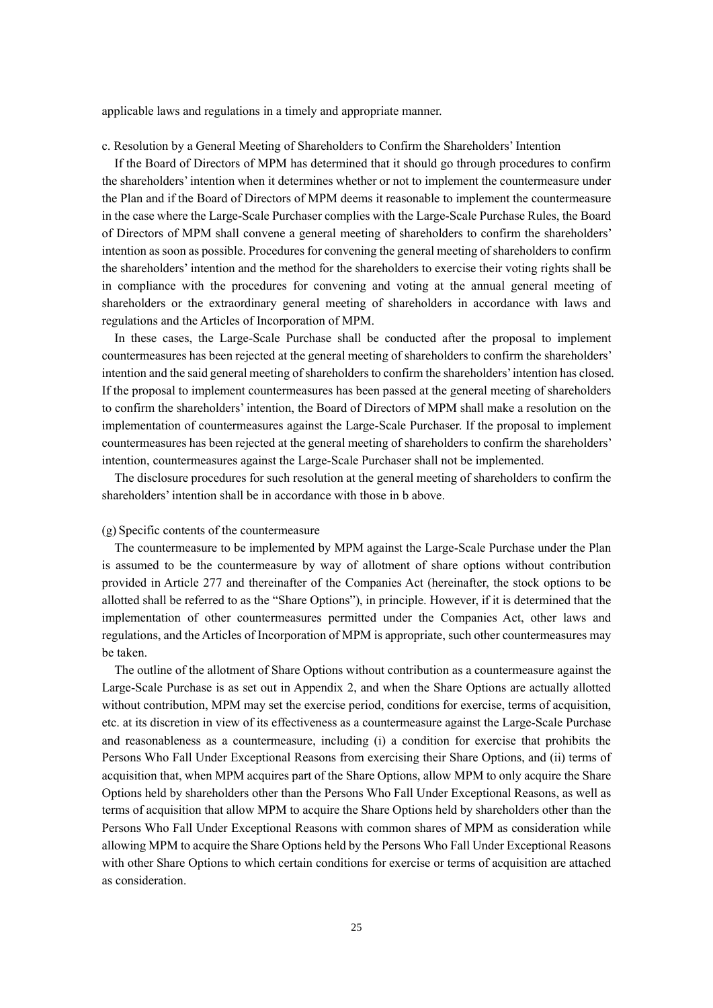applicable laws and regulations in a timely and appropriate manner.

#### c. Resolution by a General Meeting of Shareholders to Confirm the Shareholders' Intention

If the Board of Directors of MPM has determined that it should go through procedures to confirm the shareholders' intention when it determines whether or not to implement the countermeasure under the Plan and if the Board of Directors of MPM deems it reasonable to implement the countermeasure in the case where the Large-Scale Purchaser complies with the Large-Scale Purchase Rules, the Board of Directors of MPM shall convene a general meeting of shareholders to confirm the shareholders' intention as soon as possible. Procedures for convening the general meeting of shareholders to confirm the shareholders' intention and the method for the shareholders to exercise their voting rights shall be in compliance with the procedures for convening and voting at the annual general meeting of shareholders or the extraordinary general meeting of shareholders in accordance with laws and regulations and the Articles of Incorporation of MPM.

In these cases, the Large-Scale Purchase shall be conducted after the proposal to implement countermeasures has been rejected at the general meeting of shareholders to confirm the shareholders' intention and the said general meeting of shareholders to confirm the shareholders' intention has closed. If the proposal to implement countermeasures has been passed at the general meeting of shareholders to confirm the shareholders' intention, the Board of Directors of MPM shall make a resolution on the implementation of countermeasures against the Large-Scale Purchaser. If the proposal to implement countermeasures has been rejected at the general meeting of shareholders to confirm the shareholders' intention, countermeasures against the Large-Scale Purchaser shall not be implemented.

The disclosure procedures for such resolution at the general meeting of shareholders to confirm the shareholders' intention shall be in accordance with those in b above.

### (g) Specific contents of the countermeasure

The countermeasure to be implemented by MPM against the Large-Scale Purchase under the Plan is assumed to be the countermeasure by way of allotment of share options without contribution provided in Article 277 and thereinafter of the Companies Act (hereinafter, the stock options to be allotted shall be referred to as the "Share Options"), in principle. However, if it is determined that the implementation of other countermeasures permitted under the Companies Act, other laws and regulations, and the Articles of Incorporation of MPM is appropriate, such other countermeasures may be taken.

The outline of the allotment of Share Options without contribution as a countermeasure against the Large-Scale Purchase is as set out in Appendix 2, and when the Share Options are actually allotted without contribution, MPM may set the exercise period, conditions for exercise, terms of acquisition, etc. at its discretion in view of its effectiveness as a countermeasure against the Large-Scale Purchase and reasonableness as a countermeasure, including (i) a condition for exercise that prohibits the Persons Who Fall Under Exceptional Reasons from exercising their Share Options, and (ii) terms of acquisition that, when MPM acquires part of the Share Options, allow MPM to only acquire the Share Options held by shareholders other than the Persons Who Fall Under Exceptional Reasons, as well as terms of acquisition that allow MPM to acquire the Share Options held by shareholders other than the Persons Who Fall Under Exceptional Reasons with common shares of MPM as consideration while allowing MPM to acquire the Share Options held by the Persons Who Fall Under Exceptional Reasons with other Share Options to which certain conditions for exercise or terms of acquisition are attached as consideration.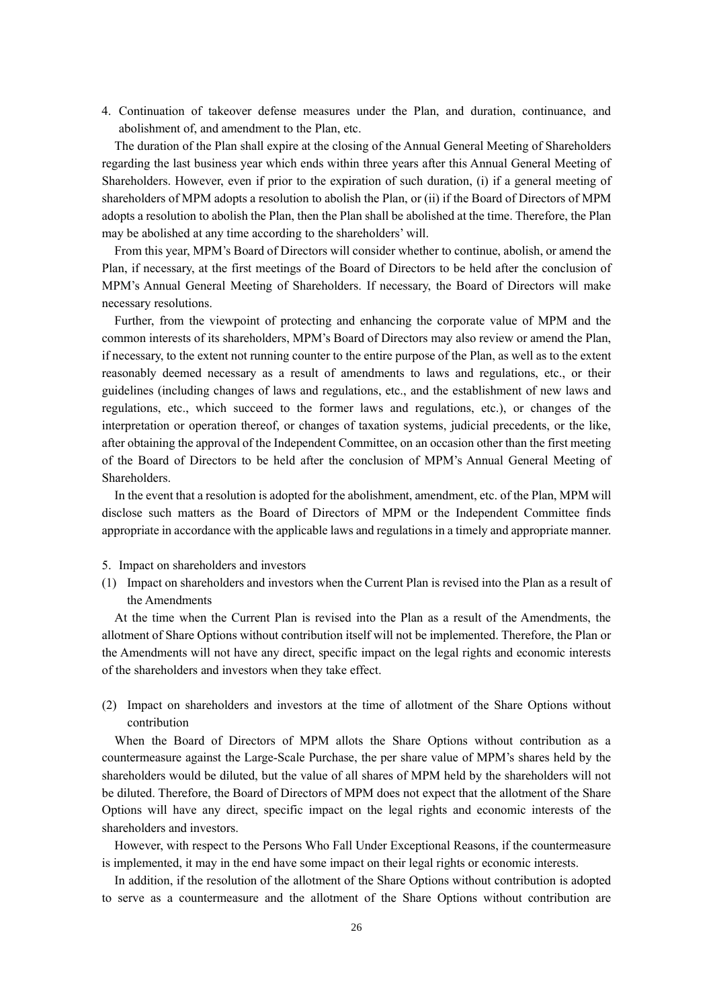4. Continuation of takeover defense measures under the Plan, and duration, continuance, and abolishment of, and amendment to the Plan, etc.

The duration of the Plan shall expire at the closing of the Annual General Meeting of Shareholders regarding the last business year which ends within three years after this Annual General Meeting of Shareholders. However, even if prior to the expiration of such duration, (i) if a general meeting of shareholders of MPM adopts a resolution to abolish the Plan, or (ii) if the Board of Directors of MPM adopts a resolution to abolish the Plan, then the Plan shall be abolished at the time. Therefore, the Plan may be abolished at any time according to the shareholders' will.

From this year, MPM's Board of Directors will consider whether to continue, abolish, or amend the Plan, if necessary, at the first meetings of the Board of Directors to be held after the conclusion of MPM's Annual General Meeting of Shareholders. If necessary, the Board of Directors will make necessary resolutions.

Further, from the viewpoint of protecting and enhancing the corporate value of MPM and the common interests of its shareholders, MPM's Board of Directors may also review or amend the Plan, if necessary, to the extent not running counter to the entire purpose of the Plan, as well as to the extent reasonably deemed necessary as a result of amendments to laws and regulations, etc., or their guidelines (including changes of laws and regulations, etc., and the establishment of new laws and regulations, etc., which succeed to the former laws and regulations, etc.), or changes of the interpretation or operation thereof, or changes of taxation systems, judicial precedents, or the like, after obtaining the approval of the Independent Committee, on an occasion other than the first meeting of the Board of Directors to be held after the conclusion of MPM's Annual General Meeting of Shareholders.

In the event that a resolution is adopted for the abolishment, amendment, etc. of the Plan, MPM will disclose such matters as the Board of Directors of MPM or the Independent Committee finds appropriate in accordance with the applicable laws and regulations in a timely and appropriate manner.

#### 5. Impact on shareholders and investors

(1) Impact on shareholders and investors when the Current Plan is revised into the Plan as a result of the Amendments

At the time when the Current Plan is revised into the Plan as a result of the Amendments, the allotment of Share Options without contribution itself will not be implemented. Therefore, the Plan or the Amendments will not have any direct, specific impact on the legal rights and economic interests of the shareholders and investors when they take effect.

(2) Impact on shareholders and investors at the time of allotment of the Share Options without contribution

When the Board of Directors of MPM allots the Share Options without contribution as a countermeasure against the Large-Scale Purchase, the per share value of MPM's shares held by the shareholders would be diluted, but the value of all shares of MPM held by the shareholders will not be diluted. Therefore, the Board of Directors of MPM does not expect that the allotment of the Share Options will have any direct, specific impact on the legal rights and economic interests of the shareholders and investors.

However, with respect to the Persons Who Fall Under Exceptional Reasons, if the countermeasure is implemented, it may in the end have some impact on their legal rights or economic interests.

In addition, if the resolution of the allotment of the Share Options without contribution is adopted to serve as a countermeasure and the allotment of the Share Options without contribution are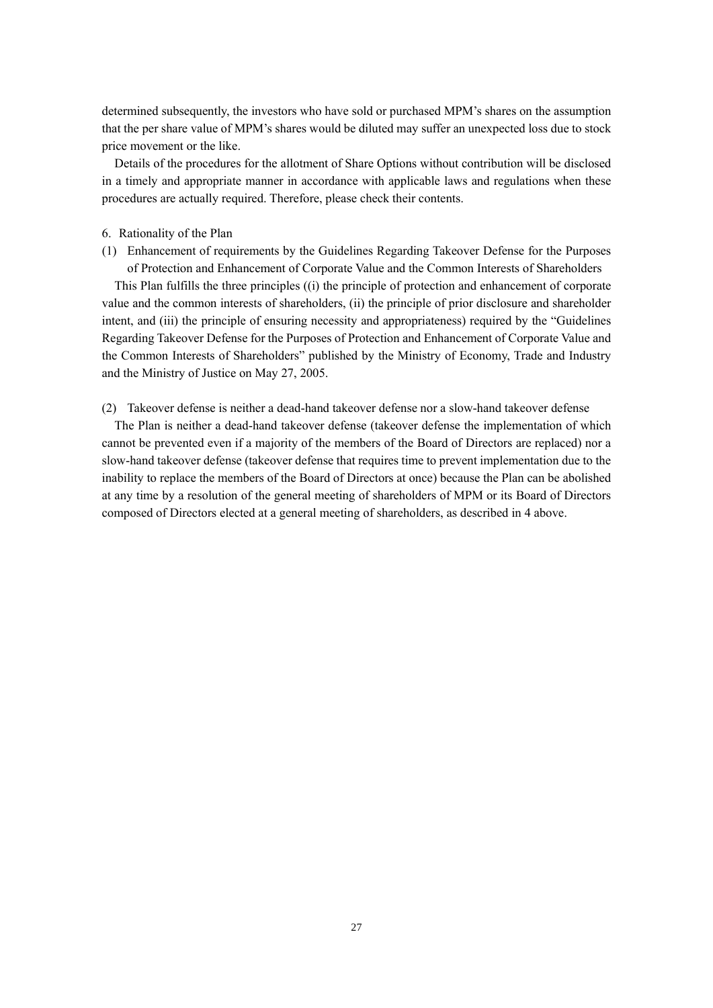determined subsequently, the investors who have sold or purchased MPM's shares on the assumption that the per share value of MPM's shares would be diluted may suffer an unexpected loss due to stock price movement or the like.

Details of the procedures for the allotment of Share Options without contribution will be disclosed in a timely and appropriate manner in accordance with applicable laws and regulations when these procedures are actually required. Therefore, please check their contents.

#### 6. Rationality of the Plan

(1) Enhancement of requirements by the Guidelines Regarding Takeover Defense for the Purposes of Protection and Enhancement of Corporate Value and the Common Interests of Shareholders

This Plan fulfills the three principles ((i) the principle of protection and enhancement of corporate value and the common interests of shareholders, (ii) the principle of prior disclosure and shareholder intent, and (iii) the principle of ensuring necessity and appropriateness) required by the "Guidelines Regarding Takeover Defense for the Purposes of Protection and Enhancement of Corporate Value and the Common Interests of Shareholders" published by the Ministry of Economy, Trade and Industry and the Ministry of Justice on May 27, 2005.

(2) Takeover defense is neither a dead-hand takeover defense nor a slow-hand takeover defense

The Plan is neither a dead-hand takeover defense (takeover defense the implementation of which cannot be prevented even if a majority of the members of the Board of Directors are replaced) nor a slow-hand takeover defense (takeover defense that requires time to prevent implementation due to the inability to replace the members of the Board of Directors at once) because the Plan can be abolished at any time by a resolution of the general meeting of shareholders of MPM or its Board of Directors composed of Directors elected at a general meeting of shareholders, as described in 4 above.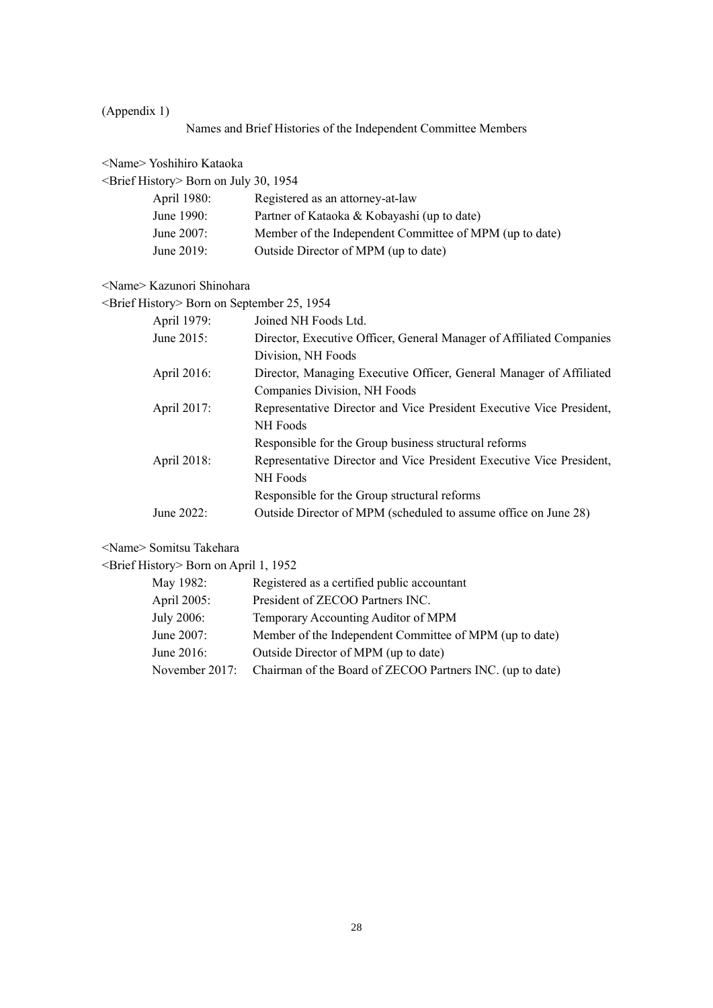(Appendix 1)

Names and Brief Histories of the Independent Committee Members

<Name> Yoshihiro Kataoka

<Brief History> Born on July 30, 1954

| April 1980: | Registered as an attorney-at-law                        |
|-------------|---------------------------------------------------------|
| June 1990:  | Partner of Kataoka & Kobayashi (up to date)             |
| June 2007:  | Member of the Independent Committee of MPM (up to date) |
| June 2019:  | Outside Director of MPM (up to date)                    |

# <Name> Kazunori Shinohara

<Brief History> Born on September 25, 1954

| April 1979:   | Joined NH Foods Ltd.                                                 |
|---------------|----------------------------------------------------------------------|
| June $2015$ : | Director, Executive Officer, General Manager of Affiliated Companies |
|               | Division, NH Foods                                                   |
| April 2016:   | Director, Managing Executive Officer, General Manager of Affiliated  |
|               | Companies Division, NH Foods                                         |
| April 2017:   | Representative Director and Vice President Executive Vice President, |
|               | NH Foods                                                             |
|               | Responsible for the Group business structural reforms                |
| April 2018:   | Representative Director and Vice President Executive Vice President, |
|               | NH Foods                                                             |
|               | Responsible for the Group structural reforms                         |
| June 2022:    | Outside Director of MPM (scheduled to assume office on June 28)      |

# <Name> Somitsu Takehara

<Brief History> Born on April 1, 1952

| May 1982:      | Registered as a certified public accountant               |
|----------------|-----------------------------------------------------------|
| April 2005:    | President of ZECOO Partners INC.                          |
| July 2006:     | Temporary Accounting Auditor of MPM                       |
| June 2007:     | Member of the Independent Committee of MPM (up to date)   |
| June 2016:     | Outside Director of MPM (up to date)                      |
| November 2017: | Chairman of the Board of ZECOO Partners INC. (up to date) |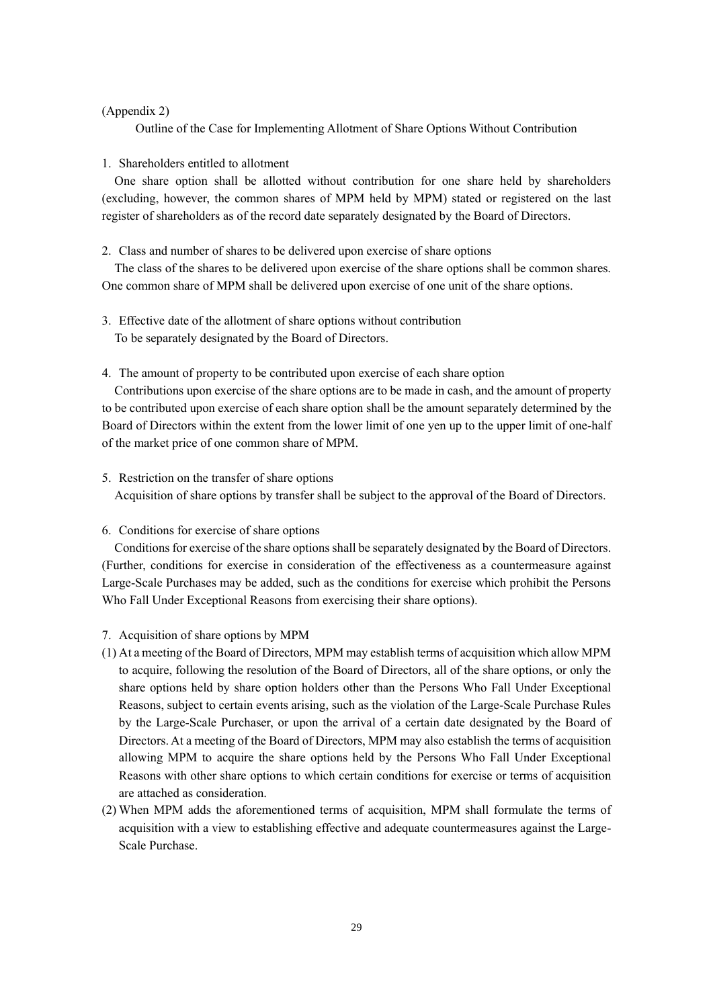## (Appendix 2)

Outline of the Case for Implementing Allotment of Share Options Without Contribution

#### 1. Shareholders entitled to allotment

One share option shall be allotted without contribution for one share held by shareholders (excluding, however, the common shares of MPM held by MPM) stated or registered on the last register of shareholders as of the record date separately designated by the Board of Directors.

2. Class and number of shares to be delivered upon exercise of share options

The class of the shares to be delivered upon exercise of the share options shall be common shares. One common share of MPM shall be delivered upon exercise of one unit of the share options.

- 3. Effective date of the allotment of share options without contribution To be separately designated by the Board of Directors.
- 4. The amount of property to be contributed upon exercise of each share option

Contributions upon exercise of the share options are to be made in cash, and the amount of property to be contributed upon exercise of each share option shall be the amount separately determined by the Board of Directors within the extent from the lower limit of one yen up to the upper limit of one-half of the market price of one common share of MPM.

# 5. Restriction on the transfer of share options

Acquisition of share options by transfer shall be subject to the approval of the Board of Directors.

#### 6. Conditions for exercise of share options

Conditions for exercise of the share options shall be separately designated by the Board of Directors. (Further, conditions for exercise in consideration of the effectiveness as a countermeasure against Large-Scale Purchases may be added, such as the conditions for exercise which prohibit the Persons Who Fall Under Exceptional Reasons from exercising their share options).

- 7. Acquisition of share options by MPM
- (1) At a meeting of the Board of Directors, MPM may establish terms of acquisition which allow MPM to acquire, following the resolution of the Board of Directors, all of the share options, or only the share options held by share option holders other than the Persons Who Fall Under Exceptional Reasons, subject to certain events arising, such as the violation of the Large-Scale Purchase Rules by the Large-Scale Purchaser, or upon the arrival of a certain date designated by the Board of Directors. At a meeting of the Board of Directors, MPM may also establish the terms of acquisition allowing MPM to acquire the share options held by the Persons Who Fall Under Exceptional Reasons with other share options to which certain conditions for exercise or terms of acquisition are attached as consideration.
- (2) When MPM adds the aforementioned terms of acquisition, MPM shall formulate the terms of acquisition with a view to establishing effective and adequate countermeasures against the Large-Scale Purchase.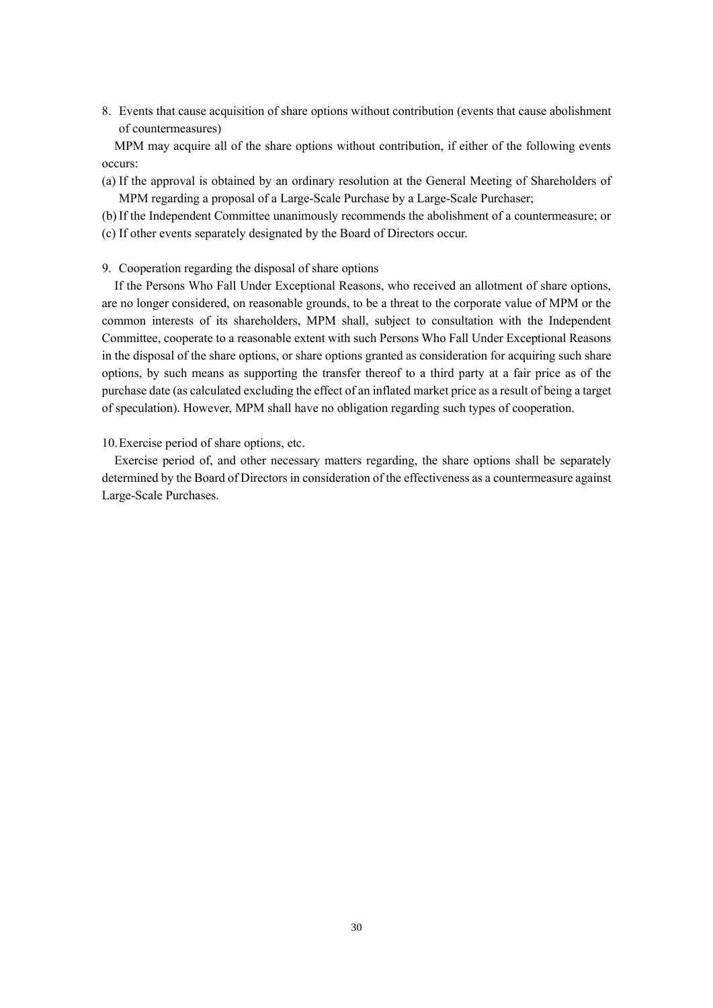8. Events that cause acquisition of share options without contribution (events that cause abolishment of countermeasures)

MPM may acquire all of the share options without contribution, if either of the following events occurs:

- (a) If the approval is obtained by an ordinary resolution at the General Meeting of Shareholders of MPM regarding a proposal of a Large-Scale Purchase by a Large-Scale Purchaser;
- (b) If the Independent Committee unanimously recommends the abolishment of a countermeasure; or (c) If other events separately designated by the Board of Directors occur.
- 9. Cooperation regarding the disposal of share options

If the Persons Who Fall Under Exceptional Reasons, who received an allotment of share options, are no longer considered, on reasonable grounds, to be a threat to the corporate value of MPM or the common interests of its shareholders, MPM shall, subject to consultation with the Independent Committee, cooperate to a reasonable extent with such Persons Who Fall Under Exceptional Reasons in the disposal of the share options, or share options granted as consideration for acquiring such share options, by such means as supporting the transfer thereof to a third party at a fair price as of the purchase date (as calculated excluding the effect of an inflated market price as a result of being a target of speculation). However, MPM shall have no obligation regarding such types of cooperation.

10.Exercise period of share options, etc.

Exercise period of, and other necessary matters regarding, the share options shall be separately determined by the Board of Directors in consideration of the effectiveness as a countermeasure against Large-Scale Purchases.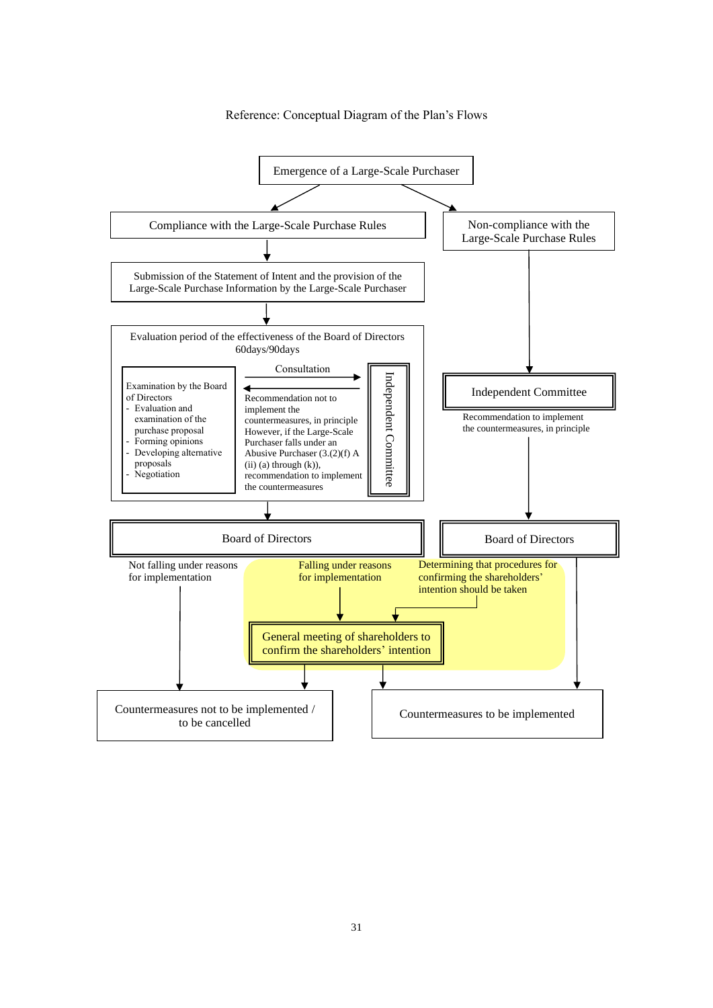#### Reference: Conceptual Diagram of the Plan's Flows

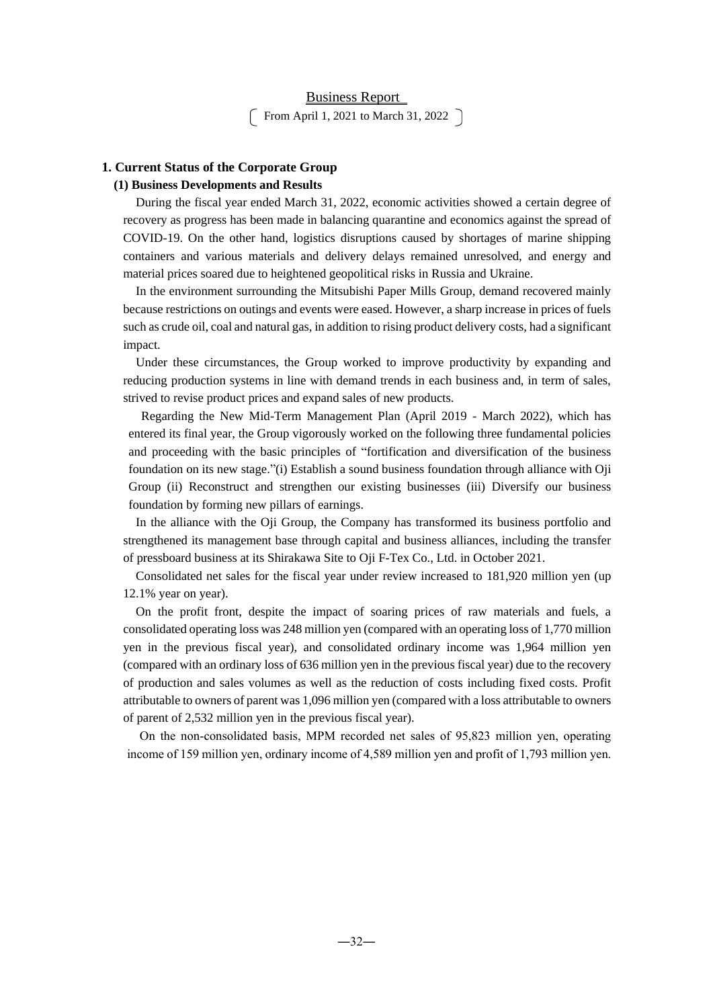# Business Report

 $\lceil$  From April 1, 2021 to March 31, 2022

# **1. Current Status of the Corporate Group**

### **(1) Business Developments and Results**

During the fiscal year ended March 31, 2022, economic activities showed a certain degree of recovery as progress has been made in balancing quarantine and economics against the spread of COVID-19. On the other hand, logistics disruptions caused by shortages of marine shipping containers and various materials and delivery delays remained unresolved, and energy and material prices soared due to heightened geopolitical risks in Russia and Ukraine.

In the environment surrounding the Mitsubishi Paper Mills Group, demand recovered mainly because restrictions on outings and events were eased. However, a sharp increase in prices of fuels such as crude oil, coal and natural gas, in addition to rising product delivery costs, had a significant impact.

Under these circumstances, the Group worked to improve productivity by expanding and reducing production systems in line with demand trends in each business and, in term of sales, strived to revise product prices and expand sales of new products.

Regarding the New Mid-Term Management Plan (April 2019 - March 2022), which has entered its final year, the Group vigorously worked on the following three fundamental policies and proceeding with the basic principles of "fortification and diversification of the business foundation on its new stage."(i) Establish a sound business foundation through alliance with Oji Group (ii) Reconstruct and strengthen our existing businesses (iii) Diversify our business foundation by forming new pillars of earnings.

In the alliance with the Oji Group, the Company has transformed its business portfolio and strengthened its management base through capital and business alliances, including the transfer of pressboard business at its Shirakawa Site to Oji F-Tex Co., Ltd. in October 2021.

Consolidated net sales for the fiscal year under review increased to 181,920 million yen (up 12.1% year on year).

On the profit front, despite the impact of soaring prices of raw materials and fuels, a consolidated operating loss was 248 million yen (compared with an operating loss of 1,770 million yen in the previous fiscal year), and consolidated ordinary income was 1,964 million yen (compared with an ordinary loss of 636 million yen in the previous fiscal year) due to the recovery of production and sales volumes as well as the reduction of costs including fixed costs. Profit attributable to owners of parent was 1,096 million yen (compared with a loss attributable to owners of parent of 2,532 million yen in the previous fiscal year).

On the non-consolidated basis, MPM recorded net sales of 95,823 million yen, operating income of 159 million yen, ordinary income of 4,589 million yen and profit of 1,793 million yen.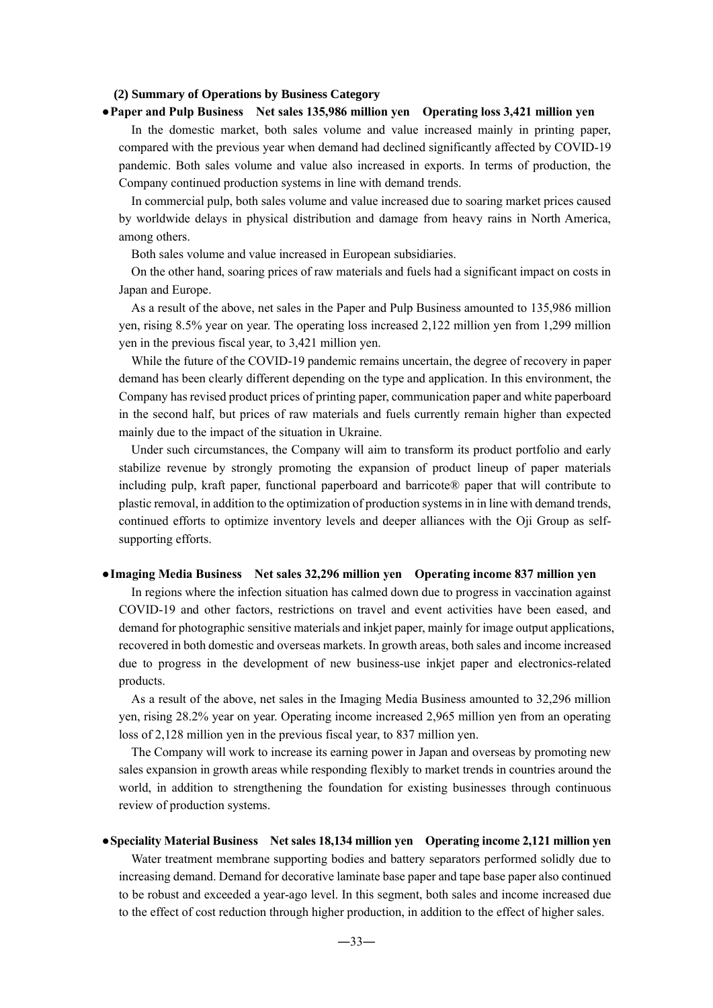#### **(2) Summary of Operations by Business Category**

# **●Paper and Pulp Business Net sales 135,986 million yen Operating loss 3,421 million yen**

In the domestic market, both sales volume and value increased mainly in printing paper, compared with the previous year when demand had declined significantly affected by COVID-19 pandemic. Both sales volume and value also increased in exports. In terms of production, the Company continued production systems in line with demand trends.

In commercial pulp, both sales volume and value increased due to soaring market prices caused by worldwide delays in physical distribution and damage from heavy rains in North America, among others.

Both sales volume and value increased in European subsidiaries.

On the other hand, soaring prices of raw materials and fuels had a significant impact on costs in Japan and Europe.

As a result of the above, net sales in the Paper and Pulp Business amounted to 135,986 million yen, rising 8.5% year on year. The operating loss increased 2,122 million yen from 1,299 million yen in the previous fiscal year, to 3,421 million yen.

While the future of the COVID-19 pandemic remains uncertain, the degree of recovery in paper demand has been clearly different depending on the type and application. In this environment, the Company has revised product prices of printing paper, communication paper and white paperboard in the second half, but prices of raw materials and fuels currently remain higher than expected mainly due to the impact of the situation in Ukraine.

Under such circumstances, the Company will aim to transform its product portfolio and early stabilize revenue by strongly promoting the expansion of product lineup of paper materials including pulp, kraft paper, functional paperboard and barricote® paper that will contribute to plastic removal, in addition to the optimization of production systems in in line with demand trends, continued efforts to optimize inventory levels and deeper alliances with the Oji Group as selfsupporting efforts.

#### **●Imaging Media Business Net sales 32,296 million yen Operating income 837 million yen**

In regions where the infection situation has calmed down due to progress in vaccination against COVID-19 and other factors, restrictions on travel and event activities have been eased, and demand for photographic sensitive materials and inkjet paper, mainly for image output applications, recovered in both domestic and overseas markets. In growth areas, both sales and income increased due to progress in the development of new business-use inkjet paper and electronics-related products.

As a result of the above, net sales in the Imaging Media Business amounted to 32,296 million yen, rising 28.2% year on year. Operating income increased 2,965 million yen from an operating loss of 2,128 million yen in the previous fiscal year, to 837 million yen.

The Company will work to increase its earning power in Japan and overseas by promoting new sales expansion in growth areas while responding flexibly to market trends in countries around the world, in addition to strengthening the foundation for existing businesses through continuous review of production systems.

**●Speciality Material Business Net sales 18,134 million yen Operating income 2,121 million yen** Water treatment membrane supporting bodies and battery separators performed solidly due to increasing demand. Demand for decorative laminate base paper and tape base paper also continued to be robust and exceeded a year-ago level. In this segment, both sales and income increased due to the effect of cost reduction through higher production, in addition to the effect of higher sales.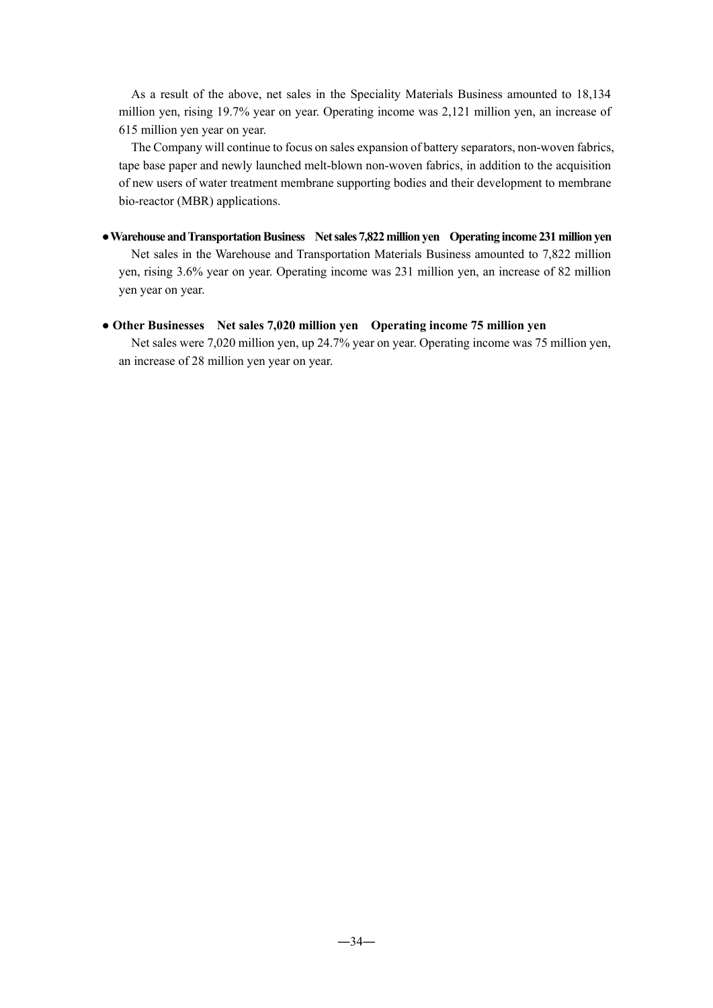As a result of the above, net sales in the Speciality Materials Business amounted to 18,134 million yen, rising 19.7% year on year. Operating income was 2,121 million yen, an increase of 615 million yen year on year.

The Company will continue to focus on sales expansion of battery separators, non-woven fabrics, tape base paper and newly launched melt-blown non-woven fabrics, in addition to the acquisition of new users of water treatment membrane supporting bodies and their development to membrane bio-reactor (MBR) applications.

- **●Warehouse and Transportation Business Net sales 7,822 million yen Operating income 231 million yen** Net sales in the Warehouse and Transportation Materials Business amounted to 7,822 million yen, rising 3.6% year on year. Operating income was 231 million yen, an increase of 82 million yen year on year.
- **Other Businesses Net sales 7,020 million yen Operating income 75 million yen**

Net sales were 7,020 million yen, up 24.7% year on year. Operating income was 75 million yen, an increase of 28 million yen year on year.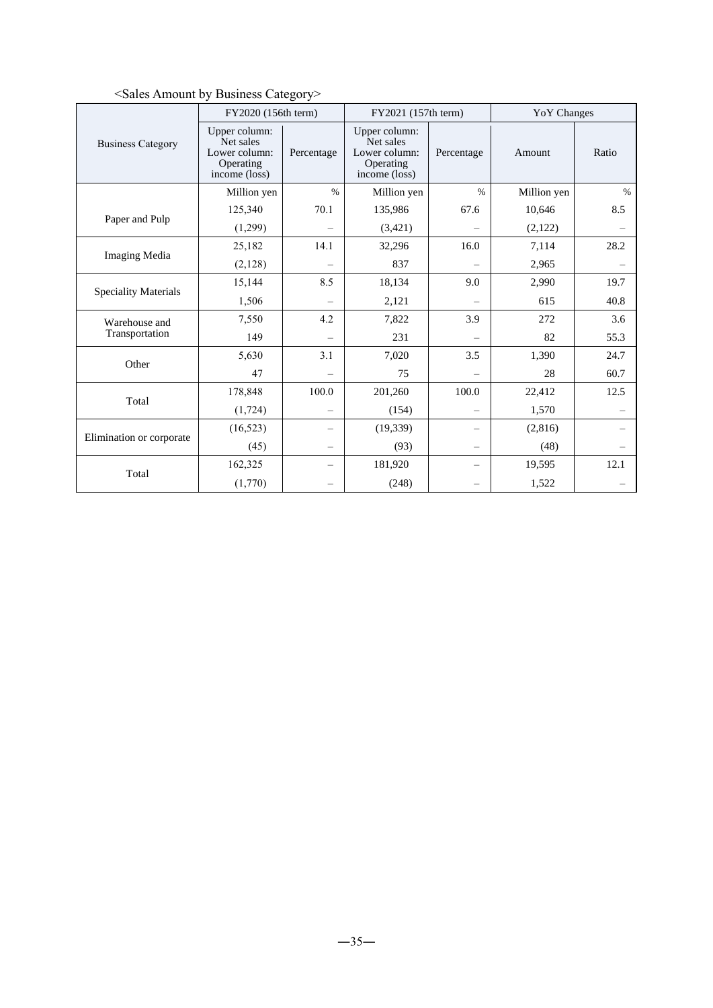# <Sales Amount by Business Category>

|                                 | FY2020 (156th term)                                                       |                          | FY2021 (157th term)                                                       |                          | <b>YoY</b> Changes |       |
|---------------------------------|---------------------------------------------------------------------------|--------------------------|---------------------------------------------------------------------------|--------------------------|--------------------|-------|
| <b>Business Category</b>        | Upper column:<br>Net sales<br>Lower column:<br>Operating<br>income (loss) | Percentage               | Upper column:<br>Net sales<br>Lower column:<br>Operating<br>income (loss) | Percentage               | Amount             | Ratio |
|                                 | Million yen                                                               | $\frac{0}{0}$            | Million yen                                                               | $\%$                     | Million yen        | %     |
|                                 | 125,340                                                                   | 70.1                     | 135,986                                                                   | 67.6                     | 10,646             | 8.5   |
| Paper and Pulp                  | (1,299)                                                                   |                          | (3,421)                                                                   |                          | (2,122)            |       |
|                                 | 25,182                                                                    | 14.1                     | 32,296                                                                    | 16.0                     | 7,114              | 28.2  |
| <b>Imaging Media</b>            | (2,128)                                                                   |                          | 837                                                                       |                          | 2,965              |       |
|                                 | 15,144                                                                    | 8.5                      | 18,134                                                                    | 9.0                      | 2,990              | 19.7  |
| <b>Speciality Materials</b>     | 1,506                                                                     |                          | 2,121                                                                     |                          | 615                | 40.8  |
| Warehouse and<br>Transportation | 7,550                                                                     | 4.2                      | 7,822                                                                     | 3.9                      | 272                | 3.6   |
|                                 | 149                                                                       |                          | 231                                                                       |                          | 82                 | 55.3  |
| Other                           | 5,630                                                                     | 3.1                      | 7,020                                                                     | 3.5                      | 1,390              | 24.7  |
|                                 | 47                                                                        |                          | 75                                                                        | $\overline{\phantom{0}}$ | 28                 | 60.7  |
| Total                           | 178,848                                                                   | 100.0                    | 201,260                                                                   | 100.0                    | 22,412             | 12.5  |
|                                 | (1, 724)                                                                  |                          | (154)                                                                     |                          | 1,570              |       |
|                                 | (16, 523)                                                                 |                          | (19, 339)                                                                 |                          | (2,816)            |       |
| Elimination or corporate        | (45)                                                                      | $\overline{\phantom{0}}$ | (93)                                                                      |                          | (48)               |       |
|                                 | 162,325                                                                   |                          | 181,920                                                                   |                          | 19,595             | 12.1  |
| Total                           | (1,770)                                                                   |                          | (248)                                                                     |                          | 1,522              |       |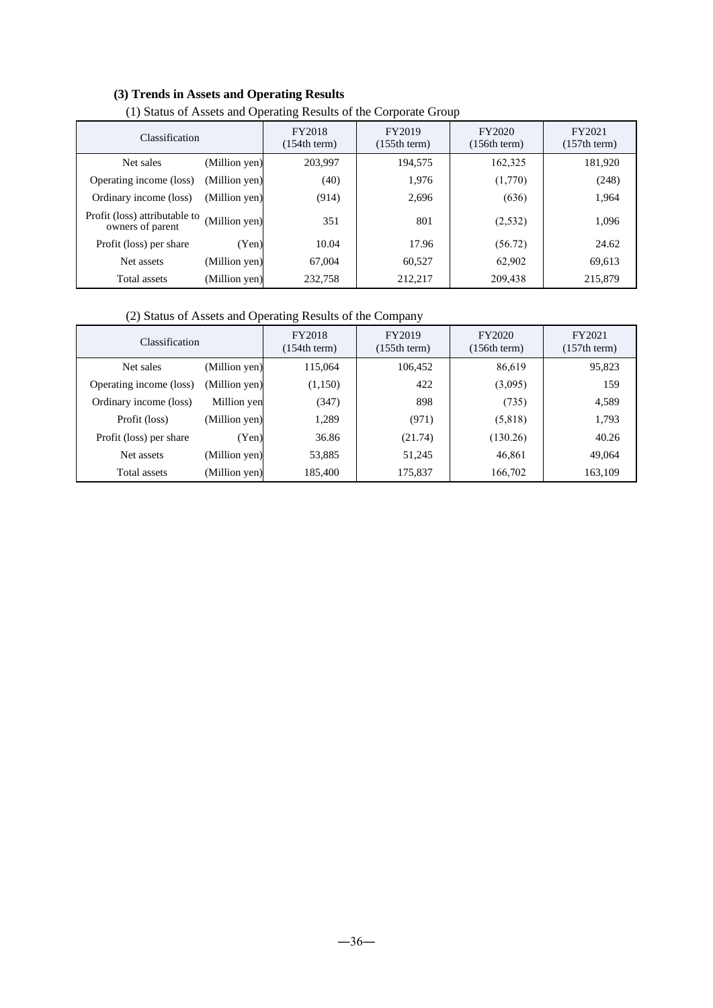# **(3) Trends in Assets and Operating Results**

| <b>Classification</b>                             |               | FY2018<br>(154th term) | FY2019<br>(155th term) | FY2020<br>(156th term) | FY2021<br>(157th term) |  |  |
|---------------------------------------------------|---------------|------------------------|------------------------|------------------------|------------------------|--|--|
| Net sales                                         | (Million yen) | 203,997                | 194,575                | 162,325                | 181,920                |  |  |
| Operating income (loss)                           | (Million yen) | (40)                   | 1,976                  | (1,770)                | (248)                  |  |  |
| Ordinary income (loss)                            | (Million yen) | (914)                  | 2,696                  | (636)                  | 1,964                  |  |  |
| Profit (loss) attributable to<br>owners of parent | (Million yen) | 351                    | 801                    | (2, 532)               | 1,096                  |  |  |
| Profit (loss) per share                           | (Yen)         | 10.04                  | 17.96                  | (56.72)                | 24.62                  |  |  |
| Net assets                                        | (Million yen) | 67,004                 | 60,527                 | 62,902                 | 69,613                 |  |  |
| Total assets                                      | (Million yen) | 232,758                | 212,217                | 209,438                | 215,879                |  |  |

(1) Status of Assets and Operating Results of the Corporate Group

(2) Status of Assets and Operating Results of the Company

| Classification          |               | FY2018<br>(154th term) | FY2019<br>(155th term) | FY2020<br>(156th term) | FY2021<br>(157th term) |
|-------------------------|---------------|------------------------|------------------------|------------------------|------------------------|
| Net sales               | (Million yen) | 115,064                | 106,452                | 86,619                 | 95,823                 |
| Operating income (loss) | (Million yen) | (1,150)                | 422                    | (3,095)                | 159                    |
| Ordinary income (loss)  | Million yen   | (347)                  | 898                    | (735)                  | 4,589                  |
| Profit (loss)           | (Million yen) | 1,289                  | (971)                  | (5,818)                | 1,793                  |
| Profit (loss) per share | (Yen)         | 36.86                  | (21.74)                | (130.26)               | 40.26                  |
| Net assets              | (Million yen) | 53,885                 | 51,245                 | 46,861                 | 49,064                 |
| Total assets            | (Million yen) | 185,400                | 175,837                | 166,702                | 163,109                |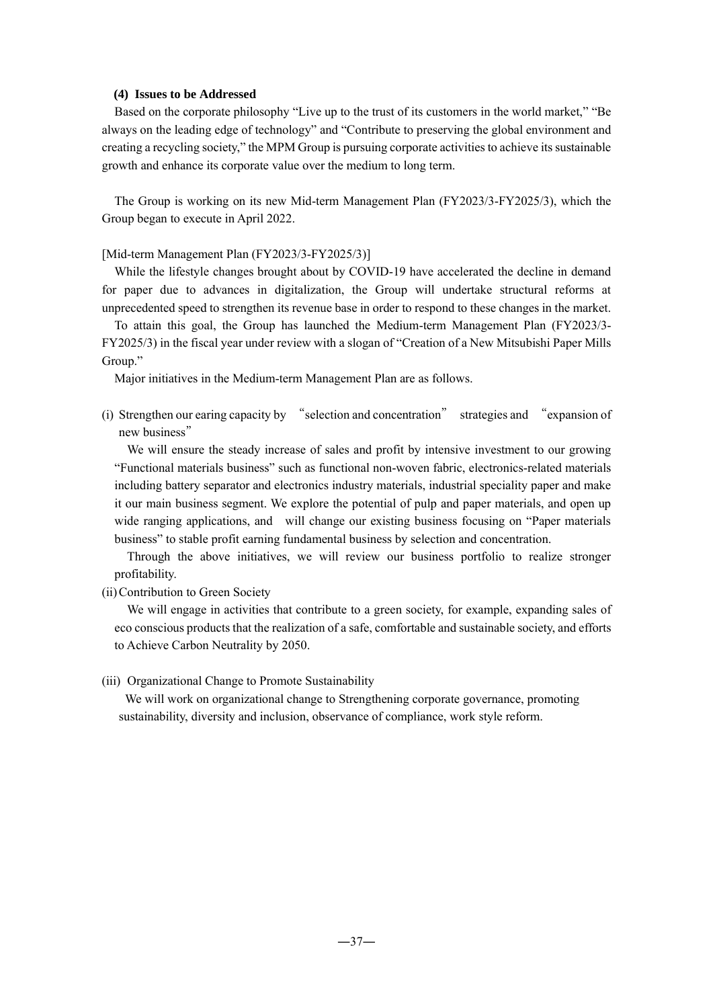### **(4) Issues to be Addressed**

Based on the corporate philosophy "Live up to the trust of its customers in the world market," "Be always on the leading edge of technology" and "Contribute to preserving the global environment and creating a recycling society," the MPM Group is pursuing corporate activities to achieve its sustainable growth and enhance its corporate value over the medium to long term.

The Group is working on its new Mid-term Management Plan (FY2023/3-FY2025/3), which the Group began to execute in April 2022.

#### [Mid-term Management Plan (FY2023/3-FY2025/3)]

While the lifestyle changes brought about by COVID-19 have accelerated the decline in demand for paper due to advances in digitalization, the Group will undertake structural reforms at unprecedented speed to strengthen its revenue base in order to respond to these changes in the market.

To attain this goal, the Group has launched the Medium-term Management Plan (FY2023/3- FY2025/3) in the fiscal year under review with a slogan of "Creation of a New Mitsubishi Paper Mills Group."

Major initiatives in the Medium-term Management Plan are as follows.

(i) Strengthen our earing capacity by "selection and concentration" strategies and "expansion of new business"

We will ensure the steady increase of sales and profit by intensive investment to our growing "Functional materials business" such as functional non-woven fabric, electronics-related materials including battery separator and electronics industry materials, industrial speciality paper and make it our main business segment. We explore the potential of pulp and paper materials, and open up wide ranging applications, and will change our existing business focusing on "Paper materials" business" to stable profit earning fundamental business by selection and concentration.

Through the above initiatives, we will review our business portfolio to realize stronger profitability.

(ii)Contribution to Green Society

We will engage in activities that contribute to a green society, for example, expanding sales of eco conscious products that the realization of a safe, comfortable and sustainable society, and efforts to Achieve Carbon Neutrality by 2050.

#### (iii) Organizational Change to Promote Sustainability

We will work on organizational change to Strengthening corporate governance, promoting sustainability, diversity and inclusion, observance of compliance, work style reform.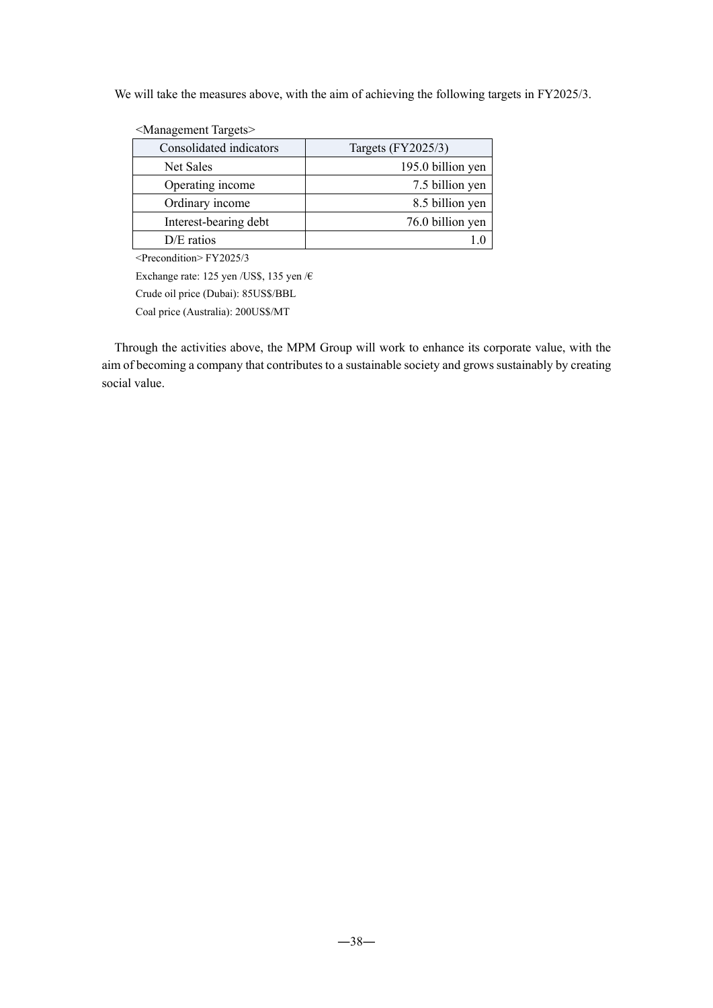We will take the measures above, with the aim of achieving the following targets in FY2025/3.

| <management targets=""></management> |                    |
|--------------------------------------|--------------------|
| Consolidated indicators              | Targets (FY2025/3) |
| Net Sales                            | 195.0 billion yen  |
| Operating income                     | 7.5 billion yen    |
| Ordinary income                      | 8.5 billion yen    |
| Interest-bearing debt                | 76.0 billion yen   |
| $D/E$ ratios                         |                    |

<Precondition> FY2025/3

Exchange rate: 125 yen /US\$, 135 yen /€ Crude oil price (Dubai): 85US\$/BBL

Coal price (Australia): 200US\$/MT

Through the activities above, the MPM Group will work to enhance its corporate value, with the aim of becoming a company that contributes to a sustainable society and grows sustainably by creating social value.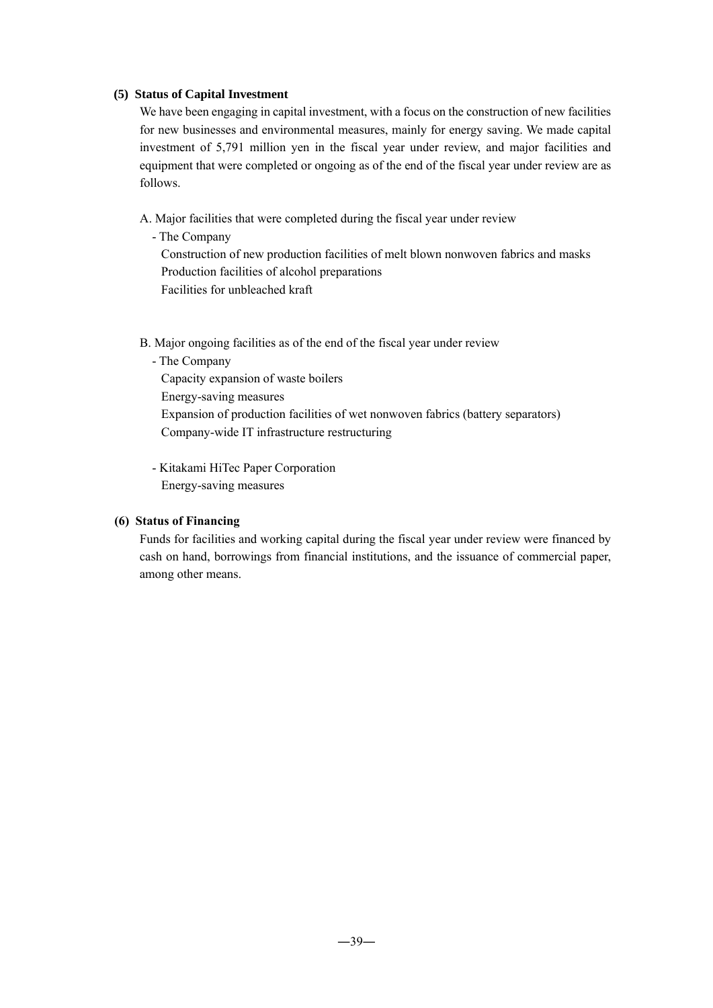# **(5) Status of Capital In vestment**

We have been engaging in capital investment, with a focus on the construction of new facilities for new businesses and environmental measures, mainly for energy saving. We made capital investment of 5,791 million yen in the fiscal year under review, and major facilities and equipment that were completed or ongoing as of the end of the fiscal year under review are as follows.

- A. Major facilities that were completed during the fiscal year under review
	- The Company

Construction of new production facilities of melt blown nonwoven fabrics and masks Production facilities of alcohol preparations Facilities for unbleached kraft

B. Major ongoing facilities as of the end of the fiscal year under review

- The Company
	- Capacity expansion of waste boilers
- Energy-saving measures

Expansion of production facilities of wet nonwoven fabrics (battery separators) Company-wide IT infrastructure restructuring

- Kitakami HiTec Paper Corporation Energy-saving measures

# **(6) Sta tus of Financing**

Funds for facilities and working capital during the fiscal year under review were financed by cash on hand, borrowings from financial institutions, and the issuance of commercial paper, among other means.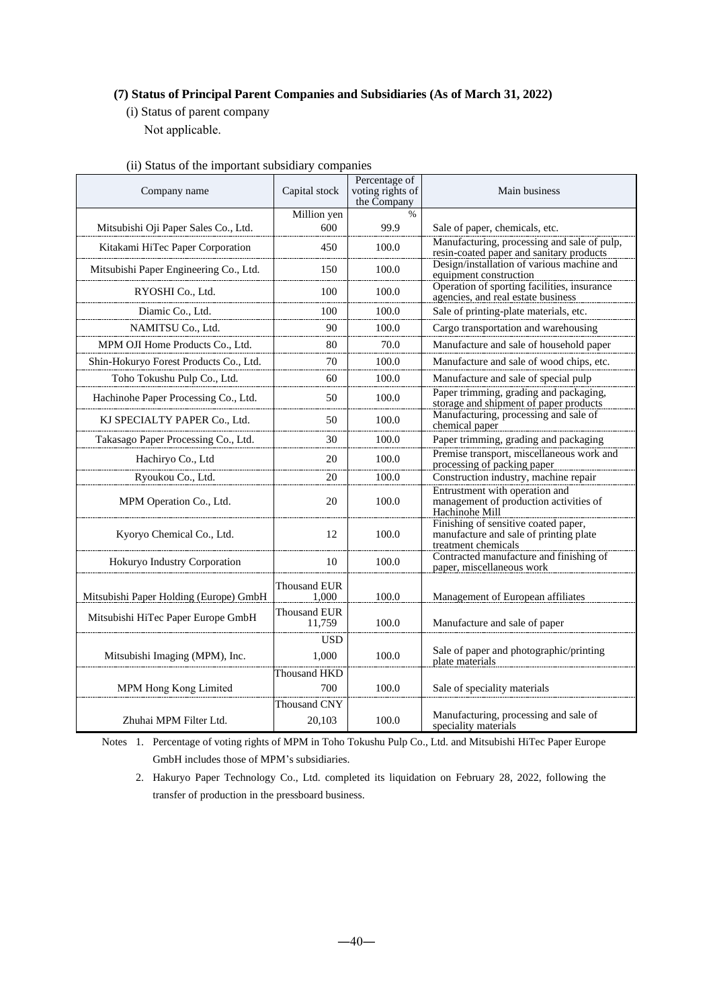# **(7) Status of Principal Parent Companies and Subsidiaries (As of March 31, 2022)**

(i) Status of parent company Not applicable.

| Company name                           | Capital stock          | Percentage of<br>voting rights of | Main business                                                                                         |
|----------------------------------------|------------------------|-----------------------------------|-------------------------------------------------------------------------------------------------------|
|                                        |                        | the Company                       |                                                                                                       |
|                                        | Million yen            | $\frac{0}{6}$                     |                                                                                                       |
| Mitsubishi Oji Paper Sales Co., Ltd.   | 600                    | 99.9                              | Sale of paper, chemicals, etc.                                                                        |
| Kitakami HiTec Paper Corporation       | 450                    | 100.0                             | Manufacturing, processing and sale of pulp,<br>resin-coated paper and sanitary products               |
| Mitsubishi Paper Engineering Co., Ltd. | 150                    | 100.0                             | Design/installation of various machine and<br>equipment construction                                  |
| RYOSHI Co., Ltd.                       | 100                    | 100.0                             | Operation of sporting facilities, insurance<br>agencies, and real estate business                     |
| Diamic Co., Ltd.                       | 100                    | 100.0                             | Sale of printing-plate materials, etc.                                                                |
| NAMITSU Co., Ltd.                      | 90                     | 100.0                             | Cargo transportation and warehousing                                                                  |
| MPM OJI Home Products Co., Ltd.        | 80                     | 70.0                              | Manufacture and sale of household paper                                                               |
| Shin-Hokuryo Forest Products Co., Ltd. | 70                     | 100.0                             | Manufacture and sale of wood chips, etc.                                                              |
| Toho Tokushu Pulp Co., Ltd.            | 60                     | 100.0                             | Manufacture and sale of special pulp                                                                  |
| Hachinohe Paper Processing Co., Ltd.   | 50                     | 100.0                             | Paper trimming, grading and packaging,<br>storage and shipment of paper products                      |
| KJ SPECIALTY PAPER Co., Ltd.           | 50                     | 100.0                             | Manufacturing, processing and sale of<br>chemical paper                                               |
| Takasago Paper Processing Co., Ltd.    | 30                     | 100.0                             | Paper trimming, grading and packaging                                                                 |
| Hachiryo Co., Ltd                      | 20                     | 100.0                             | Premise transport, miscellaneous work and<br>processing of packing paper                              |
| Ryoukou Co., Ltd.                      | 20                     | 100.0                             | Construction industry, machine repair                                                                 |
| MPM Operation Co., Ltd.                | 20                     | 100.0                             | Entrustment with operation and<br>management of production activities of<br>Hachinohe Mill            |
| Kyoryo Chemical Co., Ltd.              | 12                     | 100.0                             | Finishing of sensitive coated paper,<br>manufacture and sale of printing plate<br>treatment chemicals |
| Hokuryo Industry Corporation           | 10                     | 100.0                             | Contracted manufacture and finishing of<br>paper, miscellaneous work                                  |
| Mitsubishi Paper Holding (Europe) GmbH | Thousand EUR<br>1.000  | 100.0                             | Management of European affiliates                                                                     |
| Mitsubishi HiTec Paper Europe GmbH     | Thousand EUR<br>11.759 | 100.0                             | Manufacture and sale of paper                                                                         |
| Mitsubishi Imaging (MPM), Inc.         | <b>USD</b><br>1,000    | 100.0                             | Sale of paper and photographic/printing<br>plate materials                                            |
| MPM Hong Kong Limited                  | Thousand HKD<br>700    | 100.0                             | Sale of speciality materials                                                                          |
| Zhuhai MPM Filter Ltd.                 | Thousand CNY<br>20,103 | 100.0                             | Manufacturing, processing and sale of<br>speciality materials                                         |

# (ii) Status of the important subsidiary companies

Notes 1. Percentage of voting rights of MPM in Toho Tokushu Pulp Co., Ltd. and Mitsubishi HiTec Paper Europe GmbH includes those of MPM's subsidiaries.

2. Hakuryo Paper Technology Co., Ltd. completed its liquidation on February 28, 2022, following the transfer of production in the pressboard business.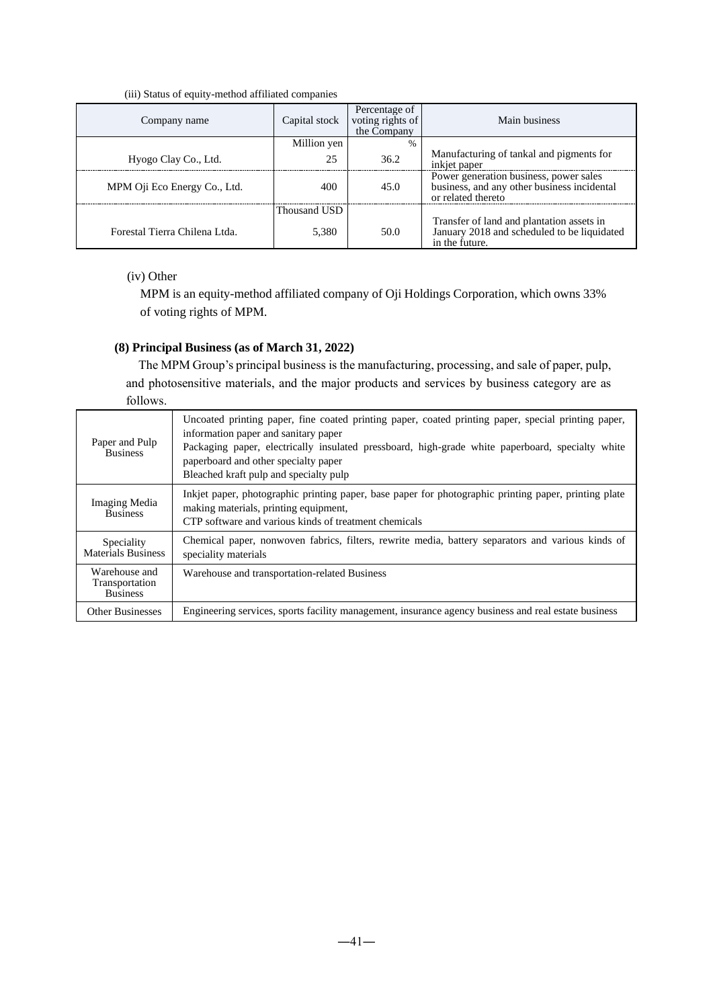#### (iii) Status of equity-method affiliated companies

| Company name                  | Capital stock | Percentage of<br>voting rights of<br>the Company | Main business                                                                                               |
|-------------------------------|---------------|--------------------------------------------------|-------------------------------------------------------------------------------------------------------------|
|                               | Million yen   | $\frac{0}{0}$                                    |                                                                                                             |
| Hyogo Clay Co., Ltd.          | 25            | 36.2                                             | Manufacturing of tankal and pigments for<br>inkjet paper                                                    |
| MPM Oji Eco Energy Co., Ltd.  | 400           | 45.0                                             | Power generation business, power sales<br>business, and any other business incidental<br>or related thereto |
|                               | Thousand USD  |                                                  |                                                                                                             |
| Forestal Tierra Chilena Ltda. | 5.380         | 50.0                                             | Transfer of land and plantation assets in<br>January 2018 and scheduled to be liquidated<br>in the future.  |

# (iv) Other

MPM is an equity-method affiliated company of Oji Holdings Corporation, which owns 33% of voting rights of MPM.

# **(8) Principal Business (as of March 31, 2022)**

The MPM Group's principal business is the manufacturing, processing, and sale of paper, pulp, and photosensitive materials, and the major products and services by business category are as follows.

| Paper and Pulp<br><b>Business</b>                  | Uncoated printing paper, fine coated printing paper, coated printing paper, special printing paper,<br>information paper and sanitary paper<br>Packaging paper, electrically insulated pressboard, high-grade white paperboard, specialty white<br>paperboard and other specialty paper<br>Bleached kraft pulp and specialty pulp |
|----------------------------------------------------|-----------------------------------------------------------------------------------------------------------------------------------------------------------------------------------------------------------------------------------------------------------------------------------------------------------------------------------|
| Imaging Media<br><b>Business</b>                   | Inkjet paper, photographic printing paper, base paper for photographic printing paper, printing plate<br>making materials, printing equipment,<br>CTP software and various kinds of treatment chemicals                                                                                                                           |
| Speciality<br><b>Materials Business</b>            | Chemical paper, nonwoven fabrics, filters, rewrite media, battery separators and various kinds of<br>speciality materials                                                                                                                                                                                                         |
| Warehouse and<br>Transportation<br><b>Business</b> | Warehouse and transportation-related Business                                                                                                                                                                                                                                                                                     |
| <b>Other Businesses</b>                            | Engineering services, sports facility management, insurance agency business and real estate business                                                                                                                                                                                                                              |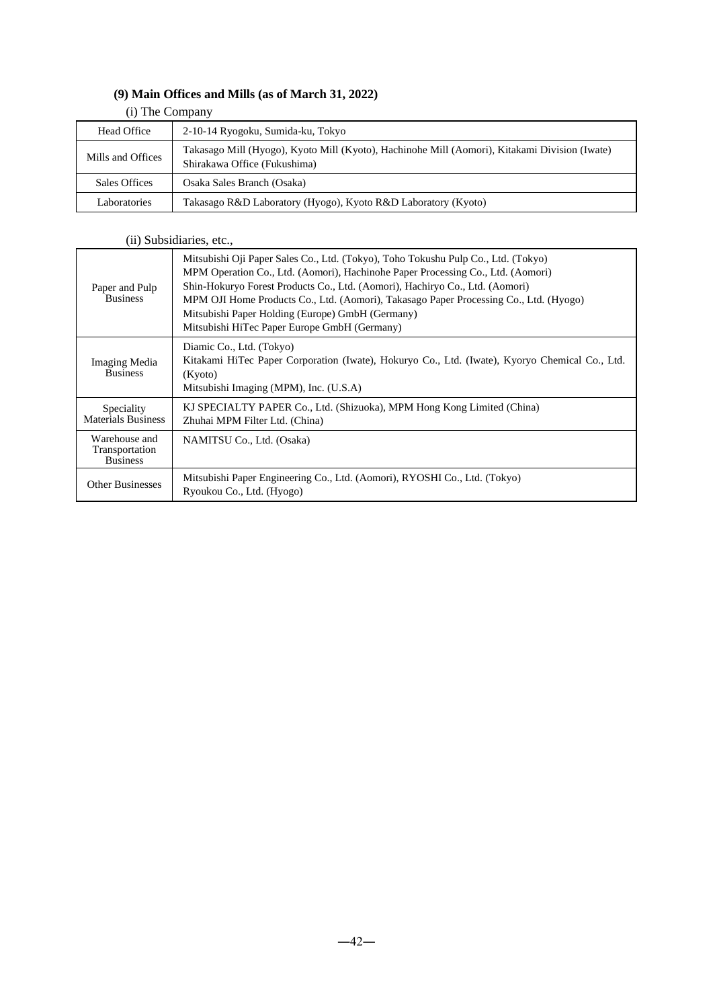# **(9) Main Offices and Mills (as of March 31, 2022)**

| (i) The Company   |                                                                                                                               |  |
|-------------------|-------------------------------------------------------------------------------------------------------------------------------|--|
| Head Office       | 2-10-14 Ryogoku, Sumida-ku, Tokyo                                                                                             |  |
| Mills and Offices | Takasago Mill (Hyogo), Kyoto Mill (Kyoto), Hachinohe Mill (Aomori), Kitakami Division (Iwate)<br>Shirakawa Office (Fukushima) |  |
| Sales Offices     | Osaka Sales Branch (Osaka)                                                                                                    |  |
| Laboratories      | Takasago R&D Laboratory (Hyogo), Kyoto R&D Laboratory (Kyoto)                                                                 |  |

# (ii) Subsidiaries, etc.,

| Paper and Pulp<br><b>Business</b>                  | Mitsubishi Oji Paper Sales Co., Ltd. (Tokyo), Toho Tokushu Pulp Co., Ltd. (Tokyo)<br>MPM Operation Co., Ltd. (Aomori), Hachinohe Paper Processing Co., Ltd. (Aomori)<br>Shin-Hokuryo Forest Products Co., Ltd. (Aomori), Hachiryo Co., Ltd. (Aomori)<br>MPM OJI Home Products Co., Ltd. (Aomori), Takasago Paper Processing Co., Ltd. (Hyogo)<br>Mitsubishi Paper Holding (Europe) GmbH (Germany)<br>Mitsubishi HiTec Paper Europe GmbH (Germany) |
|----------------------------------------------------|---------------------------------------------------------------------------------------------------------------------------------------------------------------------------------------------------------------------------------------------------------------------------------------------------------------------------------------------------------------------------------------------------------------------------------------------------|
| Imaging Media<br><b>Business</b>                   | Diamic Co., Ltd. (Tokyo)<br>Kitakami HiTec Paper Corporation (Iwate), Hokuryo Co., Ltd. (Iwate), Kyoryo Chemical Co., Ltd.<br>(Kyoto)<br>Mitsubishi Imaging (MPM), Inc. (U.S.A)                                                                                                                                                                                                                                                                   |
| Speciality<br><b>Materials Business</b>            | KJ SPECIALTY PAPER Co., Ltd. (Shizuoka), MPM Hong Kong Limited (China)<br>Zhuhai MPM Filter Ltd. (China)                                                                                                                                                                                                                                                                                                                                          |
| Warehouse and<br>Transportation<br><b>Business</b> | NAMITSU Co., Ltd. (Osaka)                                                                                                                                                                                                                                                                                                                                                                                                                         |
| <b>Other Businesses</b>                            | Mitsubishi Paper Engineering Co., Ltd. (Aomori), RYOSHI Co., Ltd. (Tokyo)<br>Ryoukou Co., Ltd. (Hyogo)                                                                                                                                                                                                                                                                                                                                            |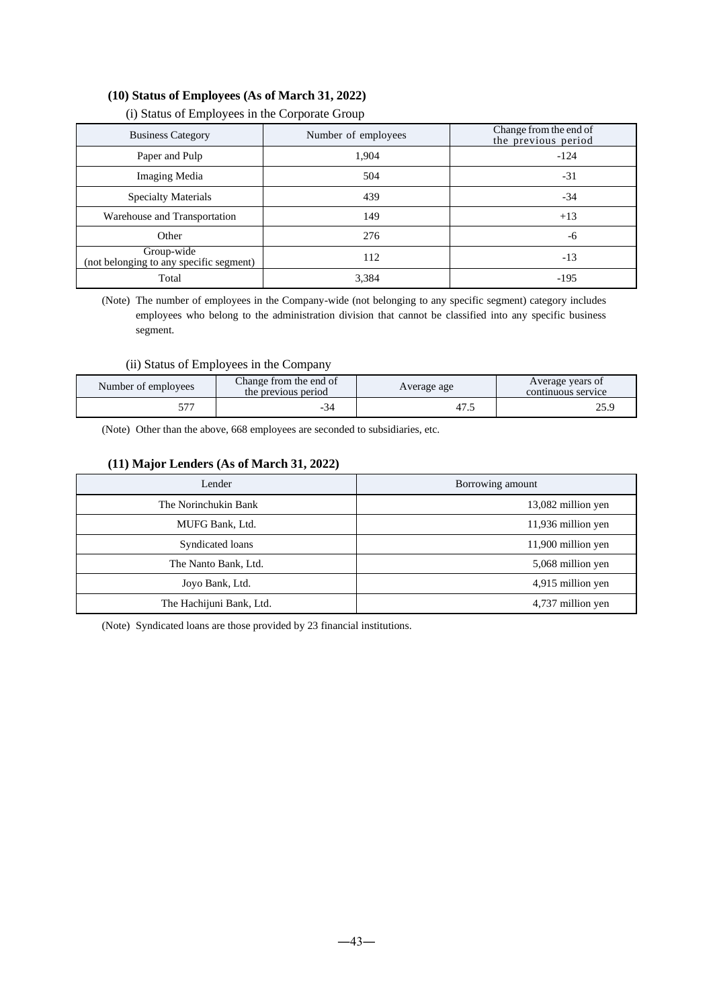# **(10) Status of Employees (As of March 31, 2022)**

|  | (i) Status of Employees in the Corporate Group |
|--|------------------------------------------------|
|  |                                                |

| <b>Business Category</b>                              | Number of employees | Change from the end of<br>the previous period |
|-------------------------------------------------------|---------------------|-----------------------------------------------|
| Paper and Pulp                                        | 1,904               | $-124$                                        |
| <b>Imaging Media</b>                                  | 504                 | $-31$                                         |
| <b>Specialty Materials</b>                            | 439                 | $-34$                                         |
| Warehouse and Transportation                          | 149                 | $+13$                                         |
| Other                                                 | 276                 | -6                                            |
| Group-wide<br>(not belonging to any specific segment) | 112                 | $-13$                                         |
| Total                                                 | 3,384               | $-195$                                        |

(Note) The number of employees in the Company-wide (not belonging to any specific segment) category includes employees who belong to the administration division that cannot be classified into any specific business segment.

(ii) Status of Employees in the Company

| Number of employees | Change from the end of<br>the previous period | Average age | Average years of<br>continuous service |
|---------------------|-----------------------------------------------|-------------|----------------------------------------|
| -7-                 |                                               | 41.7        | 25.9                                   |

(Note) Other than the above, 668 employees are seconded to subsidiaries, etc.

# **(11) Major Lenders (As of March 31, 2022)**

| Lender                   | Borrowing amount   |
|--------------------------|--------------------|
| The Norinchukin Bank     | 13,082 million yen |
| MUFG Bank, Ltd.          | 11,936 million yen |
| Syndicated loans         | 11,900 million yen |
| The Nanto Bank, Ltd.     | 5,068 million yen  |
| Joyo Bank, Ltd.          | 4,915 million yen  |
| The Hachijuni Bank, Ltd. | 4,737 million yen  |

(Note) Syndicated loans are those provided by 23 financial institutions.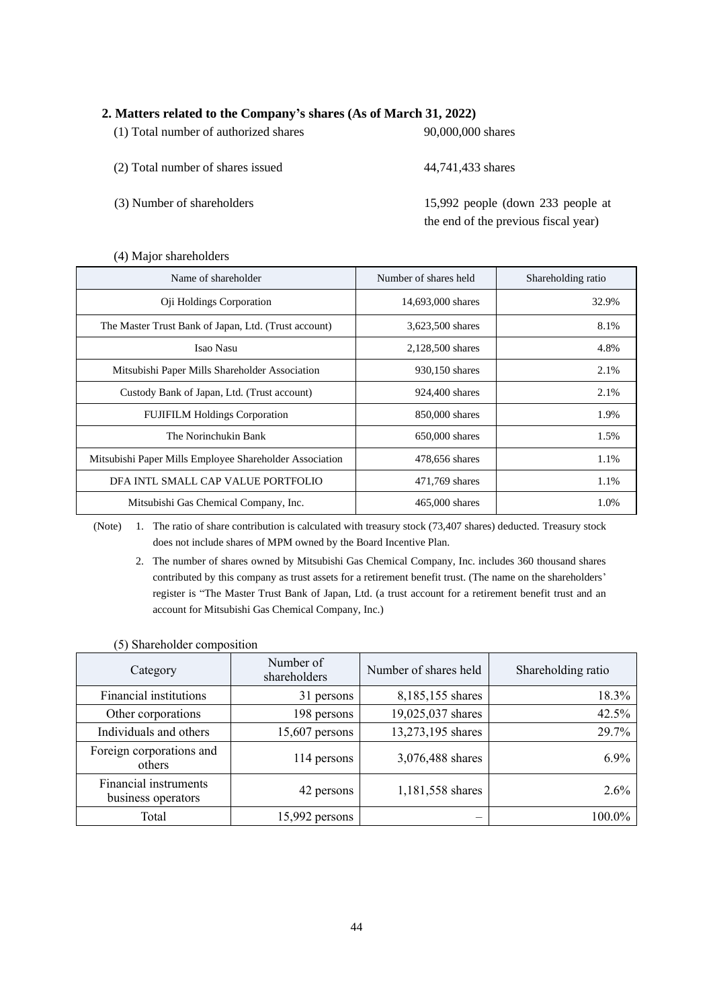# **2. Matters related to the Company's shares (As of March 31, 2022)**

(1) Total number of authorized shares 90,000,000 shares

- (2) Total number of shares issued 44,741,433 shares
- 

(3) Number of shareholders 15,992 people (down 233 people at the end of the previous fiscal year)

(4) Major shareholders

| Name of shareholder                                     | Number of shares held | Shareholding ratio |
|---------------------------------------------------------|-----------------------|--------------------|
| Oji Holdings Corporation                                | 14,693,000 shares     | 32.9%              |
| The Master Trust Bank of Japan, Ltd. (Trust account)    | 3,623,500 shares      | 8.1%               |
| <b>Isao Nasu</b>                                        | 2,128,500 shares      | 4.8%               |
| Mitsubishi Paper Mills Shareholder Association          | 930,150 shares        | 2.1%               |
| Custody Bank of Japan, Ltd. (Trust account)             | 924,400 shares        | 2.1%               |
| <b>FUJIFILM Holdings Corporation</b>                    | 850,000 shares        | 1.9%               |
| The Norinchukin Bank                                    | 650,000 shares        | 1.5%               |
| Mitsubishi Paper Mills Employee Shareholder Association | 478,656 shares        | 1.1%               |
| DFA INTL SMALL CAP VALUE PORTFOLIO                      | 471,769 shares        | 1.1%               |
| Mitsubishi Gas Chemical Company, Inc.                   | 465,000 shares        | 1.0%               |

(Note) 1. The ratio of share contribution is calculated with treasury stock (73,407 shares) deducted. Treasury stock does not include shares of MPM owned by the Board Incentive Plan.

2. The number of shares owned by Mitsubishi Gas Chemical Company, Inc. includes 360 thousand shares contributed by this company as trust assets for a retirement benefit trust. (The name on the shareholders' register is "The Master Trust Bank of Japan, Ltd. (a trust account for a retirement benefit trust and an account for Mitsubishi Gas Chemical Company, Inc.)

|  |  | (5) Shareholder composition |
|--|--|-----------------------------|
|  |  |                             |

| Category                                    | Number of<br>shareholders | Number of shares held | Shareholding ratio |
|---------------------------------------------|---------------------------|-----------------------|--------------------|
| Financial institutions                      | 31 persons                | 8,185,155 shares      | 18.3%              |
| Other corporations                          | 198 persons               | 19,025,037 shares     | 42.5%              |
| Individuals and others                      | $15,607$ persons          | 13,273,195 shares     | 29.7%              |
| Foreign corporations and<br>others          | 114 persons               | 3,076,488 shares      | 6.9%               |
| Financial instruments<br>business operators | 42 persons                | 1,181,558 shares      | 2.6%               |
| Total                                       | $15,992$ persons          |                       | 100.0%             |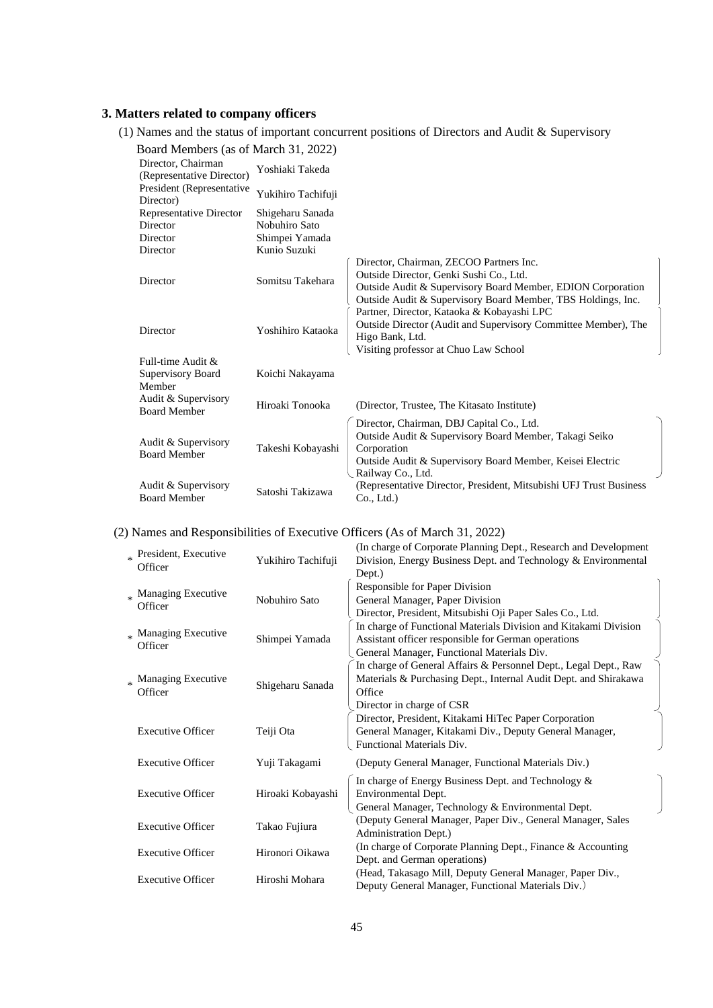# **3. Matters related to company officers**

(1) Names and the status of important concurrent positions of Directors and Audit & Supervisory

| Board Members (as of March 31, 2022)                |                    |                                                                                                                                                                                                                   |
|-----------------------------------------------------|--------------------|-------------------------------------------------------------------------------------------------------------------------------------------------------------------------------------------------------------------|
| Director, Chairman<br>(Representative Director)     | Yoshiaki Takeda    |                                                                                                                                                                                                                   |
| President (Representative<br>Director)              | Yukihiro Tachifuji |                                                                                                                                                                                                                   |
| Representative Director                             | Shigeharu Sanada   |                                                                                                                                                                                                                   |
| Director                                            | Nobuhiro Sato      |                                                                                                                                                                                                                   |
| Director                                            | Shimpei Yamada     |                                                                                                                                                                                                                   |
| Director                                            | Kunio Suzuki       |                                                                                                                                                                                                                   |
| Director                                            | Somitsu Takehara   | Director, Chairman, ZECOO Partners Inc.<br>Outside Director, Genki Sushi Co., Ltd.<br>Outside Audit & Supervisory Board Member, EDION Corporation<br>Outside Audit & Supervisory Board Member, TBS Holdings, Inc. |
| Director                                            | Yoshihiro Kataoka  | Partner, Director, Kataoka & Kobayashi LPC<br>Outside Director (Audit and Supervisory Committee Member), The<br>Higo Bank, Ltd.<br>Visiting professor at Chuo Law School                                          |
| Full-time Audit $\&$<br>Supervisory Board<br>Member | Koichi Nakayama    |                                                                                                                                                                                                                   |
| Audit & Supervisory<br><b>Board Member</b>          | Hiroaki Tonooka    | (Director, Trustee, The Kitasato Institute)                                                                                                                                                                       |
| Audit & Supervisory<br><b>Board Member</b>          | Takeshi Kobayashi  | Director, Chairman, DBJ Capital Co., Ltd.<br>Outside Audit & Supervisory Board Member, Takagi Seiko<br>Corporation<br>Outside Audit & Supervisory Board Member, Keisei Electric<br>Railway Co., Ltd.              |
| Audit & Supervisory<br><b>Board Member</b>          | Satoshi Takizawa   | (Representative Director, President, Mitsubishi UFJ Trust Business<br>Co., Ltd.)                                                                                                                                  |

# (2) Names and Responsibilities of Executive Officers (As of March 31, 2022)

| * President, Executive<br>Officer | Yukihiro Tachifuji | (In charge of Corporate Planning Dept., Research and Development<br>Division, Energy Business Dept. and Technology & Environmental<br>Dept.)                                |
|-----------------------------------|--------------------|-----------------------------------------------------------------------------------------------------------------------------------------------------------------------------|
| * Managing Executive<br>Officer   | Nobuhiro Sato      | Responsible for Paper Division<br>General Manager, Paper Division<br>Director, President, Mitsubishi Oji Paper Sales Co., Ltd.                                              |
| * Managing Executive<br>Officer   | Shimpei Yamada     | In charge of Functional Materials Division and Kitakami Division<br>Assistant officer responsible for German operations<br>General Manager, Functional Materials Div.       |
| » Managing Executive<br>Officer   | Shigeharu Sanada   | In charge of General Affairs & Personnel Dept., Legal Dept., Raw<br>Materials & Purchasing Dept., Internal Audit Dept. and Shirakawa<br>Office<br>Director in charge of CSR |
| <b>Executive Officer</b>          | Teiji Ota          | Director, President, Kitakami HiTec Paper Corporation<br>General Manager, Kitakami Div., Deputy General Manager,<br>Functional Materials Div.                               |
| <b>Executive Officer</b>          | Yuji Takagami      | (Deputy General Manager, Functional Materials Div.)                                                                                                                         |
| <b>Executive Officer</b>          | Hiroaki Kobayashi  | In charge of Energy Business Dept. and Technology &<br>Environmental Dept.<br>General Manager, Technology & Environmental Dept.                                             |
| <b>Executive Officer</b>          | Takao Fujiura      | (Deputy General Manager, Paper Div., General Manager, Sales<br>Administration Dept.)                                                                                        |
| <b>Executive Officer</b>          | Hironori Oikawa    | (In charge of Corporate Planning Dept., Finance & Accounting<br>Dept. and German operations)                                                                                |
| <b>Executive Officer</b>          | Hiroshi Mohara     | (Head, Takasago Mill, Deputy General Manager, Paper Div.,<br>Deputy General Manager, Functional Materials Div.)                                                             |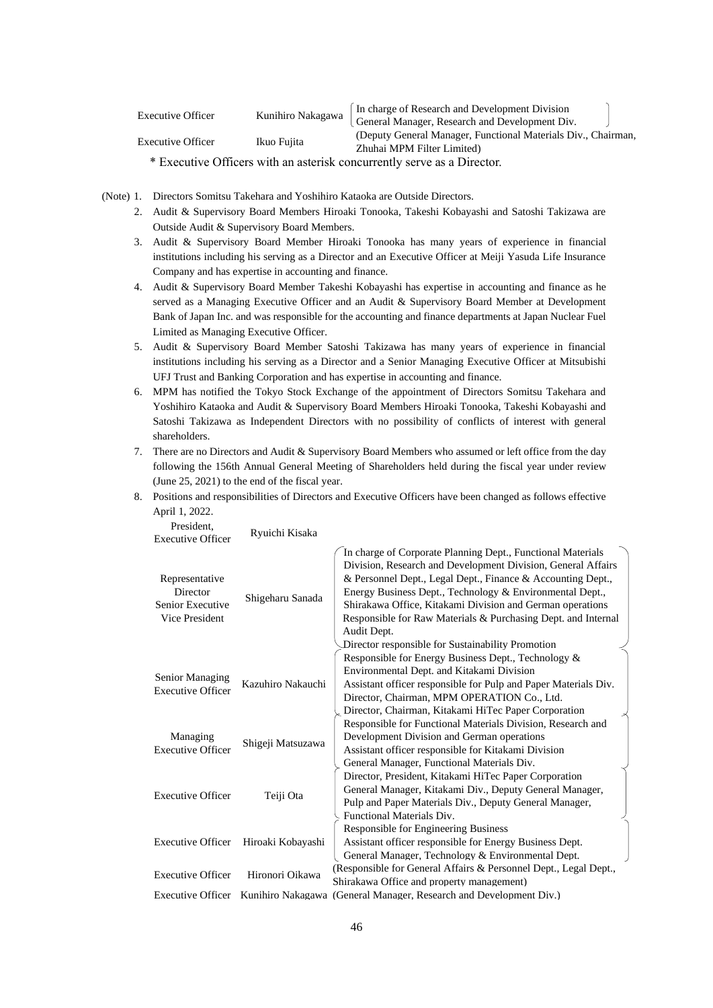| <b>Executive Officer</b>                                                | Kunihiro Nakagawa<br>Ikuo Fujita | In charge of Research and Development Division                                              |  |  |
|-------------------------------------------------------------------------|----------------------------------|---------------------------------------------------------------------------------------------|--|--|
|                                                                         |                                  | General Manager, Research and Development Div.                                              |  |  |
| <b>Executive Officer</b>                                                |                                  | (Deputy General Manager, Functional Materials Div., Chairman,<br>Zhuhai MPM Filter Limited) |  |  |
| * Executive Officers with an asterisk concurrently serve as a Director. |                                  |                                                                                             |  |  |

(Note) 1. Directors Somitsu Takehara and Yoshihiro Kataoka are Outside Directors.

- 2. Audit & Supervisory Board Members Hiroaki Tonooka, Takeshi Kobayashi and Satoshi Takizawa are Outside Audit & Supervisory Board Members.
- 3. Audit & Supervisory Board Member Hiroaki Tonooka has many years of experience in financial institutions including his serving as a Director and an Executive Officer at Meiji Yasuda Life Insurance Company and has expertise in accounting and finance.
- 4. Audit & Supervisory Board Member Takeshi Kobayashi has expertise in accounting and finance as he served as a Managing Executive Officer and an Audit & Supervisory Board Member at Development Bank of Japan Inc. and was responsible for the accounting and finance departments at Japan Nuclear Fuel Limited as Managing Executive Officer.
- 5. Audit & Supervisory Board Member Satoshi Takizawa has many years of experience in financial institutions including his serving as a Director and a Senior Managing Executive Officer at Mitsubishi UFJ Trust and Banking Corporation and has expertise in accounting and finance.
- 6. MPM has notified the Tokyo Stock Exchange of the appointment of Directors Somitsu Takehara and Yoshihiro Kataoka and Audit & Supervisory Board Members Hiroaki Tonooka, Takeshi Kobayashi and Satoshi Takizawa as Independent Directors with no possibility of conflicts of interest with general shareholders.
- 7. There are no Directors and Audit & Supervisory Board Members who assumed or left office from the day following the 156th Annual General Meeting of Shareholders held during the fiscal year under review (June 25, 2021) to the end of the fiscal year.
- 8. Positions and responsibilities of Directors and Executive Officers have been changed as follows effective April 1, 2022.

| r resident,<br><b>Executive Officer</b>                          | Ryuichi Kisaka    |                                                                                                                                                                                                                                                                                                                                                                                                                                                          |
|------------------------------------------------------------------|-------------------|----------------------------------------------------------------------------------------------------------------------------------------------------------------------------------------------------------------------------------------------------------------------------------------------------------------------------------------------------------------------------------------------------------------------------------------------------------|
| Representative<br>Director<br>Senior Executive<br>Vice President | Shigeharu Sanada  | In charge of Corporate Planning Dept., Functional Materials<br>Division, Research and Development Division, General Affairs<br>& Personnel Dept., Legal Dept., Finance & Accounting Dept.,<br>Energy Business Dept., Technology & Environmental Dept.,<br>Shirakawa Office, Kitakami Division and German operations<br>Responsible for Raw Materials & Purchasing Dept. and Internal<br>Audit Dept.<br>Director responsible for Sustainability Promotion |
| <b>Senior Managing</b><br><b>Executive Officer</b>               | Kazuhiro Nakauchi | Responsible for Energy Business Dept., Technology &<br>Environmental Dept. and Kitakami Division<br>Assistant officer responsible for Pulp and Paper Materials Div.<br>Director, Chairman, MPM OPERATION Co., Ltd.<br>Director, Chairman, Kitakami HiTec Paper Corporation                                                                                                                                                                               |
| Managing<br><b>Executive Officer</b>                             | Shigeji Matsuzawa | Responsible for Functional Materials Division, Research and<br>Development Division and German operations<br>Assistant officer responsible for Kitakami Division<br>General Manager, Functional Materials Div.                                                                                                                                                                                                                                           |
| <b>Executive Officer</b>                                         | Teiji Ota         | Director, President, Kitakami HiTec Paper Corporation<br>General Manager, Kitakami Div., Deputy General Manager,<br>Pulp and Paper Materials Div., Deputy General Manager,<br>Functional Materials Div.                                                                                                                                                                                                                                                  |
| <b>Executive Officer</b>                                         | Hiroaki Kobayashi | Responsible for Engineering Business<br>Assistant officer responsible for Energy Business Dept.<br>General Manager, Technology & Environmental Dept.                                                                                                                                                                                                                                                                                                     |
| <b>Executive Officer</b>                                         | Hironori Oikawa   | (Responsible for General Affairs & Personnel Dept., Legal Dept.,<br>Shirakawa Office and property management)                                                                                                                                                                                                                                                                                                                                            |
|                                                                  |                   | Executive Officer Kunihiro Nakagawa (General Manager, Research and Development Div.)                                                                                                                                                                                                                                                                                                                                                                     |
|                                                                  |                   |                                                                                                                                                                                                                                                                                                                                                                                                                                                          |

President,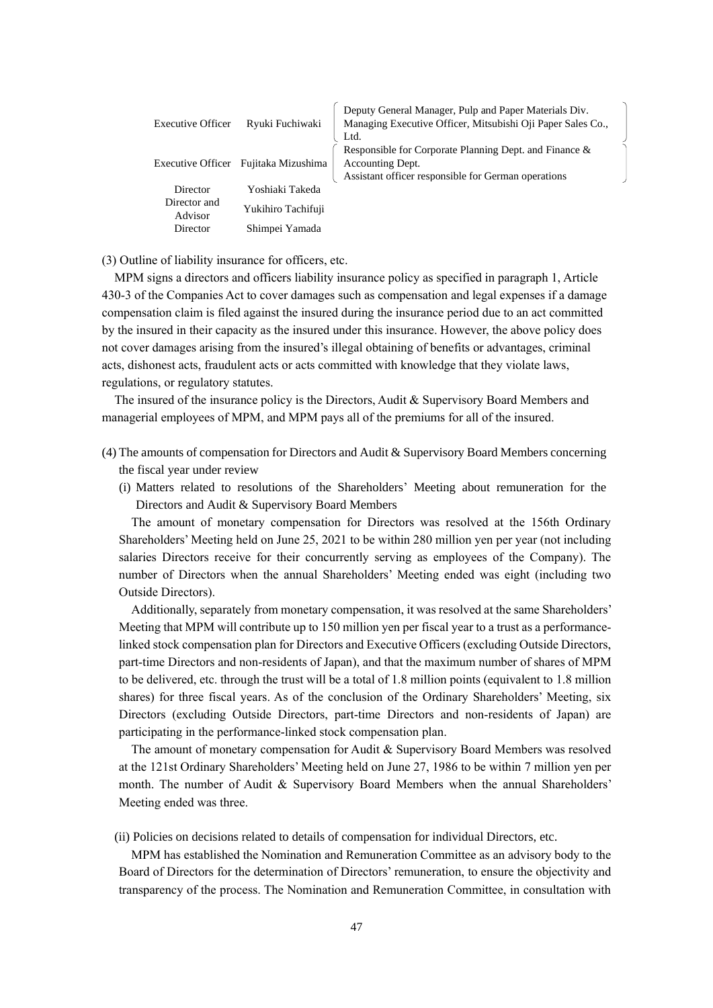| <b>Executive Officer</b> | Ryuki Fuchiwaki    | Deputy General Manager, Pulp and Paper Materials Div.<br>Managing Executive Officer, Mitsubishi Oji Paper Sales Co.,<br>Ltd.      |
|--------------------------|--------------------|-----------------------------------------------------------------------------------------------------------------------------------|
| <b>Executive Officer</b> | Fujitaka Mizushima | Responsible for Corporate Planning Dept. and Finance &<br>Accounting Dept.<br>Assistant officer responsible for German operations |
| Director                 | Yoshiaki Takeda    |                                                                                                                                   |
| Director and<br>Advisor  | Yukihiro Tachifuji |                                                                                                                                   |
| Director                 | Shimpei Yamada     |                                                                                                                                   |

(3) Outline of liability insurance for officers, etc.

MPM signs a directors and officers liability insurance policy as specified in paragraph 1, Article 430-3 of the Companies Act to cover damages such as compensation and legal expenses if a damage compensation claim is filed against the insured during the insurance period due to an act committed by the insured in their capacity as the insured under this insurance. However, the above policy does not cover damages arising from the insured's illegal obtaining of benefits or advantages, criminal acts, dishonest acts, fraudulent acts or acts committed with knowledge that they violate laws, regulations, or regulatory statutes.

The insured of the insurance policy is the Directors, Audit & Supervisory Board Members and managerial employees of MPM, and MPM pays all of the premiums for all of the insured.

- (4) The amounts of compensation for Directors and Audit & Supervisory Board Members concerning the fiscal year under review
	- (i) Matters related to resolutions of the Shareholders' Meeting about remuneration for the Directors and Audit & Supervisory Board Members

The amount of monetary compensation for Directors was resolved at the 156th Ordinary Shareholders' Meeting held on June 25, 2021 to be within 280 million yen per year (not including salaries Directors receive for their concurrently serving as employees of the Company). The number of Directors when the annual Shareholders' Meeting ended was eight (including two Outside Directors).

Additionally, separately from monetary compensation, it was resolved at the same Shareholders' Meeting that MPM will contribute up to 150 million yen per fiscal year to a trust as a performancelinked stock compensation plan for Directors and Executive Officers (excluding Outside Directors, part-time Directors and non-residents of Japan), and that the maximum number of shares of MPM to be delivered, etc. through the trust will be a total of 1.8 million points (equivalent to 1.8 million shares) for three fiscal years. As of the conclusion of the Ordinary Shareholders' Meeting, six Directors (excluding Outside Directors, part-time Directors and non-residents of Japan) are participating in the performance-linked stock compensation plan.

The amount of monetary compensation for Audit & Supervisory Board Members was resolved at the 121st Ordinary Shareholders' Meeting held on June 27, 1986 to be within 7 million yen per month. The number of Audit & Supervisory Board Members when the annual Shareholders' Meeting ended was three.

(ii) Policies on decisions related to details of compensation for individual Directors, etc.

MPM has established the Nomination and Remuneration Committee as an advisory body to the Board of Directors for the determination of Directors' remuneration, to ensure the objectivity and transparency of the process. The Nomination and Remuneration Committee, in consultation with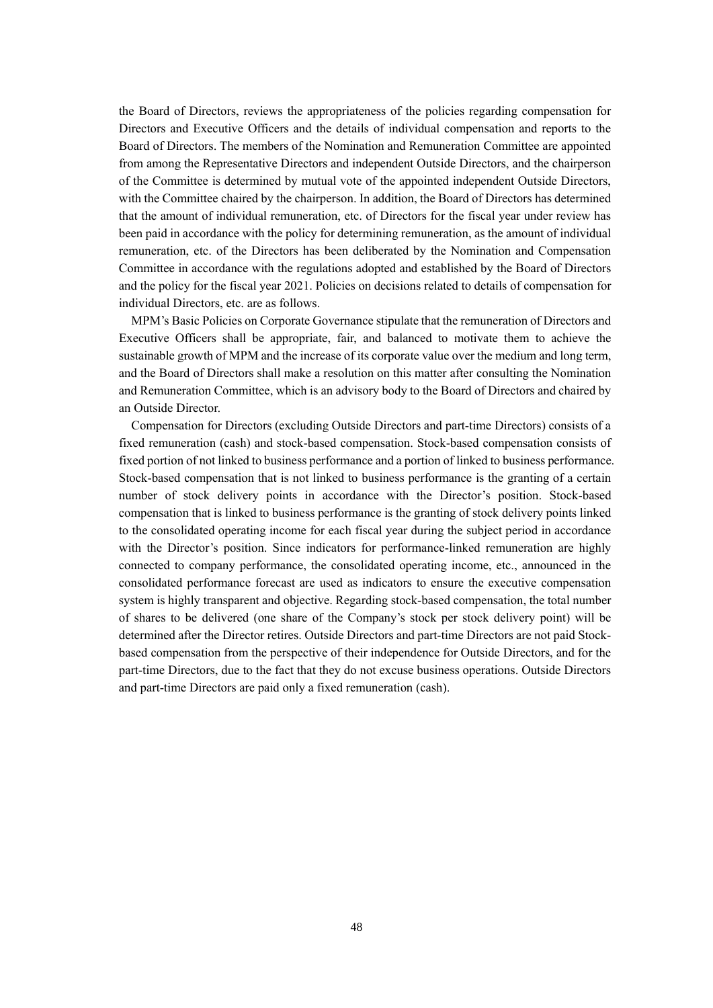the Board of Directors, reviews the appropriateness of the policies regarding compensation for Directors and Executive Officers and the details of individual compensation and reports to the Board of Directors. The members of the Nomination and Remuneration Committee are appointed from among the Representative Directors and independent Outside Directors, and the chairperson of the Committee is determined by mutual vote of the appointed independent Outside Directors, with the Committee chaired by the chairperson. In addition, the Board of Directors has determined that the amount of individual remuneration, etc. of Directors for the fiscal year under review has been paid in accordance with the policy for determining remuneration, as the amount of individual remuneration, etc. of the Directors has been deliberated by the Nomination and Compensation Committee in accordance with the regulations adopted and established by the Board of Directors and the policy for the fiscal year 2021. Policies on decisions related to details of compensation for individual Directors, etc. are as follows.

MPM's Basic Policies on Corporate Governance stipulate that the remuneration of Directors and Executive Officers shall be appropriate, fair, and balanced to motivate them to achieve the sustainable growth of MPM and the increase of its corporate value over the medium and long term, and the Board of Directors shall make a resolution on this matter after consulting the Nomination and Remuneration Committee, which is an advisory body to the Board of Directors and chaired by an Outside Director.

Compensation for Directors (excluding Outside Directors and part-time Directors) consists of a fixed remuneration (cash) and stock-based compensation. Stock-based compensation consists of fixed portion of not linked to business performance and a portion of linked to business performance. Stock-based compensation that is not linked to business performance is the granting of a certain number of stock delivery points in accordance with the Director's position. Stock-based compensation that is linked to business performance is the granting of stock delivery points linked to the consolidated operating income for each fiscal year during the subject period in accordance with the Director's position. Since indicators for performance-linked remuneration are highly connected to company performance, the consolidated operating income, etc., announced in the consolidated performance forecast are used as indicators to ensure the executive compensation system is highly transparent and objective. Regarding stock-based compensation, the total number of shares to be delivered (one share of the Company's stock per stock delivery point) will be determined after the Director retires. Outside Directors and part-time Directors are not paid Stockbased compensation from the perspective of their independence for Outside Directors, and for the part-time Directors, due to the fact that they do not excuse business operations. Outside Directors and part-time Directors are paid only a fixed remuneration (cash).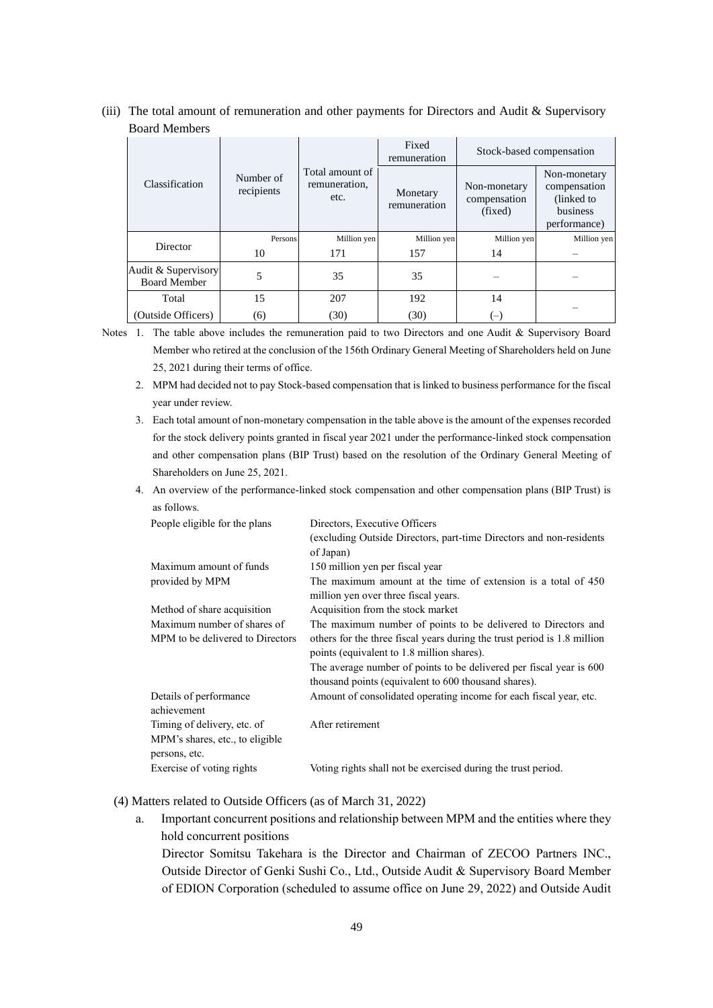(iii) The total amount of remuneration and other payments for Directors and Audit & Supervisory Board Members

|                                            |                         | Total amount of<br>remuneration.<br>etc. | Fixed<br>remuneration    | Stock-based compensation                |                                                                        |
|--------------------------------------------|-------------------------|------------------------------------------|--------------------------|-----------------------------------------|------------------------------------------------------------------------|
| Classification                             | Number of<br>recipients |                                          | Monetary<br>remuneration | Non-monetary<br>compensation<br>(fixed) | Non-monetary<br>compensation<br>(linked to<br>business<br>performance) |
|                                            | Persons                 | Million yen                              | Million yen              | Million yen                             | Million yen                                                            |
| Director                                   | 10                      | 171                                      | 157                      | 14                                      |                                                                        |
| Audit & Supervisory<br><b>Board Member</b> | 5                       | 35                                       | 35                       |                                         |                                                                        |
| Total                                      | 15                      | 207                                      | 192                      | 14                                      |                                                                        |
| (Outside Officers)                         | (6)                     | (30)                                     | (30)                     | $(-)$                                   |                                                                        |

Notes 1. The table above includes the remuneration paid to two Directors and one Audit & Supervisory Board Member who retired at the conclusion of the 156th Ordinary General Meeting of Shareholders held on June 25, 2021 during their terms of office.

- 2. MPM had decided not to pay Stock-based compensation that is linked to business performance for the fiscal year under review.
- 3. Each total amount of non-monetary compensation in the table above is the amount of the expenses recorded for the stock delivery points granted in fiscal year 2021 under the performance-linked stock compensation and other compensation plans (BIP Trust) based on the resolution of the Ordinary General Meeting of Shareholders on June 25, 2021.
- 4. An overview of the performance-linked stock compensation and other compensation plans (BIP Trust) is as follows.

| People eligible for the plans         | Directors, Executive Officers<br>(excluding Outside Directors, part-time Directors and non-residents<br>of Japan)      |
|---------------------------------------|------------------------------------------------------------------------------------------------------------------------|
| Maximum amount of funds               | 150 million yen per fiscal year                                                                                        |
| provided by MPM                       | The maximum amount at the time of extension is a total of 450                                                          |
|                                       | million yen over three fiscal years.                                                                                   |
| Method of share acquisition           | Acquisition from the stock market                                                                                      |
| Maximum number of shares of           | The maximum number of points to be delivered to Directors and                                                          |
| MPM to be delivered to Directors      | others for the three fiscal years during the trust period is 1.8 million<br>points (equivalent to 1.8 million shares). |
|                                       | The average number of points to be delivered per fiscal year is 600                                                    |
|                                       | thousand points (equivalent to 600 thousand shares).                                                                   |
| Details of performance<br>achievement | Amount of consolidated operating income for each fiscal year, etc.                                                     |
| Timing of delivery, etc. of           | After retirement                                                                                                       |
| MPM's shares, etc., to eligible       |                                                                                                                        |
| persons, etc.                         |                                                                                                                        |
| Exercise of voting rights             | Voting rights shall not be exercised during the trust period.                                                          |

# (4) Matters related to Outside Officers (as of March 31, 2022)

a. Important concurrent positions and relationship between MPM and the entities where they hold concurrent positions

Director Somitsu Takehara is the Director and Chairman of ZECOO Partners INC., Outside Director of Genki Sushi Co., Ltd., Outside Audit & Supervisory Board Member of EDION Corporation (scheduled to assume office on June 29, 2022) and Outside Audit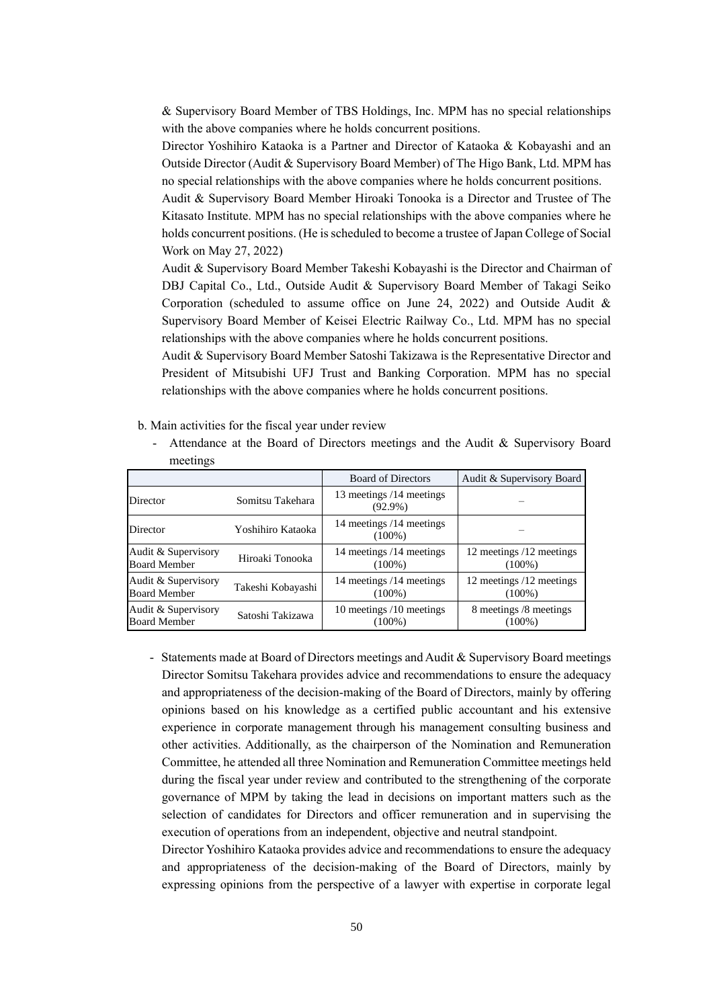& Supervisory Board Member of TBS Holdings, Inc. MPM has no special relationships with the above companies where he holds concurrent positions.

Director Yoshihiro Kataoka is a Partner and Director of Kataoka & Kobayashi and an Outside Director (Audit & Supervisory Board Member) of The Higo Bank, Ltd. MPM has no special relationships with the above companies where he holds concurrent positions.

Audit & Supervisory Board Member Hiroaki Tonooka is a Director and Trustee of The Kitasato Institute. MPM has no special relationships with the above companies where he holds concurrent positions. (He is scheduled to become a trustee of Japan College of Social Work on May 27, 2022)

Audit & Supervisory Board Member Takeshi Kobayashi is the Director and Chairman of DBJ Capital Co., Ltd., Outside Audit & Supervisory Board Member of Takagi Seiko Corporation (scheduled to assume office on June 24, 2022) and Outside Audit & Supervisory Board Member of Keisei Electric Railway Co., Ltd. MPM has no special relationships with the above companies where he holds concurrent positions.

Audit & Supervisory Board Member Satoshi Takizawa is the Representative Director and President of Mitsubishi UFJ Trust and Banking Corporation. MPM has no special relationships with the above companies where he holds concurrent positions.

b. Main activities for the fiscal year under review

- Attendance at the Board of Directors meetings and the Audit & Supervisory Board meetings

|                     |                   | <b>Board of Directors</b>              | Audit & Supervisory Board |
|---------------------|-------------------|----------------------------------------|---------------------------|
| Director            | Somitsu Takehara  | 13 meetings /14 meetings<br>$(92.9\%)$ |                           |
| Director            | Yoshihiro Kataoka | 14 meetings /14 meetings<br>$(100\%)$  |                           |
| Audit & Supervisory | Hiroaki Tonooka   | 14 meetings /14 meetings               | 12 meetings /12 meetings  |
| <b>Board Member</b> |                   | $(100\%)$                              | $(100\%)$                 |
| Audit & Supervisory | Takeshi Kobayashi | 14 meetings /14 meetings               | 12 meetings /12 meetings  |
| <b>Board Member</b> |                   | $(100\%)$                              | $(100\%)$                 |
| Audit & Supervisory | Satoshi Takizawa  | 10 meetings /10 meetings               | 8 meetings /8 meetings    |
| <b>Board Member</b> |                   | $(100\%)$                              | $(100\%)$                 |

- Statements made at Board of Directors meetings and Audit & Supervisory Board meetings Director Somitsu Takehara provides advice and recommendations to ensure the adequacy and appropriateness of the decision-making of the Board of Directors, mainly by offering opinions based on his knowledge as a certified public accountant and his extensive experience in corporate management through his management consulting business and other activities. Additionally, as the chairperson of the Nomination and Remuneration Committee, he attended all three Nomination and Remuneration Committee meetings held during the fiscal year under review and contributed to the strengthening of the corporate governance of MPM by taking the lead in decisions on important matters such as the selection of candidates for Directors and officer remuneration and in supervising the execution of operations from an independent, objective and neutral standpoint.

Director Yoshihiro Kataoka provides advice and recommendations to ensure the adequacy and appropriateness of the decision-making of the Board of Directors, mainly by expressing opinions from the perspective of a lawyer with expertise in corporate legal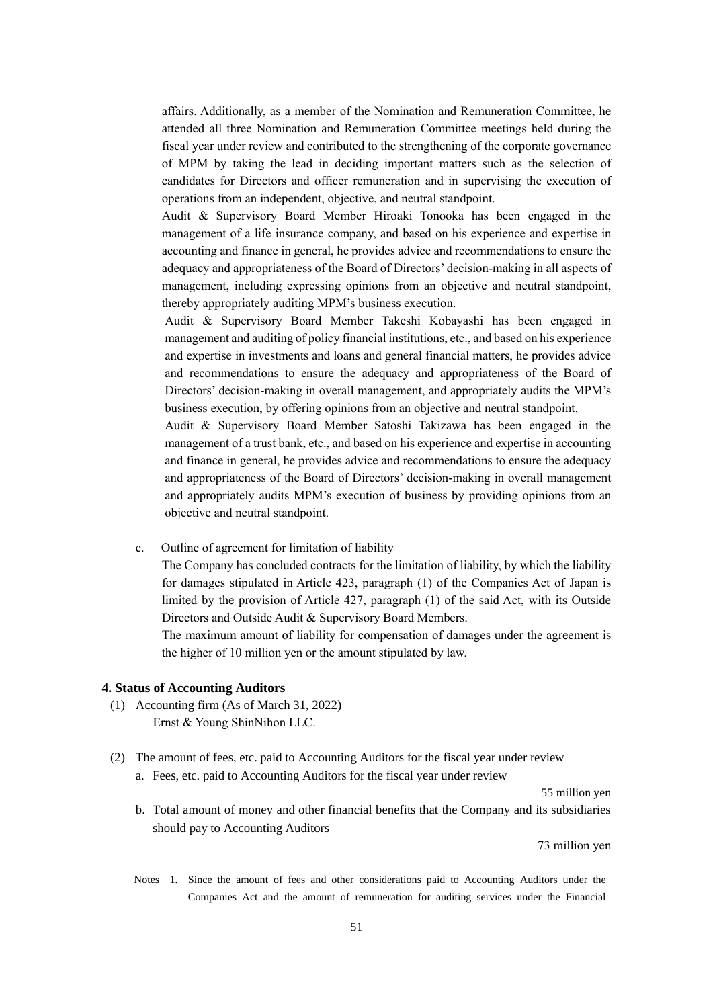affairs. Additionally, as a member of the Nomination and Remuneration Committee, he attended all three Nomination and Remuneration Committee meetings held during the fiscal year under review and contributed to the strengthening of the corporate governance of MPM by taking the lead in deciding important matters such as the selection of candidates for Directors and officer remuneration and in supervising the execution of operations from an independent, objective, and neutral standpoint.

Audit & Supervisory Board Member Hiroaki Tonooka has been engaged in the management of a life insurance company, and based on his experience and expertise in accounting and finance in general, he provides advice and recommendations to ensure the adequacy and appropriateness of the Board of Directors' decision-making in all aspects of management, including expressing opinions from an objective and neutral standpoint, thereby appropriately auditing MPM's business execution.

Audit & Supervisory Board Member Takeshi Kobayashi has been engaged in management and auditing of policy financial institutions, etc., and based on his experience and expertise in investments and loans and general financial matters, he provides advice and recommendations to ensure the adequacy and appropriateness of the Board of Directors' decision-making in overall management, and appropriately audits the MPM's business execution, by offering opinions from an objective and neutral standpoint.

Audit & Supervisory Board Member Satoshi Takizawa has been engaged in the management of a trust bank, etc., and based on his experience and expertise in accounting and finance in general, he provides advice and recommendations to ensure the adequacy and appropriateness of the Board of Directors' decision-making in overall management and appropriately audits MPM's execution of business by providing opinions from an objective and neutral standpoint.

c. Outline of agreement for limitation of liability

The Company has concluded contracts for the limitation of liability, by which the liability for damages stipulated in Article 423, paragraph (1) of the Companies Act of Japan is limited by the provision of Article 427, paragraph (1) of the said Act, with its Outside Directors and Outside Audit & Supervisory Board Members.

The maximum amount of liability for compensation of damages under the agreement is the higher of 10 million yen or the amount stipulated by law.

#### **4. Status of Accounting Auditors**

- (1) Accounting firm (As of March 31, 2022) Ernst & Young ShinNihon LLC.
- (2) The amount of fees, etc. paid to Accounting Auditors for the fiscal year under review a. Fees, etc. paid to Accounting Auditors for the fiscal year under review

55 million yen

b. Total amount of money and other financial benefits that the Company and its subsidiaries should pay to Accounting Auditors

73 million yen

Notes 1. Since the amount of fees and other considerations paid to Accounting Auditors under the Companies Act and the amount of remuneration for auditing services under the Financial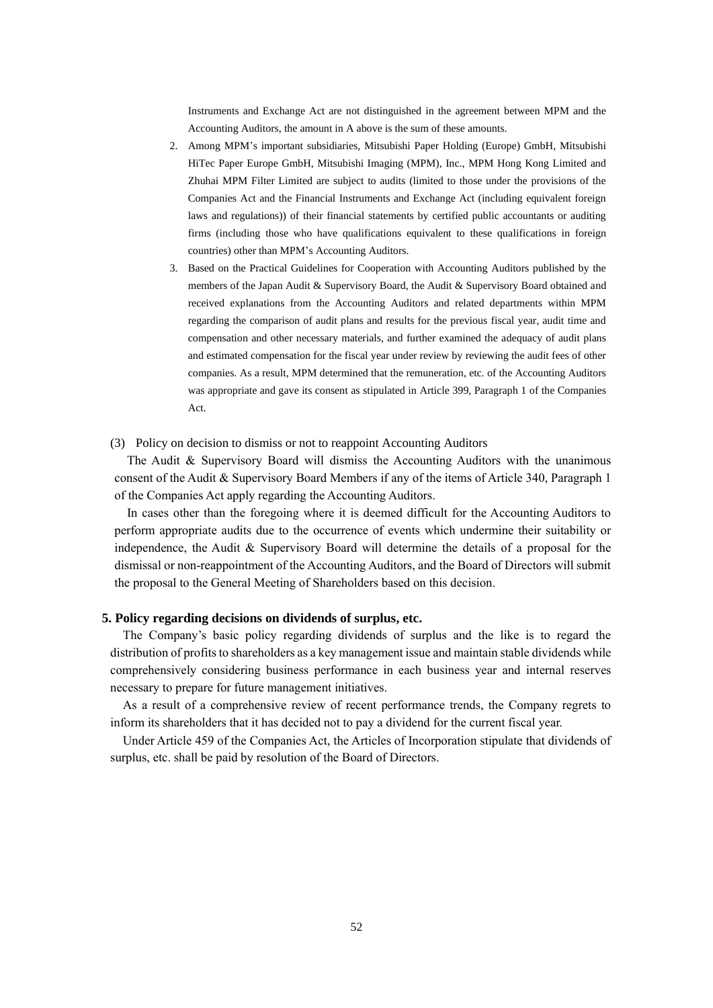Instruments and Exchange Act are not distinguished in the agreement between MPM and the Accounting Auditors, the amount in A above is the sum of these amounts.

- 2. Among MPM's important subsidiaries, Mitsubishi Paper Holding (Europe) GmbH, Mitsubishi HiTec Paper Europe GmbH, Mitsubishi Imaging (MPM), Inc., MPM Hong Kong Limited and Zhuhai MPM Filter Limited are subject to audits (limited to those under the provisions of the Companies Act and the Financial Instruments and Exchange Act (including equivalent foreign laws and regulations)) of their financial statements by certified public accountants or auditing firms (including those who have qualifications equivalent to these qualifications in foreign countries) other than MPM's Accounting Auditors.
- 3. Based on the Practical Guidelines for Cooperation with Accounting Auditors published by the members of the Japan Audit & Supervisory Board, the Audit & Supervisory Board obtained and received explanations from the Accounting Auditors and related departments within MPM regarding the comparison of audit plans and results for the previous fiscal year, audit time and compensation and other necessary materials, and further examined the adequacy of audit plans and estimated compensation for the fiscal year under review by reviewing the audit fees of other companies. As a result, MPM determined that the remuneration, etc. of the Accounting Auditors was appropriate and gave its consent as stipulated in Article 399, Paragraph 1 of the Companies Act.
- (3) Policy on decision to dismiss or not to reappoint Accounting Auditors

The Audit & Supervisory Board will dismiss the Accounting Auditors with the unanimous consent of the Audit & Supervisory Board Members if any of the items of Article 340, Paragraph 1 of the Companies Act apply regarding the Accounting Auditors.

In cases other than the foregoing where it is deemed difficult for the Accounting Auditors to perform appropriate audits due to the occurrence of events which undermine their suitability or independence, the Audit & Supervisory Board will determine the details of a proposal for the dismissal or non-reappointment of the Accounting Auditors, and the Board of Directors will submit the proposal to the General Meeting of Shareholders based on this decision.

#### **5. Policy regarding decisions on dividends of surplus, etc.**

The Company's basic policy regarding dividends of surplus and the like is to regard the distribution of profits to shareholders as a key management issue and maintain stable dividends while comprehensively considering business performance in each business year and internal reserves necessary to prepare for future management initiatives.

As a result of a comprehensive review of recent performance trends, the Company regrets to inform its shareholders that it has decided not to pay a dividend for the current fiscal year.

Under Article 459 of the Companies Act, the Articles of Incorporation stipulate that dividends of surplus, etc. shall be paid by resolution of the Board of Directors.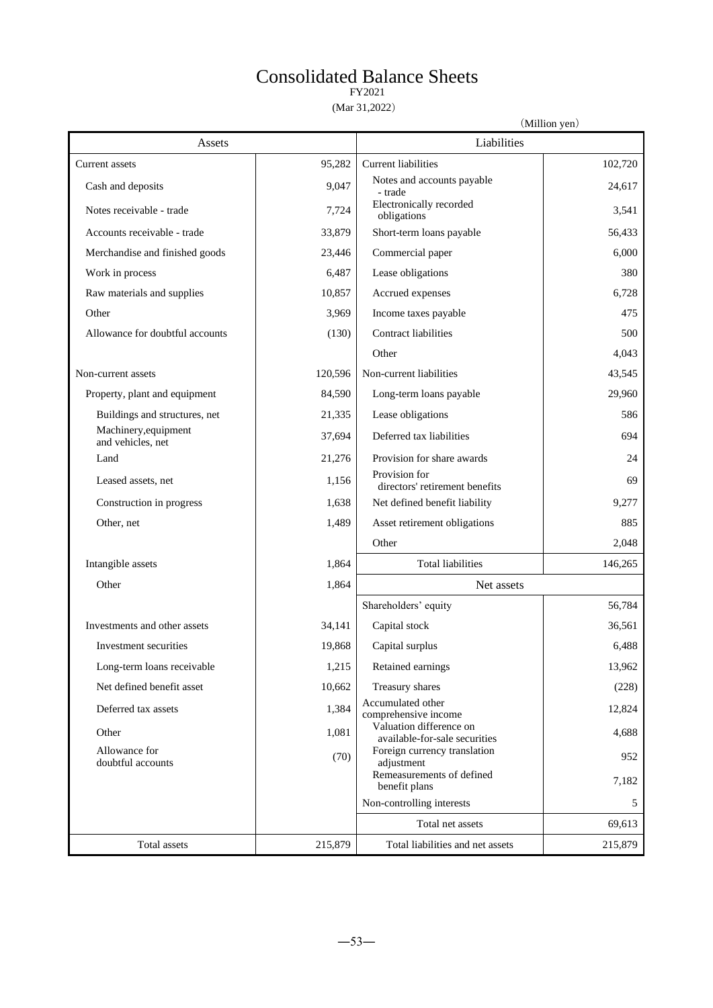# Consolidated Balance Sheets

FY2021

(Mar 31,2022)

|                                           |         |                                                               | (Million yen) |  |
|-------------------------------------------|---------|---------------------------------------------------------------|---------------|--|
| Assets                                    |         | Liabilities                                                   |               |  |
| Current assets                            | 95,282  | Current liabilities                                           | 102,720       |  |
| Cash and deposits                         | 9,047   | Notes and accounts payable<br>- trade                         | 24,617        |  |
| Notes receivable - trade                  | 7,724   | Electronically recorded<br>obligations                        | 3,541         |  |
| Accounts receivable - trade               | 33,879  | Short-term loans payable                                      | 56,433        |  |
| Merchandise and finished goods            | 23,446  | Commercial paper                                              | 6,000         |  |
| Work in process                           | 6,487   | Lease obligations                                             | 380           |  |
| Raw materials and supplies                | 10,857  | Accrued expenses                                              | 6,728         |  |
| Other                                     | 3,969   | Income taxes payable                                          | 475           |  |
| Allowance for doubtful accounts           | (130)   | <b>Contract liabilities</b>                                   | 500           |  |
|                                           |         | Other                                                         | 4,043         |  |
| Non-current assets                        | 120,596 | Non-current liabilities                                       | 43,545        |  |
| Property, plant and equipment             | 84,590  | Long-term loans payable                                       | 29,960        |  |
| Buildings and structures, net             | 21,335  | Lease obligations                                             | 586           |  |
| Machinery, equipment<br>and vehicles, net | 37,694  | Deferred tax liabilities                                      | 694           |  |
| Land                                      | 21,276  | Provision for share awards                                    | 24            |  |
| Leased assets, net                        | 1,156   | Provision for<br>directors' retirement benefits               | 69            |  |
| Construction in progress                  | 1,638   | Net defined benefit liability                                 | 9,277         |  |
| Other, net                                | 1,489   | Asset retirement obligations                                  | 885           |  |
|                                           |         | Other                                                         | 2,048         |  |
| Intangible assets                         | 1,864   | <b>Total liabilities</b>                                      | 146,265       |  |
| Other                                     | 1,864   | Net assets                                                    |               |  |
|                                           |         | Shareholders' equity                                          | 56,784        |  |
| Investments and other assets              | 34,141  | Capital stock                                                 | 36,561        |  |
| Investment securities                     | 19,868  | Capital surplus                                               | 6,488         |  |
| Long-term loans receivable                | 1,215   | Retained earnings                                             | 13,962        |  |
| Net defined benefit asset                 | 10,662  | Treasury shares                                               | (228)         |  |
| Deferred tax assets                       | 1,384   | Accumulated other<br>comprehensive income                     | 12,824        |  |
| Other                                     | 1,081   | Valuation difference on                                       | 4,688         |  |
| Allowance for                             |         | available-for-sale securities<br>Foreign currency translation | 952           |  |
| doubtful accounts                         | (70)    | adjustment<br>Remeasurements of defined                       |               |  |
|                                           |         | benefit plans                                                 | 7,182         |  |
|                                           |         | Non-controlling interests                                     | 5             |  |
|                                           |         | Total net assets                                              | 69,613        |  |
| Total assets                              | 215,879 | Total liabilities and net assets                              | 215,879       |  |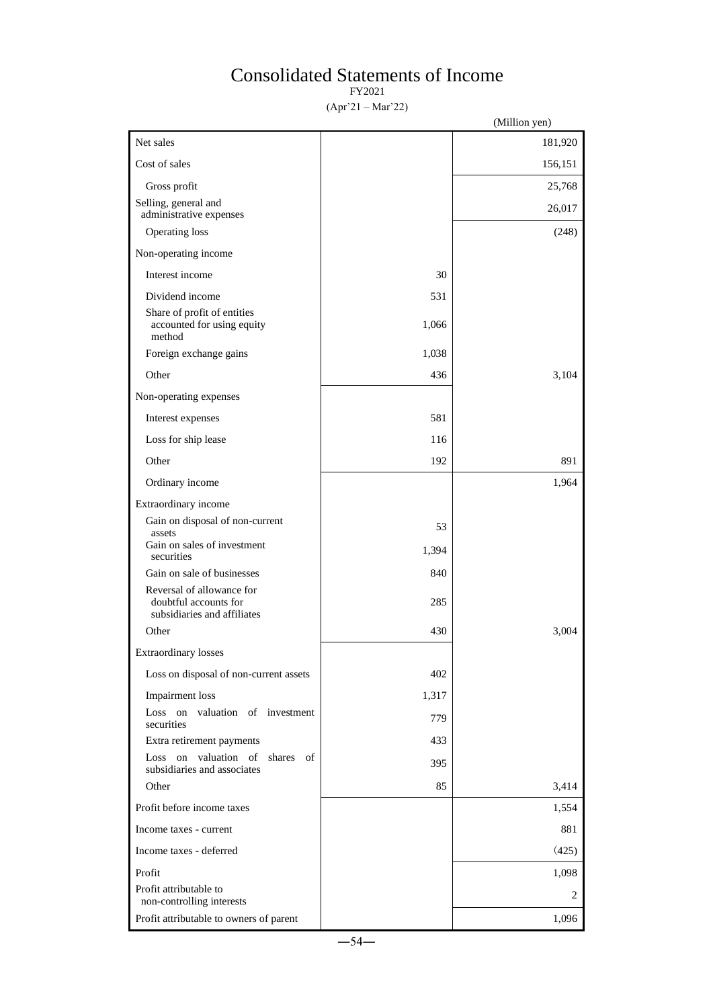# Consolidated Statements of Income

FY2021

(Apr'21 – Mar'22)

|                                                                                   |       | (Million yen) |
|-----------------------------------------------------------------------------------|-------|---------------|
| Net sales                                                                         |       | 181,920       |
| Cost of sales                                                                     |       | 156,151       |
| Gross profit                                                                      |       | 25,768        |
| Selling, general and<br>administrative expenses                                   |       | 26,017        |
| Operating loss                                                                    |       | (248)         |
| Non-operating income                                                              |       |               |
| Interest income                                                                   | 30    |               |
| Dividend income                                                                   | 531   |               |
| Share of profit of entities<br>accounted for using equity<br>method               | 1,066 |               |
| Foreign exchange gains                                                            | 1,038 |               |
| Other                                                                             | 436   | 3,104         |
| Non-operating expenses                                                            |       |               |
| Interest expenses                                                                 | 581   |               |
| Loss for ship lease                                                               | 116   |               |
| Other                                                                             | 192   | 891           |
| Ordinary income                                                                   |       | 1,964         |
| Extraordinary income                                                              |       |               |
| Gain on disposal of non-current<br>assets                                         | 53    |               |
| Gain on sales of investment<br>securities                                         | 1,394 |               |
| Gain on sale of businesses                                                        | 840   |               |
| Reversal of allowance for<br>doubtful accounts for<br>subsidiaries and affiliates | 285   |               |
| Other                                                                             | 430   | 3,004         |
| <b>Extraordinary losses</b>                                                       |       |               |
| Loss on disposal of non-current assets                                            | 402   |               |
| Impairment loss                                                                   | 1,317 |               |
| Loss on<br>valuation of investment<br>securities                                  | 779   |               |
| Extra retirement payments                                                         | 433   |               |
| on valuation of<br>Loss<br>shares<br>of<br>subsidiaries and associates            | 395   |               |
| Other                                                                             | 85    | 3,414         |
| Profit before income taxes                                                        |       | 1,554         |
| Income taxes - current                                                            |       | 881           |
| Income taxes - deferred                                                           |       | (425)         |
| Profit                                                                            |       | 1,098         |
| Profit attributable to<br>non-controlling interests                               |       | 2             |
| Profit attributable to owners of parent                                           |       | 1,096         |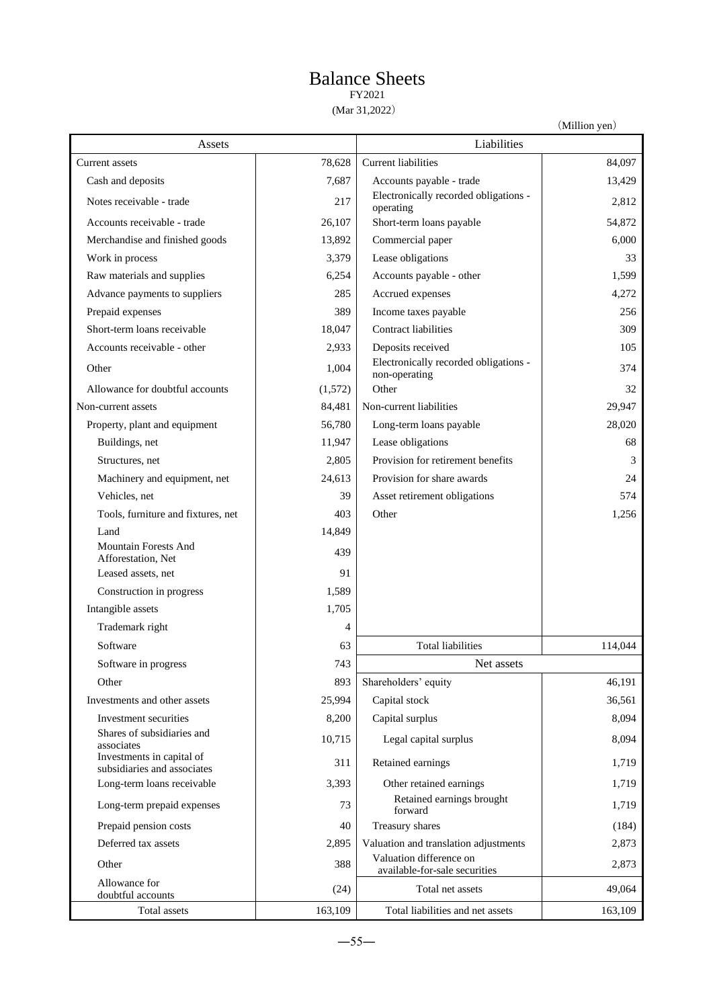# Balance Sheets

# FY2021

(Mar 31,2022)

|                                                          |         |                                                          | (Million yen) |
|----------------------------------------------------------|---------|----------------------------------------------------------|---------------|
| Assets                                                   |         | Liabilities                                              |               |
| <b>Current assets</b>                                    | 78,628  | <b>Current liabilities</b>                               | 84,097        |
| Cash and deposits                                        | 7.687   | Accounts payable - trade                                 | 13,429        |
| Notes receivable - trade                                 | 217     | Electronically recorded obligations -<br>operating       | 2,812         |
| Accounts receivable - trade                              | 26,107  | Short-term loans payable                                 | 54,872        |
| Merchandise and finished goods                           | 13,892  | Commercial paper                                         | 6,000         |
| Work in process                                          | 3,379   | Lease obligations                                        | 33            |
| Raw materials and supplies                               | 6,254   | Accounts payable - other                                 | 1,599         |
| Advance payments to suppliers                            | 285     | Accrued expenses                                         | 4,272         |
| Prepaid expenses                                         | 389     | Income taxes payable                                     | 256           |
| Short-term loans receivable                              | 18,047  | <b>Contract liabilities</b>                              | 309           |
| Accounts receivable - other                              | 2,933   | Deposits received                                        | 105           |
| Other                                                    | 1,004   | Electronically recorded obligations -<br>non-operating   | 374           |
| Allowance for doubtful accounts                          | (1,572) | Other                                                    | 32            |
| Non-current assets                                       | 84,481  | Non-current liabilities                                  | 29,947        |
| Property, plant and equipment                            | 56,780  | Long-term loans payable                                  | 28,020        |
| Buildings, net                                           | 11,947  | Lease obligations                                        | 68            |
| Structures, net                                          | 2,805   | Provision for retirement benefits                        | 3             |
| Machinery and equipment, net                             | 24,613  | Provision for share awards                               | 24            |
| Vehicles, net                                            | 39      | Asset retirement obligations                             | 574           |
| Tools, furniture and fixtures, net                       | 403     | Other                                                    | 1,256         |
| Land                                                     | 14,849  |                                                          |               |
| <b>Mountain Forests And</b><br>Afforestation, Net        | 439     |                                                          |               |
| Leased assets, net                                       | 91      |                                                          |               |
| Construction in progress                                 | 1,589   |                                                          |               |
| Intangible assets                                        | 1,705   |                                                          |               |
| Trademark right                                          | 4       |                                                          |               |
| Software                                                 | 63      | <b>Total liabilities</b>                                 | 114,044       |
| Software in progress                                     | 743     | Net assets                                               |               |
| Other                                                    | 893     | Shareholders' equity                                     | 46,191        |
| Investments and other assets                             | 25,994  | Capital stock                                            | 36,561        |
| Investment securities                                    | 8,200   | Capital surplus                                          | 8,094         |
| Shares of subsidiaries and<br>associates                 | 10,715  | Legal capital surplus                                    | 8,094         |
| Investments in capital of<br>subsidiaries and associates | 311     | Retained earnings                                        | 1,719         |
| Long-term loans receivable                               | 3,393   | Other retained earnings                                  | 1,719         |
| Long-term prepaid expenses                               | 73      | Retained earnings brought<br>forward                     | 1,719         |
| Prepaid pension costs                                    | 40      | Treasury shares                                          | (184)         |
| Deferred tax assets                                      | 2,895   | Valuation and translation adjustments                    | 2,873         |
| Other<br>Allowance for                                   | 388     | Valuation difference on<br>available-for-sale securities | 2,873         |
| doubtful accounts                                        | (24)    | Total net assets                                         | 49,064        |
| Total assets                                             | 163,109 | Total liabilities and net assets                         | 163,109       |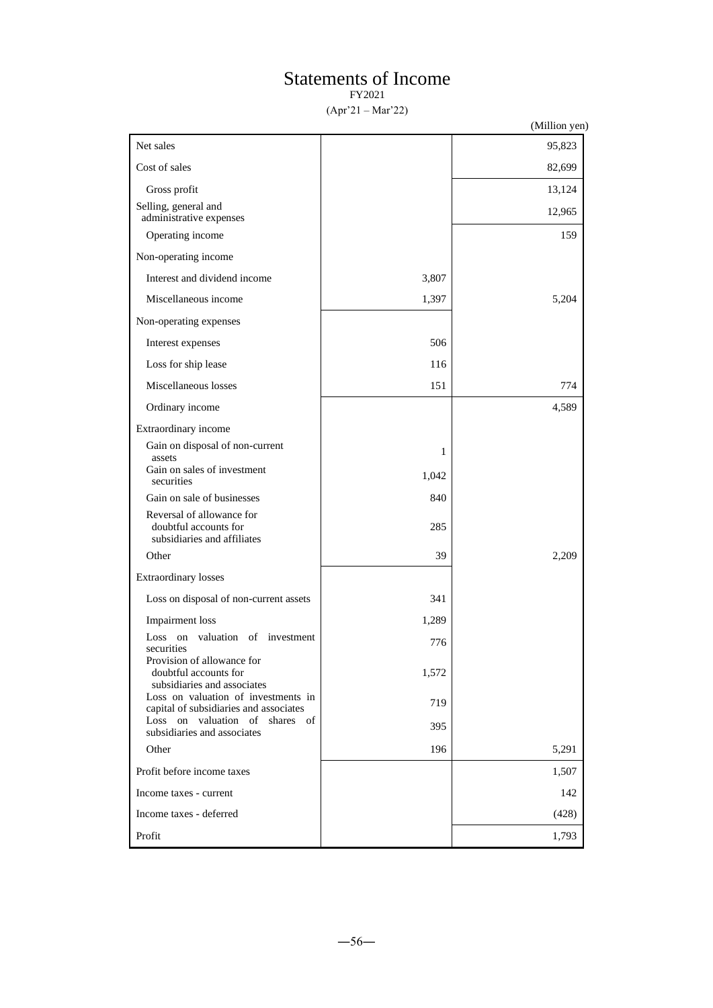# Statements of Income

FY2021

(Apr'21 – Mar'22)

|                                                                                   |       | (Million yen) |
|-----------------------------------------------------------------------------------|-------|---------------|
| Net sales                                                                         |       | 95,823        |
| Cost of sales                                                                     |       | 82,699        |
| Gross profit                                                                      |       | 13,124        |
| Selling, general and<br>administrative expenses                                   |       | 12,965        |
| Operating income                                                                  |       | 159           |
| Non-operating income                                                              |       |               |
| Interest and dividend income                                                      | 3,807 |               |
| Miscellaneous income                                                              | 1,397 | 5,204         |
| Non-operating expenses                                                            |       |               |
| Interest expenses                                                                 | 506   |               |
| Loss for ship lease                                                               | 116   |               |
| Miscellaneous losses                                                              | 151   | 774           |
| Ordinary income                                                                   |       | 4,589         |
| Extraordinary income                                                              |       |               |
| Gain on disposal of non-current<br>assets                                         | 1     |               |
| Gain on sales of investment<br>securities                                         | 1,042 |               |
| Gain on sale of businesses                                                        | 840   |               |
| Reversal of allowance for<br>doubtful accounts for<br>subsidiaries and affiliates | 285   |               |
| Other                                                                             | 39    | 2,209         |
| <b>Extraordinary losses</b>                                                       |       |               |
| Loss on disposal of non-current assets                                            | 341   |               |
| Impairment loss                                                                   | 1,289 |               |
| valuation of investment<br>Loss on<br>securities                                  | 776   |               |
| Provision of allowance for                                                        |       |               |
| doubtful accounts for<br>subsidiaries and associates                              | 1,572 |               |
| Loss on valuation of investments in<br>capital of subsidiaries and associates     | 719   |               |
| Loss on valuation of shares of<br>subsidiaries and associates                     | 395   |               |
| Other                                                                             | 196   | 5,291         |
| Profit before income taxes                                                        |       | 1,507         |
| Income taxes - current                                                            |       | 142           |
| Income taxes - deferred                                                           |       | (428)         |
| Profit                                                                            |       | 1,793         |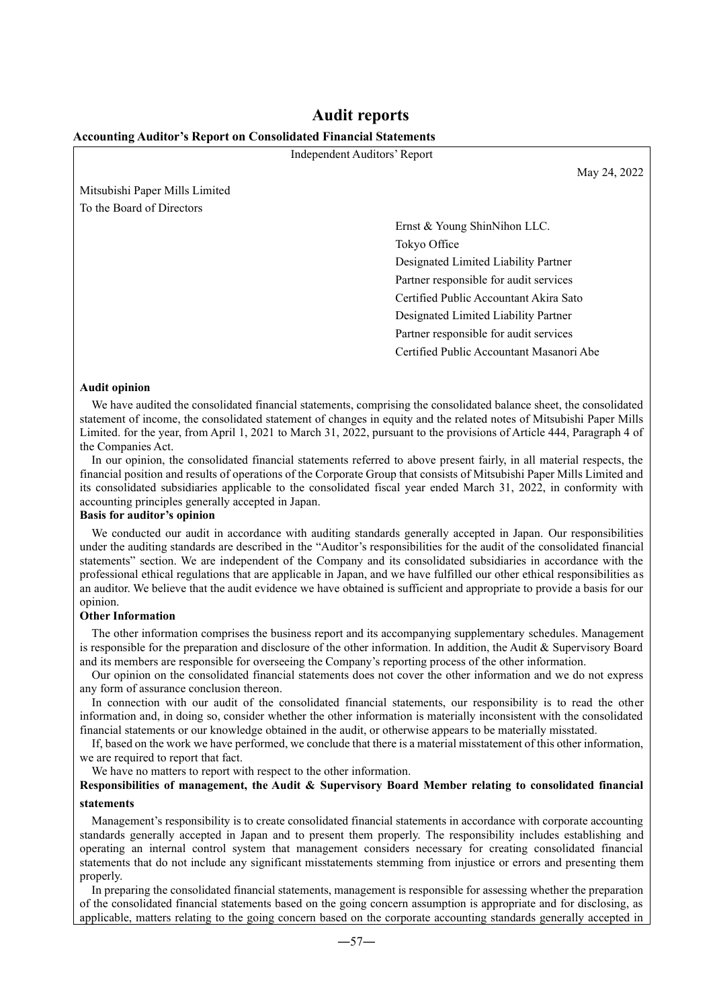# **Audit reports**

#### **Accounting Auditor's Report on Consolidated Financial Statements**

Independent Auditors' Report May 24, 2022 Mitsubishi Paper Mills Limited To the Board of Directors Ernst & Young ShinNihon LLC. Tokyo Office

Designated Limited Liability Partner Partner responsible for audit services Certified Public Accountant Akira Sato Designated Limited Liability Partner Partner responsible for audit services Certified Public Accountant Masanori Abe

#### **Audit opinion**

We have audited the consolidated financial statements, comprising the consolidated balance sheet, the consolidated statement of income, the consolidated statement of changes in equity and the related notes of Mitsubishi Paper Mills Limited. for the year, from April 1, 2021 to March 31, 2022, pursuant to the provisions of Article 444, Paragraph 4 of the Companies Act.

In our opinion, the consolidated financial statements referred to above present fairly, in all material respects, the financial position and results of operations of the Corporate Group that consists of Mitsubishi Paper Mills Limited and its consolidated subsidiaries applicable to the consolidated fiscal year ended March 31, 2022, in conformity with accounting principles generally accepted in Japan.

## **Basis for auditor's opinion**

We conducted our audit in accordance with auditing standards generally accepted in Japan. Our responsibilities under the auditing standards are described in the "Auditor's responsibilities for the audit of the consolidated financial statements" section. We are independent of the Company and its consolidated subsidiaries in accordance with the professional ethical regulations that are applicable in Japan, and we have fulfilled our other ethical responsibilities as an auditor. We believe that the audit evidence we have obtained is sufficient and appropriate to provide a basis for our opinion.

# **Other Information**

 The other information comprises the business report and its accompanying supplementary schedules. Management is responsible for the preparation and disclosure of the other information. In addition, the Audit & Supervisory Board and its members are responsible for overseeing the Company's reporting process of the other information.

 Our opinion on the consolidated financial statements does not cover the other information and we do not express any form of assurance conclusion thereon.

 In connection with our audit of the consolidated financial statements, our responsibility is to read the other information and, in doing so, consider whether the other information is materially inconsistent with the consolidated financial statements or our knowledge obtained in the audit, or otherwise appears to be materially misstated.

 If, based on the work we have performed, we conclude that there is a material misstatement of this other information, we are required to report that fact.

We have no matters to report with respect to the other information.

## **Responsibilities of management, the Audit & Supervisory Board Member relating to consolidated financial statements**

Management's responsibility is to create consolidated financial statements in accordance with corporate accounting standards generally accepted in Japan and to present them properly. The responsibility includes establishing and operating an internal control system that management considers necessary for creating consolidated financial statements that do not include any significant misstatements stemming from injustice or errors and presenting them properly.

In preparing the consolidated financial statements, management is responsible for assessing whether the preparation of the consolidated financial statements based on the going concern assumption is appropriate and for disclosing, as applicable, matters relating to the going concern based on the corporate accounting standards generally accepted in

 $-57-$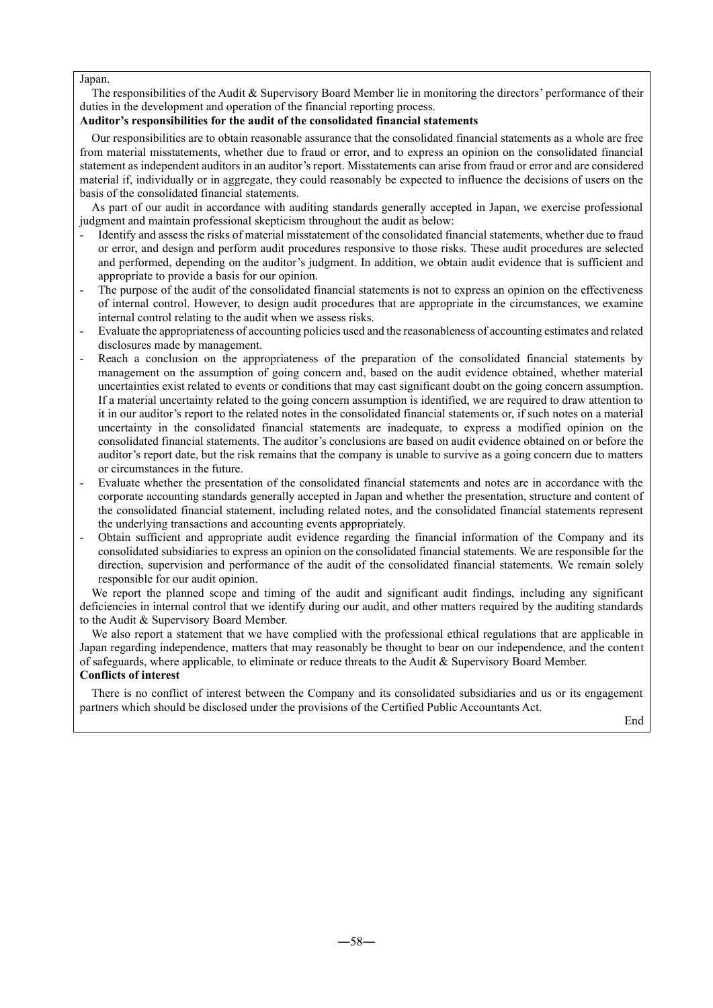Japan.

The responsibilities of the Audit & Supervisory Board Member lie in monitoring the directors' performance of their duties in the development and operation of the financial reporting process.

#### **Auditor's responsibilities for the audit of the consolidated financial statements**

Our responsibilities are to obtain reasonable assurance that the consolidated financial statements as a whole are free from material misstatements, whether due to fraud or error, and to express an opinion on the consolidated financial statement as independent auditors in an auditor's report. Misstatements can arise from fraud or error and are considered material if, individually or in aggregate, they could reasonably be expected to influence the decisions of users on the basis of the consolidated financial statements.

As part of our audit in accordance with auditing standards generally accepted in Japan, we exercise professional judgment and maintain professional skepticism throughout the audit as below:

- Identify and assess the risks of material misstatement of the consolidated financial statements, whether due to fraud or error, and design and perform audit procedures responsive to those risks. These audit procedures are selected and performed, depending on the auditor's judgment. In addition, we obtain audit evidence that is sufficient and appropriate to provide a basis for our opinion.
- The purpose of the audit of the consolidated financial statements is not to express an opinion on the effectiveness of internal control. However, to design audit procedures that are appropriate in the circumstances, we examine internal control relating to the audit when we assess risks.
- Evaluate the appropriateness of accounting policies used and the reasonableness of accounting estimates and related disclosures made by management.
- Reach a conclusion on the appropriateness of the preparation of the consolidated financial statements by management on the assumption of going concern and, based on the audit evidence obtained, whether material uncertainties exist related to events or conditions that may cast significant doubt on the going concern assumption. If a material uncertainty related to the going concern assumption is identified, we are required to draw attention to it in our auditor's report to the related notes in the consolidated financial statements or, if such notes on a material uncertainty in the consolidated financial statements are inadequate, to express a modified opinion on the consolidated financial statements. The auditor's conclusions are based on audit evidence obtained on or before the auditor's report date, but the risk remains that the company is unable to survive as a going concern due to matters or circumstances in the future.
- Evaluate whether the presentation of the consolidated financial statements and notes are in accordance with the corporate accounting standards generally accepted in Japan and whether the presentation, structure and content of the consolidated financial statement, including related notes, and the consolidated financial statements represent the underlying transactions and accounting events appropriately.
- Obtain sufficient and appropriate audit evidence regarding the financial information of the Company and its consolidated subsidiaries to express an opinion on the consolidated financial statements. We are responsible for the direction, supervision and performance of the audit of the consolidated financial statements. We remain solely responsible for our audit opinion.

We report the planned scope and timing of the audit and significant audit findings, including any significant deficiencies in internal control that we identify during our audit, and other matters required by the auditing standards to the Audit & Supervisory Board Member.

We also report a statement that we have complied with the professional ethical regulations that are applicable in Japan regarding independence, matters that may reasonably be thought to bear on our independence, and the content of safeguards, where applicable, to eliminate or reduce threats to the Audit & Supervisory Board Member.

# **Conflicts of interest**

There is no conflict of interest between the Company and its consolidated subsidiaries and us or its engagement partners which should be disclosed under the provisions of the Certified Public Accountants Act.

End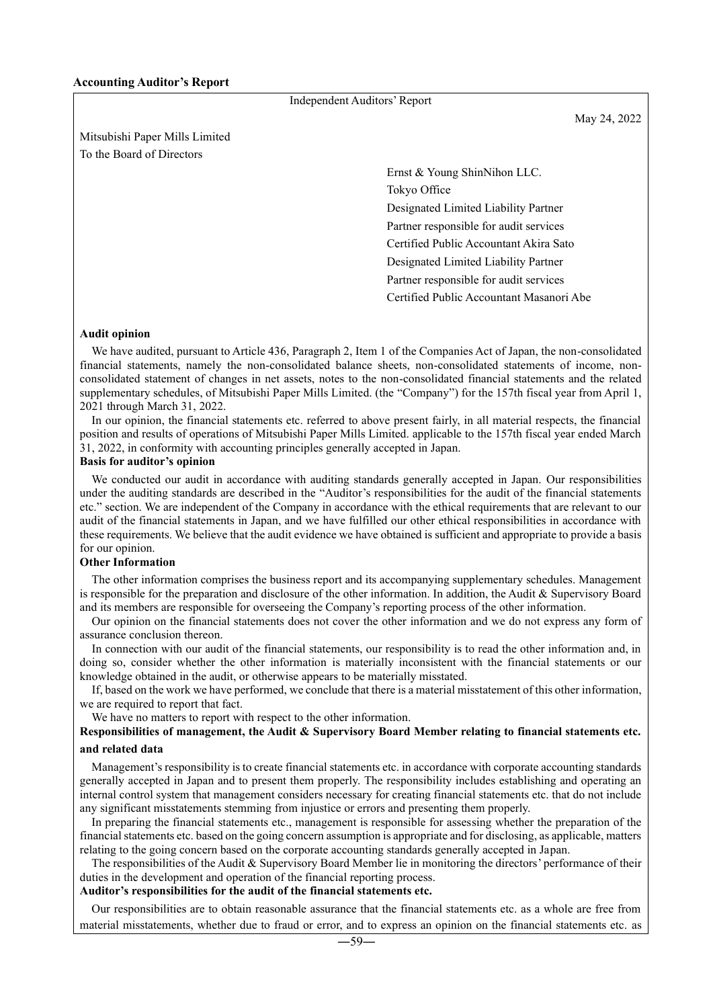Independent Auditors' Report

May 24, 2022

Mitsubishi Paper Mills Limited To the Board of Directors

> Ernst & Young ShinNihon LLC. Tokyo Office Designated Limited Liability Partner Partner responsible for audit services Certified Public Accountant Akira Sato Designated Limited Liability Partner Partner responsible for audit services Certified Public Accountant Masanori Abe

#### **Audit opinion**

We have audited, pursuant to Article 436, Paragraph 2, Item 1 of the Companies Act of Japan, the non-consolidated financial statements, namely the non-consolidated balance sheets, non-consolidated statements of income, nonconsolidated statement of changes in net assets, notes to the non-consolidated financial statements and the related supplementary schedules, of Mitsubishi Paper Mills Limited. (the "Company") for the 157th fiscal year from April 1, 2021 through March 31, 2022.

In our opinion, the financial statements etc. referred to above present fairly, in all material respects, the financial position and results of operations of Mitsubishi Paper Mills Limited. applicable to the 157th fiscal year ended March 31, 2022, in conformity with accounting principles generally accepted in Japan.

#### **Basis for auditor's opinion**

We conducted our audit in accordance with auditing standards generally accepted in Japan. Our responsibilities under the auditing standards are described in the "Auditor's responsibilities for the audit of the financial statements etc." section. We are independent of the Company in accordance with the ethical requirements that are relevant to our audit of the financial statements in Japan, and we have fulfilled our other ethical responsibilities in accordance with these requirements. We believe that the audit evidence we have obtained is sufficient and appropriate to provide a basis for our opinion.

#### **Other Information**

 The other information comprises the business report and its accompanying supplementary schedules. Management is responsible for the preparation and disclosure of the other information. In addition, the Audit & Supervisory Board and its members are responsible for overseeing the Company's reporting process of the other information.

 Our opinion on the financial statements does not cover the other information and we do not express any form of assurance conclusion thereon.

 In connection with our audit of the financial statements, our responsibility is to read the other information and, in doing so, consider whether the other information is materially inconsistent with the financial statements or our knowledge obtained in the audit, or otherwise appears to be materially misstated.

 If, based on the work we have performed, we conclude that there is a material misstatement of this other information, we are required to report that fact.

We have no matters to report with respect to the other information.

#### **Responsibilities of management, the Audit & Supervisory Board Member relating to financial statements etc. and related data**

Management's responsibility is to create financial statements etc. in accordance with corporate accounting standards generally accepted in Japan and to present them properly. The responsibility includes establishing and operating an internal control system that management considers necessary for creating financial statements etc. that do not include any significant misstatements stemming from injustice or errors and presenting them properly.

In preparing the financial statements etc., management is responsible for assessing whether the preparation of the financial statements etc. based on the going concern assumption is appropriate and for disclosing, as applicable, matters relating to the going concern based on the corporate accounting standards generally accepted in Japan.

The responsibilities of the Audit & Supervisory Board Member lie in monitoring the directors' performance of their duties in the development and operation of the financial reporting process.

# **Auditor's responsibilities for the audit of the financial statements etc.**

Our responsibilities are to obtain reasonable assurance that the financial statements etc. as a whole are free from material misstatements, whether due to fraud or error, and to express an opinion on the financial statements etc. as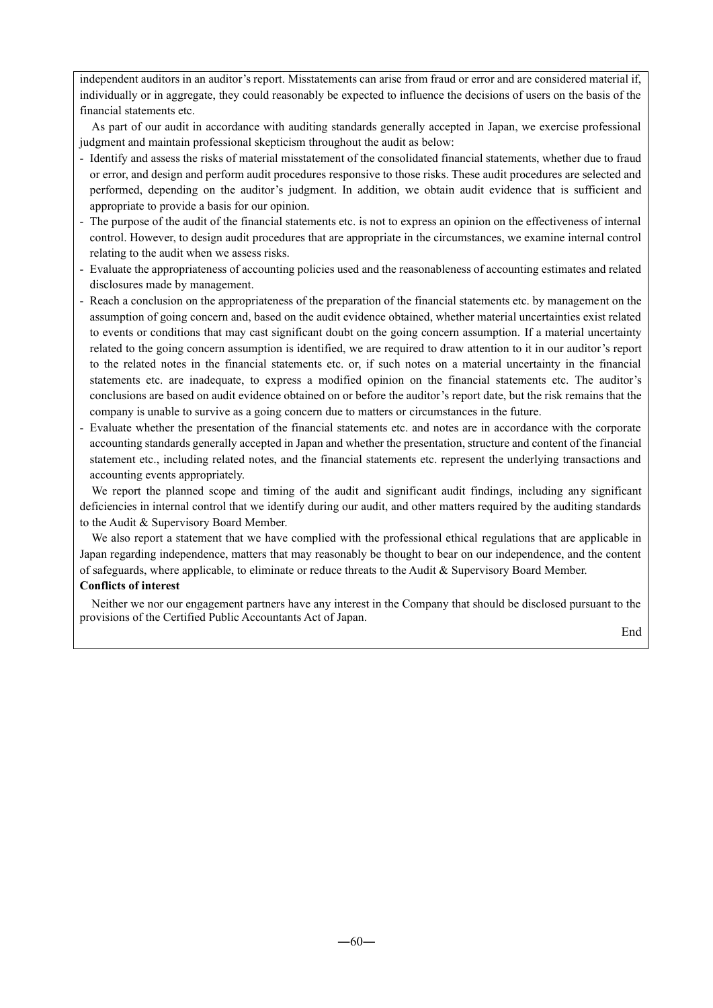independent auditors in an auditor's report. Misstatements can arise from fraud or error and are considered material if, individually or in aggregate, they could reasonably be expected to influence the decisions of users on the basis of the financial statements etc.

As part of our audit in accordance with auditing standards generally accepted in Japan, we exercise professional judgment and maintain professional skepticism throughout the audit as below:

- Identify and assess the risks of material misstatement of the consolidated financial statements, whether due to fraud or error, and design and perform audit procedures responsive to those risks. These audit procedures are selected and performed, depending on the auditor's judgment. In addition, we obtain audit evidence that is sufficient and appropriate to provide a basis for our opinion.
- The purpose of the audit of the financial statements etc. is not to express an opinion on the effectiveness of internal control. However, to design audit procedures that are appropriate in the circumstances, we examine internal control relating to the audit when we assess risks.
- Evaluate the appropriateness of accounting policies used and the reasonableness of accounting estimates and related disclosures made by management.
- Reach a conclusion on the appropriateness of the preparation of the financial statements etc. by management on the assumption of going concern and, based on the audit evidence obtained, whether material uncertainties exist related to events or conditions that may cast significant doubt on the going concern assumption. If a material uncertainty related to the going concern assumption is identified, we are required to draw attention to it in our auditor's report to the related notes in the financial statements etc. or, if such notes on a material uncertainty in the financial statements etc. are inadequate, to express a modified opinion on the financial statements etc. The auditor's conclusions are based on audit evidence obtained on or before the auditor's report date, but the risk remains that the company is unable to survive as a going concern due to matters or circumstances in the future.
- Evaluate whether the presentation of the financial statements etc. and notes are in accordance with the corporate accounting standards generally accepted in Japan and whether the presentation, structure and content of the financial statement etc., including related notes, and the financial statements etc. represent the underlying transactions and accounting events appropriately.

We report the planned scope and timing of the audit and significant audit findings, including any significant deficiencies in internal control that we identify during our audit, and other matters required by the auditing standards to the Audit & Supervisory Board Member.

We also report a statement that we have complied with the professional ethical regulations that are applicable in Japan regarding independence, matters that may reasonably be thought to bear on our independence, and the content of safeguards, where applicable, to eliminate or reduce threats to the Audit & Supervisory Board Member. **Conflicts of interest**

Neither we nor our engagement partners have any interest in the Company that should be disclosed pursuant to the provisions of the Certified Public Accountants Act of Japan.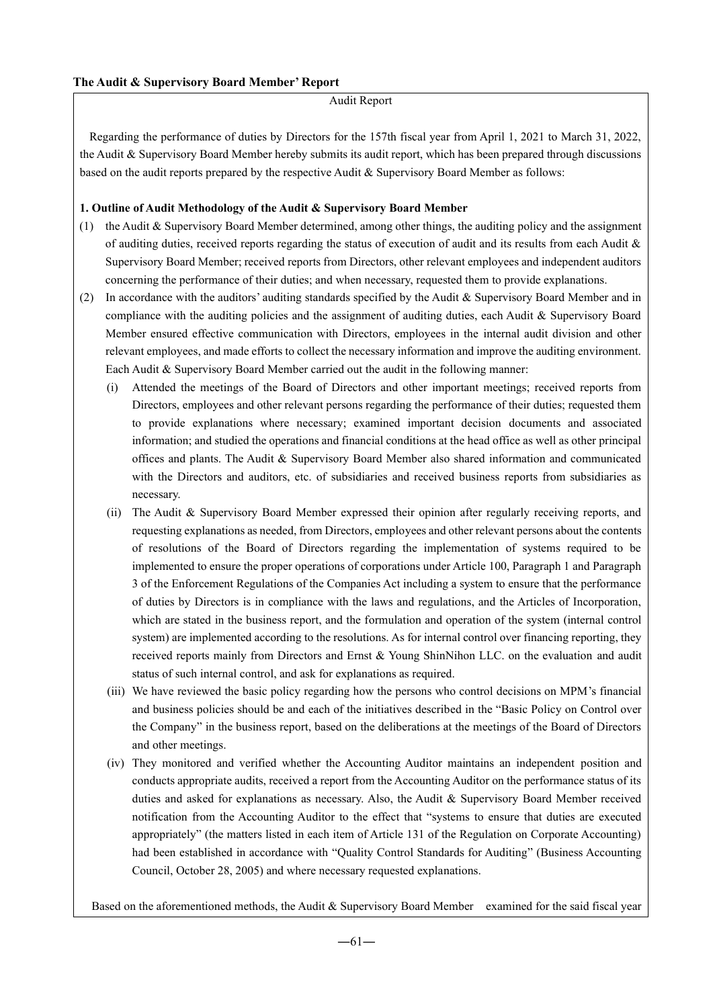#### Audit Report

Regarding the performance of duties by Directors for the 157th fiscal year from April 1, 2021 to March 31, 2022, the Audit & Supervisory Board Member hereby submits its audit report, which has been prepared through discussions based on the audit reports prepared by the respective Audit & Supervisory Board Member as follows:

# **1. Outline of Audit Methodology of the Audit & Supervisory Board Member**

- (1) the Audit & Supervisory Board Member determined, among other things, the auditing policy and the assignment of auditing duties, received reports regarding the status of execution of audit and its results from each Audit & Supervisory Board Member; received reports from Directors, other relevant employees and independent auditors concerning the performance of their duties; and when necessary, requested them to provide explanations.
- (2) In accordance with the auditors' auditing standards specified by the Audit & Supervisory Board Member and in compliance with the auditing policies and the assignment of auditing duties, each Audit & Supervisory Board Member ensured effective communication with Directors, employees in the internal audit division and other relevant employees, and made efforts to collect the necessary information and improve the auditing environment. Each Audit & Supervisory Board Member carried out the audit in the following manner:
	- (i) Attended the meetings of the Board of Directors and other important meetings; received reports from Directors, employees and other relevant persons regarding the performance of their duties; requested them to provide explanations where necessary; examined important decision documents and associated information; and studied the operations and financial conditions at the head office as well as other principal offices and plants. The Audit & Supervisory Board Member also shared information and communicated with the Directors and auditors, etc. of subsidiaries and received business reports from subsidiaries as necessary.
	- (ii) The Audit & Supervisory Board Member expressed their opinion after regularly receiving reports, and requesting explanations as needed, from Directors, employees and other relevant persons about the contents of resolutions of the Board of Directors regarding the implementation of systems required to be implemented to ensure the proper operations of corporations under Article 100, Paragraph 1 and Paragraph 3 of the Enforcement Regulations of the Companies Act including a system to ensure that the performance of duties by Directors is in compliance with the laws and regulations, and the Articles of Incorporation, which are stated in the business report, and the formulation and operation of the system (internal control system) are implemented according to the resolutions. As for internal control over financing reporting, they received reports mainly from Directors and Ernst & Young ShinNihon LLC. on the evaluation and audit status of such internal control, and ask for explanations as required.
	- (iii) We have reviewed the basic policy regarding how the persons who control decisions on MPM's financial and business policies should be and each of the initiatives described in the "Basic Policy on Control over the Company" in the business report, based on the deliberations at the meetings of the Board of Directors and other meetings.
	- (iv) They monitored and verified whether the Accounting Auditor maintains an independent position and conducts appropriate audits, received a report from the Accounting Auditor on the performance status of its duties and asked for explanations as necessary. Also, the Audit & Supervisory Board Member received notification from the Accounting Auditor to the effect that "systems to ensure that duties are executed appropriately" (the matters listed in each item of Article 131 of the Regulation on Corporate Accounting) had been established in accordance with "Quality Control Standards for Auditing" (Business Accounting Council, October 28, 2005) and where necessary requested explanations.

Based on the aforementioned methods, the Audit  $&$  Supervisory Board Member examined for the said fiscal year